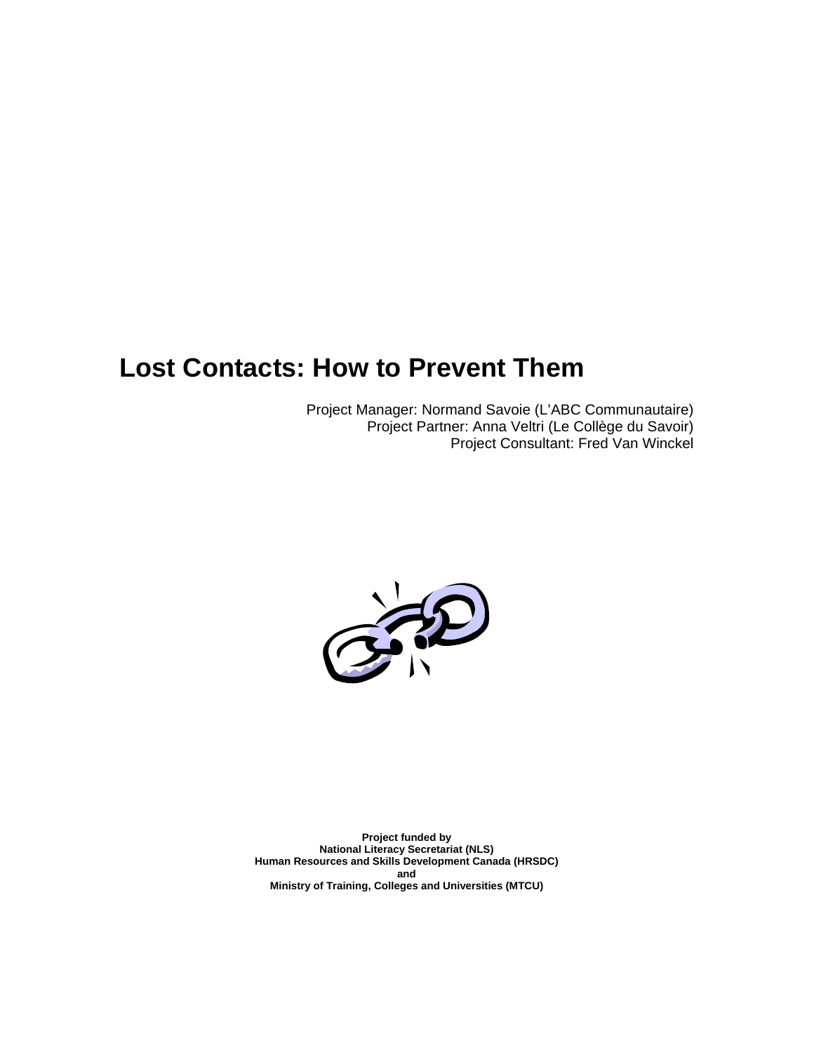# **Lost Contacts: How to Prevent Them**

Project Manager: Normand Savoie (L'ABC Communautaire) Project Partner: Anna Veltri (Le Collège du Savoir) Project Consultant: Fred Van Winckel



**Project funded by National Literacy Secretariat (NLS) Human Resources and Skills Development Canada (HRSDC) and Ministry of Training, Colleges and Universities (MTCU)**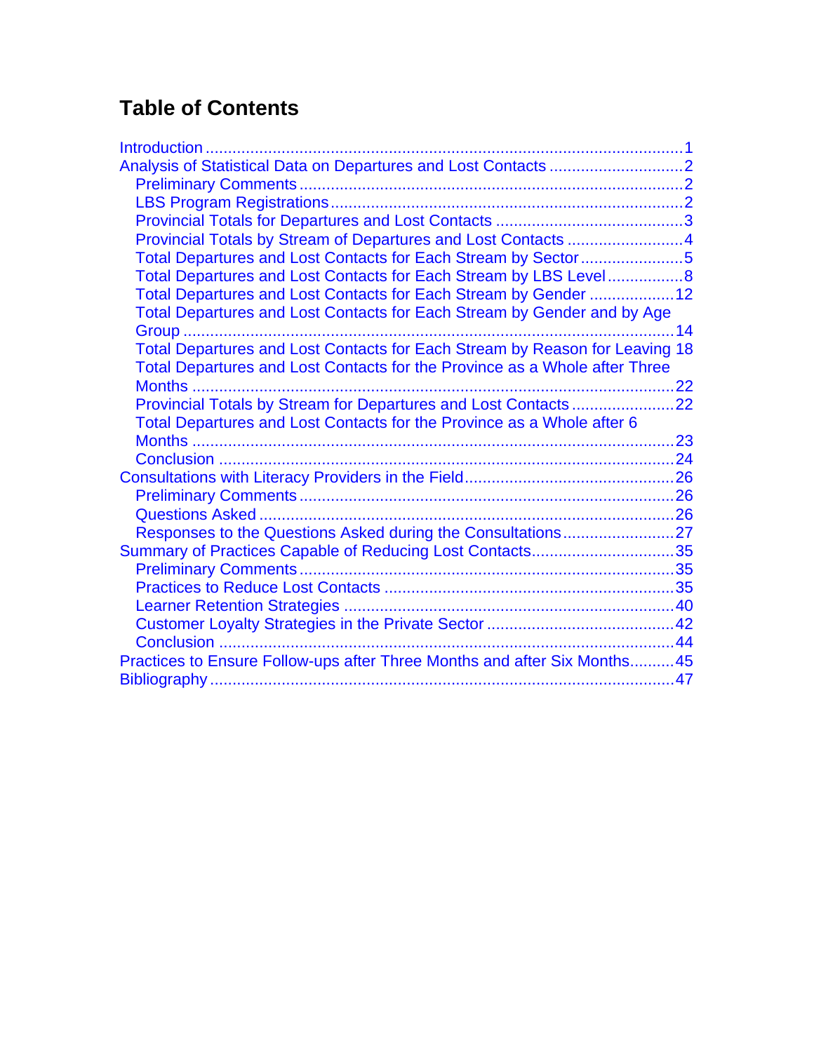# **Table of Contents**

| Introduction                                                                |  |
|-----------------------------------------------------------------------------|--|
|                                                                             |  |
|                                                                             |  |
|                                                                             |  |
|                                                                             |  |
| Provincial Totals by Stream of Departures and Lost Contacts 4               |  |
| Total Departures and Lost Contacts for Each Stream by Sector5               |  |
| Total Departures and Lost Contacts for Each Stream by LBS Level8            |  |
| Total Departures and Lost Contacts for Each Stream by Gender 12             |  |
| Total Departures and Lost Contacts for Each Stream by Gender and by Age     |  |
| 14                                                                          |  |
| Total Departures and Lost Contacts for Each Stream by Reason for Leaving 18 |  |
| Total Departures and Lost Contacts for the Province as a Whole after Three  |  |
|                                                                             |  |
|                                                                             |  |
| Total Departures and Lost Contacts for the Province as a Whole after 6      |  |
|                                                                             |  |
|                                                                             |  |
|                                                                             |  |
|                                                                             |  |
|                                                                             |  |
|                                                                             |  |
| Summary of Practices Capable of Reducing Lost Contacts35                    |  |
|                                                                             |  |
|                                                                             |  |
|                                                                             |  |
|                                                                             |  |
|                                                                             |  |
| Practices to Ensure Follow-ups after Three Months and after Six Months45    |  |
|                                                                             |  |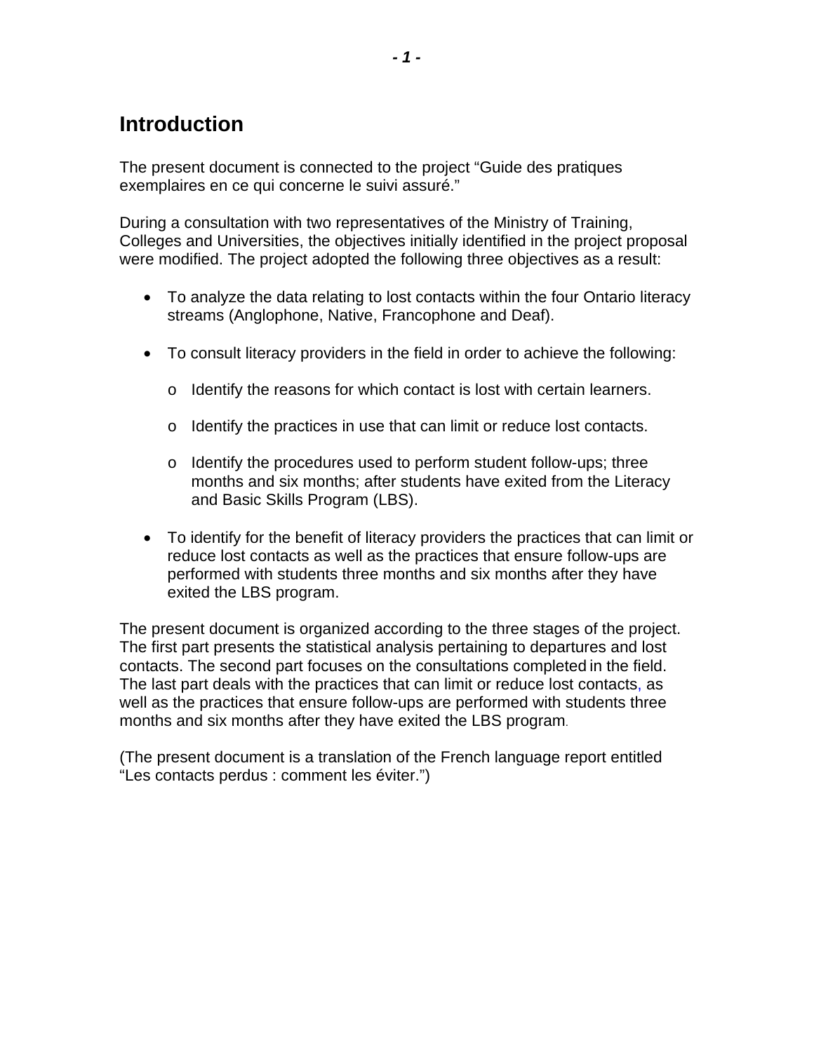# <span id="page-2-0"></span>**Introduction**

The present document is connected to the project "Guide des pratiques exemplaires en ce qui concerne le suivi assuré."

During a consultation with two representatives of the Ministry of Training, Colleges and Universities, the objectives initially identified in the project proposal were modified. The project adopted the following three objectives as a result:

- To analyze the data relating to lost contacts within the four Ontario literacy streams (Anglophone, Native, Francophone and Deaf).
- To consult literacy providers in the field in order to achieve the following:
	- o Identify the reasons for which contact is lost with certain learners.
	- o Identify the practices in use that can limit or reduce lost contacts.
	- $\circ$  Identify the procedures used to perform student follow-ups; three months and six months; after students have exited from the Literacy and Basic Skills Program (LBS).
- To identify for the benefit of literacy providers the practices that can limit or reduce lost contacts as well as the practices that ensure follow-ups are performed with students three months and six months after they have exited the LBS program.

The present document is organized according to the three stages of the project. The first part presents the statistical analysis pertaining to departures and lost contacts. The second part focuses on the consultations completed in the field. The last part deals with the practices that can limit or reduce lost contacts, as well as the practices that ensure follow-ups are performed with students three months and six months after they have exited the LBS program.

(The present document is a translation of the French language report entitled "Les contacts perdus : comment les éviter.")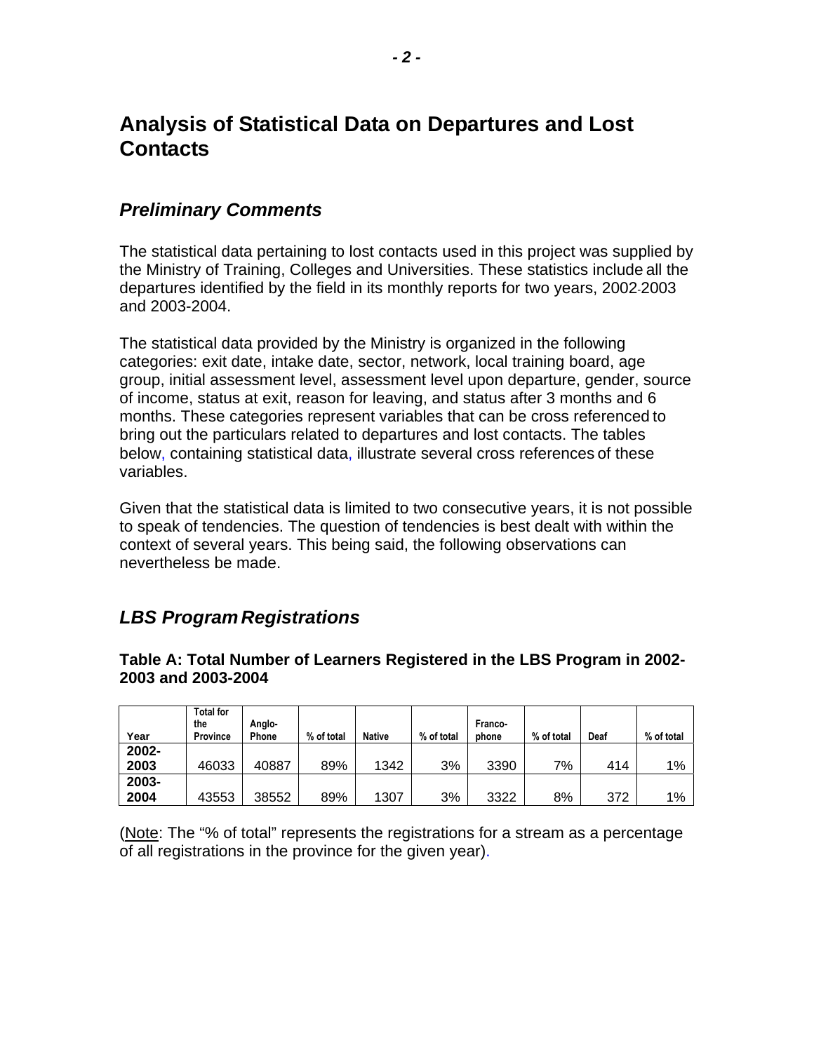## <span id="page-3-0"></span>**Analysis of Statistical Data on Departures and Lost Contacts**

### *Preliminary Comments*

The statistical data pertaining to lost contacts used in this project was supplied by the Ministry of Training, Colleges and Universities. These statistics include all the departures identified by the field in its monthly reports for two years, 2002-2003 and 2003-2004.

The statistical data provided by the Ministry is organized in the following categories: exit date, intake date, sector, network, local training board, age group, initial assessment level, assessment level upon departure, gender, source of income, status at exit, reason for leaving, and status after 3 months and 6 months. These categories represent variables that can be cross referenced to bring out the particulars related to departures and lost contacts. The tables below, containing statistical data, illustrate several cross references of these variables.

Given that the statistical data is limited to two consecutive years, it is not possible to speak of tendencies. The question of tendencies is best dealt with within the context of several years. This being said, the following observations can nevertheless be made.

### *LBS Program Registrations*

**Table A: Total Number of Learners Registered in the LBS Program in 2002- 2003 and 2003-2004** 

| Year  | <b>Total for</b><br>the<br><b>Province</b> | Anglo-<br>Phone | % of total | <b>Native</b> | % of total | Franco-<br>phone | % of total | Deaf | % of total |
|-------|--------------------------------------------|-----------------|------------|---------------|------------|------------------|------------|------|------------|
| 2002- |                                            |                 |            |               |            |                  |            |      |            |
| 2003  | 46033                                      | 40887           | 89%        | 1342          | 3%         | 3390             | 7%         | 414  | 1%         |
| 2003- |                                            |                 |            |               |            |                  |            |      |            |
| 2004  | 43553                                      | 38552           | 89%        | 1307          | 3%         | 3322             | 8%         | 372  | 1%         |

(Note: The "% of total" represents the registrations for a stream as a percentage of all registrations in the province for the given year).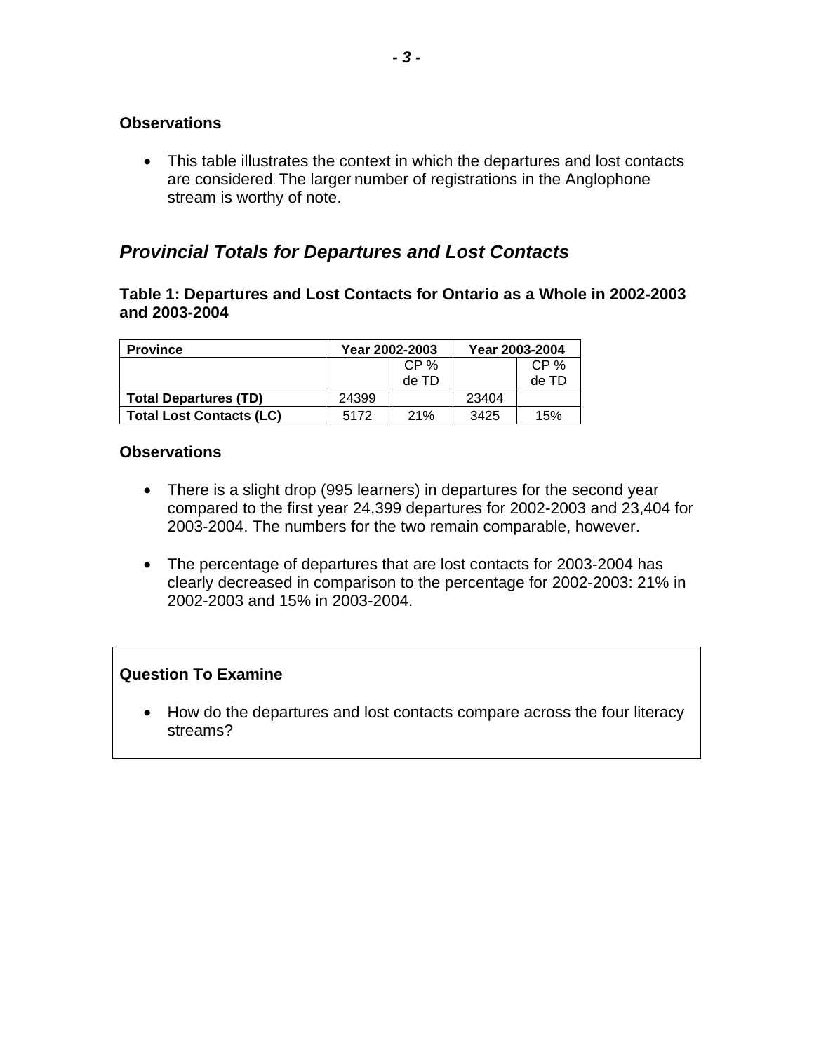<span id="page-4-0"></span>• This table illustrates the context in which the departures and lost contacts are considered. The larger number of registrations in the Anglophone stream is worthy of note.

### *Provincial Totals for Departures and Lost Contacts*

#### **Table 1: Departures and Lost Contacts for Ontario as a Whole in 2002-2003 and 2003-2004**

| <b>Province</b>                 |         | Year 2002-2003 | Year 2003-2004 |         |
|---------------------------------|---------|----------------|----------------|---------|
|                                 | $CP \%$ |                |                | $CP \%$ |
|                                 |         | de TD          |                | de TD   |
| <b>Total Departures (TD)</b>    | 24399   |                | 23404          |         |
| <b>Total Lost Contacts (LC)</b> | 5172    | 21%            | 3425           | 15%     |

#### **Observations**

- There is a slight drop (995 learners) in departures for the second year compared to the first year 24,399 departures for 2002-2003 and 23,404 for 2003-2004. The numbers for the two remain comparable, however.
- The percentage of departures that are lost contacts for 2003-2004 has clearly decreased in comparison to the percentage for 2002-2003: 21% in 2002-2003 and 15% in 2003-2004.

#### **Question To Examine**

• How do the departures and lost contacts compare across the four literacy streams?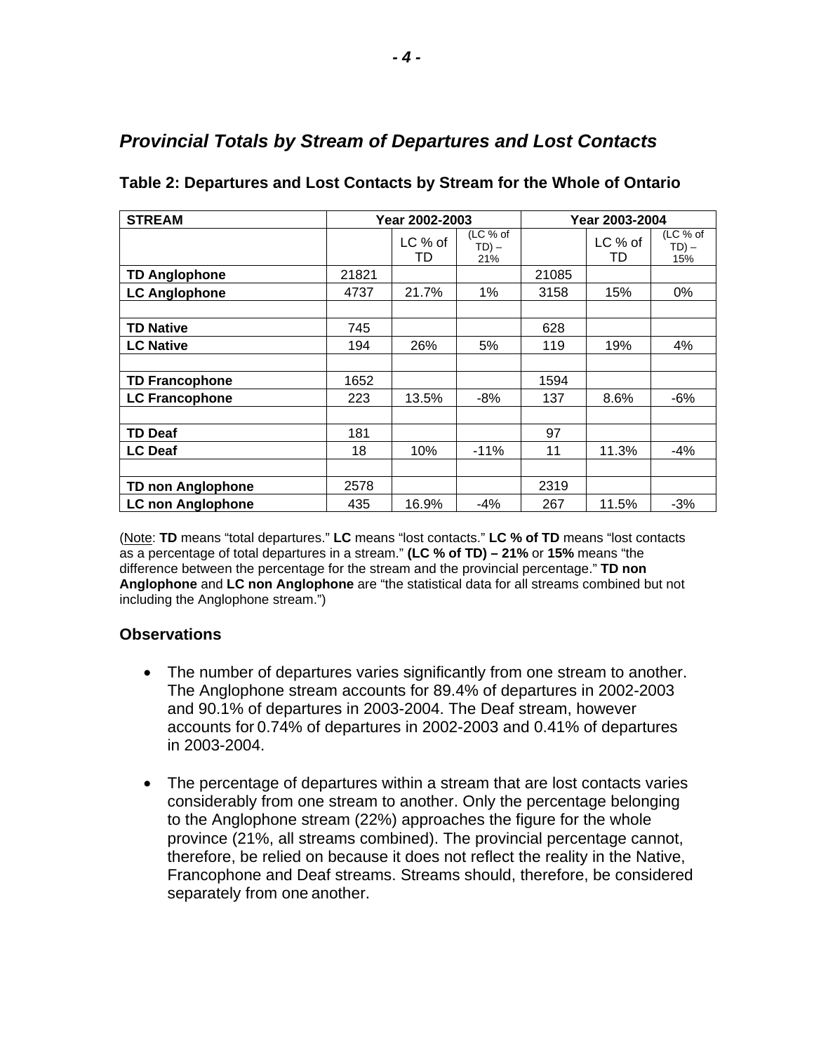| <b>STREAM</b>            |       | Year 2002-2003 |                             |       | Year 2003-2004 |                             |
|--------------------------|-------|----------------|-----------------------------|-------|----------------|-----------------------------|
|                          |       | LC % of<br>TD  | (LC % of<br>$TD$ ) –<br>21% |       | LC % of<br>TD  | (LC % of<br>$TD$ ) –<br>15% |
| <b>TD Anglophone</b>     | 21821 |                |                             | 21085 |                |                             |
| <b>LC Anglophone</b>     | 4737  | 21.7%          | 1%                          | 3158  | 15%            | $0\%$                       |
|                          |       |                |                             |       |                |                             |
| <b>TD Native</b>         | 745   |                |                             | 628   |                |                             |
| <b>LC Native</b>         | 194   | 26%            | 5%                          | 119   | 19%            | 4%                          |
|                          |       |                |                             |       |                |                             |
| <b>TD Francophone</b>    | 1652  |                |                             | 1594  |                |                             |
| <b>LC Francophone</b>    | 223   | 13.5%          | $-8%$                       | 137   | 8.6%           | $-6%$                       |
|                          |       |                |                             |       |                |                             |
| <b>TD Deaf</b>           | 181   |                |                             | 97    |                |                             |
| <b>LC Deaf</b>           | 18    | 10%            | $-11%$                      | 11    | 11.3%          | -4%                         |
|                          |       |                |                             |       |                |                             |
| <b>TD non Anglophone</b> | 2578  |                |                             | 2319  |                |                             |
| <b>LC non Anglophone</b> | 435   | 16.9%          | $-4%$                       | 267   | 11.5%          | $-3%$                       |

### <span id="page-5-0"></span>*Provincial Totals by Stream of Departures and Lost Contacts*

**Table 2: Departures and Lost Contacts by Stream for the Whole of Ontario** 

(Note: **TD** means "total departures." **LC** means "lost contacts." **LC % of TD** means "lost contacts as a percentage of total departures in a stream." **(LC % of TD) – 21%** or **15%** means "the difference between the percentage for the stream and the provincial percentage." **TD non Anglophone** and **LC non Anglophone** are "the statistical data for all streams combined but not including the Anglophone stream.")

#### **Observations**

- The number of departures varies significantly from one stream to another. The Anglophone stream accounts for 89.4% of departures in 2002-2003 and 90.1% of departures in 2003-2004. The Deaf stream, however accounts for 0.74% of departures in 2002-2003 and 0.41% of departures in 2003-2004.
- The percentage of departures within a stream that are lost contacts varies considerably from one stream to another. Only the percentage belonging to the Anglophone stream (22%) approaches the figure for the whole province (21%, all streams combined). The provincial percentage cannot, therefore, be relied on because it does not reflect the reality in the Native, Francophone and Deaf streams. Streams should, therefore, be considered separately from one another.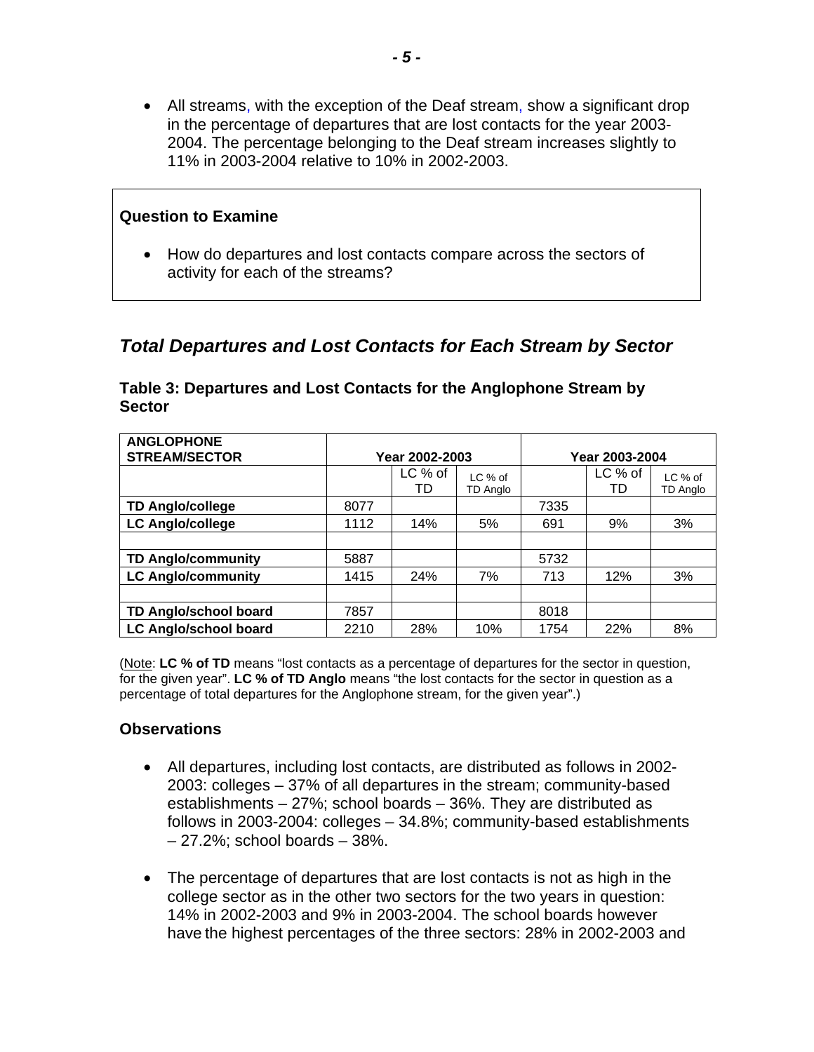<span id="page-6-0"></span>• All streams, with the exception of the Deaf stream, show a significant drop in the percentage of departures that are lost contacts for the year 2003 2004. The percentage belonging to the Deaf stream increases slightly to 11% in 2003-2004 relative to 10% in 2002-2003.

# **Question to Examine**  • How do departures and lost contacts compare across the sectors of activity for each of the streams?

### *Total Departures and Lost Contacts for Each Stream by Sector*

| <b>ANGLOPHONE</b><br><b>STREAM/SECTOR</b> | Year 2002-2003 |               |                     | Year 2003-2004 |               |                            |
|-------------------------------------------|----------------|---------------|---------------------|----------------|---------------|----------------------------|
|                                           |                | LC % of<br>TD | LC % of<br>TD Anglo |                | LC % of<br>TD | LC % of<br><b>TD Anglo</b> |
| <b>TD Anglo/college</b>                   | 8077           |               |                     | 7335           |               |                            |
| <b>LC Anglo/college</b>                   | 1112           | 14%           | 5%                  | 691            | 9%            | 3%                         |
|                                           |                |               |                     |                |               |                            |
| <b>TD Anglo/community</b>                 | 5887           |               |                     | 5732           |               |                            |
| <b>LC Anglo/community</b>                 | 1415           | 24%           | 7%                  | 713            | 12%           | 3%                         |
|                                           |                |               |                     |                |               |                            |
| TD Anglo/school board                     | 7857           |               |                     | 8018           |               |                            |
| <b>LC Anglo/school board</b>              | 2210           | 28%           | 10%                 | 1754           | 22%           | 8%                         |

#### **Table 3: Departures and Lost Contacts for the Anglophone Stream by Sector**

(Note: **LC % of TD** means "lost contacts as a percentage of departures for the sector in question, for the given year". **LC % of TD Anglo** means "the lost contacts for the sector in question as a percentage of total departures for the Anglophone stream, for the given year".)

#### **Observations**

- All departures, including lost contacts, are distributed as follows in 2002-2003: colleges – 37% of all departures in the stream; community-based establishments – 27%; school boards – 36%. They are distributed as follows in 2003-2004: colleges – 34.8%; community-based establishments – 27.2%; school boards – 38%.
- The percentage of departures that are lost contacts is not as high in the college sector as in the other two sectors for the two years in question: 14% in 2002-2003 and 9% in 2003-2004. The school boards however have the highest percentages of the three sectors: 28% in 2002-2003 and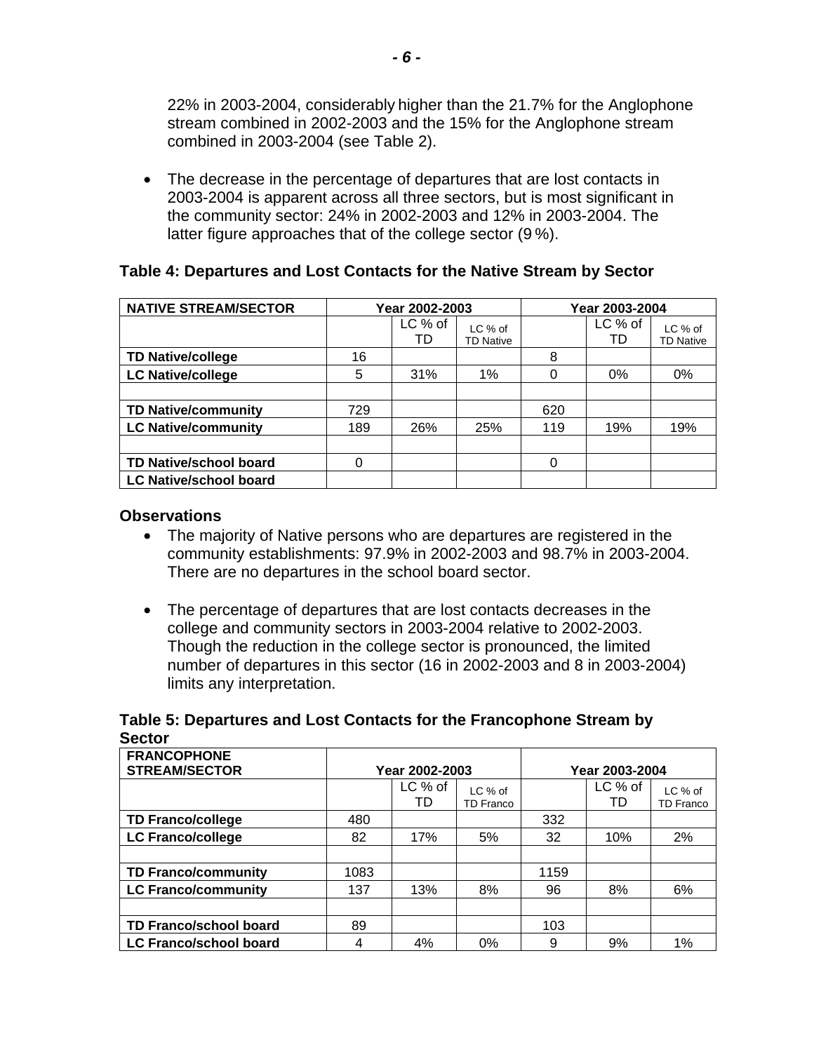22% in 2003-2004, considerably higher than the 21.7% for the Anglophone stream combined in 2002-2003 and the 15% for the Anglophone stream combined in 2003-2004 (see Table 2).

• The decrease in the percentage of departures that are lost contacts in 2003-2004 is apparent across all three sectors, but is most significant in the community sector: 24% in 2002-2003 and 12% in 2003-2004. The latter figure approaches that of the college sector (9 %).

#### **Table 4: Departures and Lost Contacts for the Native Stream by Sector**

| <b>NATIVE STREAM/SECTOR</b>   | Year 2002-2003 |               |                             | Year 2003-2004 |               |                             |
|-------------------------------|----------------|---------------|-----------------------------|----------------|---------------|-----------------------------|
|                               |                | LC % of<br>TD | LC % of<br><b>TD Native</b> |                | LC % of<br>TD | LC % of<br><b>TD Native</b> |
| <b>TD Native/college</b>      | 16             |               |                             | 8              |               |                             |
| <b>LC Native/college</b>      | 5              | 31%           | 1%                          | 0              | 0%            | 0%                          |
|                               |                |               |                             |                |               |                             |
| <b>TD Native/community</b>    | 729            |               |                             | 620            |               |                             |
| <b>LC Native/community</b>    | 189            | 26%           | 25%                         | 119            | 19%           | 19%                         |
|                               |                |               |                             |                |               |                             |
| <b>TD Native/school board</b> | $\Omega$       |               |                             | 0              |               |                             |
| <b>LC Native/school board</b> |                |               |                             |                |               |                             |

#### **Observations**

- The majority of Native persons who are departures are registered in the community establishments: 97.9% in 2002-2003 and 98.7% in 2003-2004. There are no departures in the school board sector.
- The percentage of departures that are lost contacts decreases in the college and community sectors in 2003-2004 relative to 2002-2003. Though the reduction in the college sector is pronounced, the limited number of departures in this sector (16 in 2002-2003 and 8 in 2003-2004) limits any interpretation.

#### **Table 5: Departures and Lost Contacts for the Francophone Stream by Sector**

| <b>FRANCOPHONE</b><br><b>STREAM/SECTOR</b> | Year 2002-2003 |               |                             | Year 2003-2004 |               |                             |
|--------------------------------------------|----------------|---------------|-----------------------------|----------------|---------------|-----------------------------|
|                                            |                | LC % of<br>TD | LC % of<br><b>TD Franco</b> |                | LC % of<br>TD | LC % of<br><b>TD Franco</b> |
| <b>TD Franco/college</b>                   | 480            |               |                             | 332            |               |                             |
| <b>LC Franco/college</b>                   | 82             | 17%           | 5%                          | 32             | 10%           | 2%                          |
|                                            |                |               |                             |                |               |                             |
| <b>TD Franco/community</b>                 | 1083           |               |                             | 1159           |               |                             |
| <b>LC Franco/community</b>                 | 137            | 13%           | 8%                          | 96             | 8%            | 6%                          |
|                                            |                |               |                             |                |               |                             |
| <b>TD Franco/school board</b>              | 89             |               |                             | 103            |               |                             |
| <b>LC Franco/school board</b>              | 4              | 4%            | $0\%$                       | 9              | 9%            | 1%                          |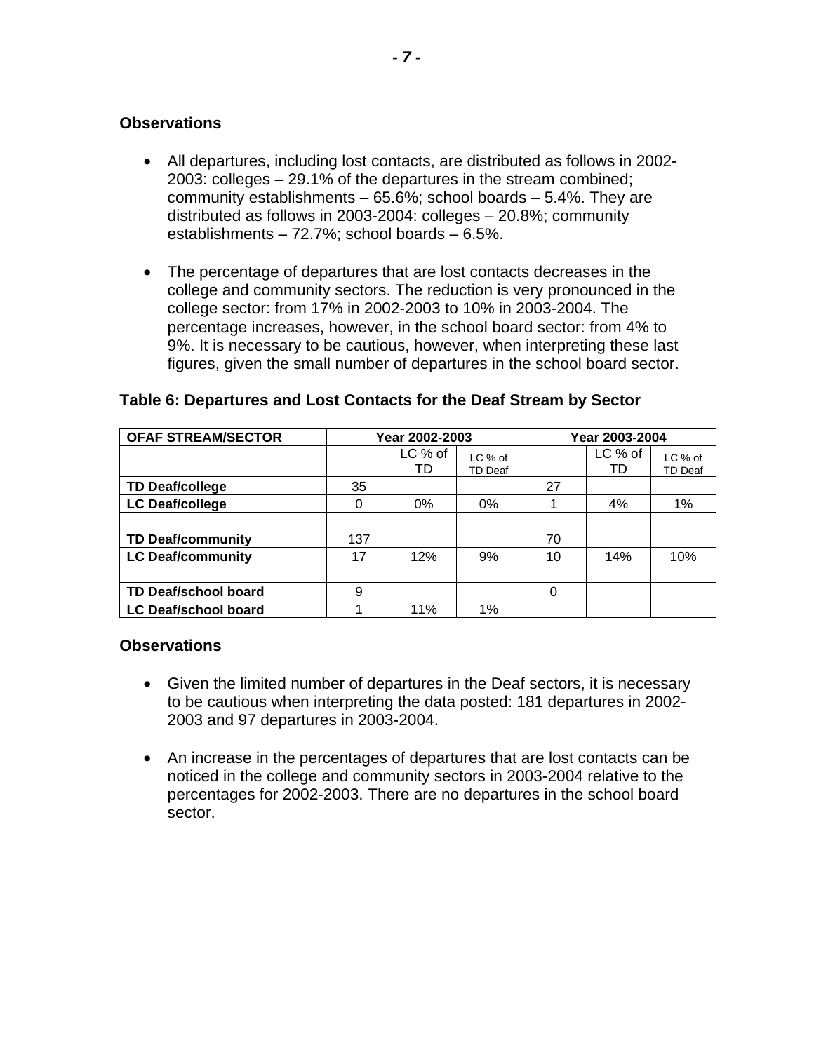- All departures, including lost contacts, are distributed as follows in 2002-2003: colleges – 29.1% of the departures in the stream combined; community establishments – 65.6%; school boards – 5.4%. They are distributed as follows in 2003-2004: colleges – 20.8%; community establishments – 72.7%; school boards – 6.5%.
- The percentage of departures that are lost contacts decreases in the college and community sectors. The reduction is very pronounced in the college sector: from 17% in 2002-2003 to 10% in 2003-2004. The percentage increases, however, in the school board sector: from 4% to 9%. It is necessary to be cautious, however, when interpreting these last figures, given the small number of departures in the school board sector.

| <b>OFAF STREAM/SECTOR</b>   | Year 2002-2003 |               |                    |    | Year 2003-2004 |                           |
|-----------------------------|----------------|---------------|--------------------|----|----------------|---------------------------|
|                             |                | LC % of<br>TD | LC % of<br>TD Deaf |    | LC % of<br>TD  | LC % of<br><b>TD Deaf</b> |
| <b>TD Deaf/college</b>      | 35             |               |                    | 27 |                |                           |
| <b>LC Deaf/college</b>      | 0              | $0\%$         | 0%                 |    | 4%             | 1%                        |
|                             |                |               |                    |    |                |                           |
| <b>TD Deaf/community</b>    | 137            |               |                    | 70 |                |                           |
| <b>LC Deaf/community</b>    | 17             | 12%           | 9%                 | 10 | 14%            | 10%                       |
|                             |                |               |                    |    |                |                           |
| <b>TD Deaf/school board</b> | 9              |               |                    | 0  |                |                           |
| <b>LC Deaf/school board</b> |                | 11%           | 1%                 |    |                |                           |

#### **Table 6: Departures and Lost Contacts for the Deaf Stream by Sector**

#### **Observations**

- Given the limited number of departures in the Deaf sectors, it is necessary to be cautious when interpreting the data posted: 181 departures in 2002 2003 and 97 departures in 2003-2004.
- An increase in the percentages of departures that are lost contacts can be noticed in the college and community sectors in 2003-2004 relative to the percentages for 2002-2003. There are no departures in the school board sector.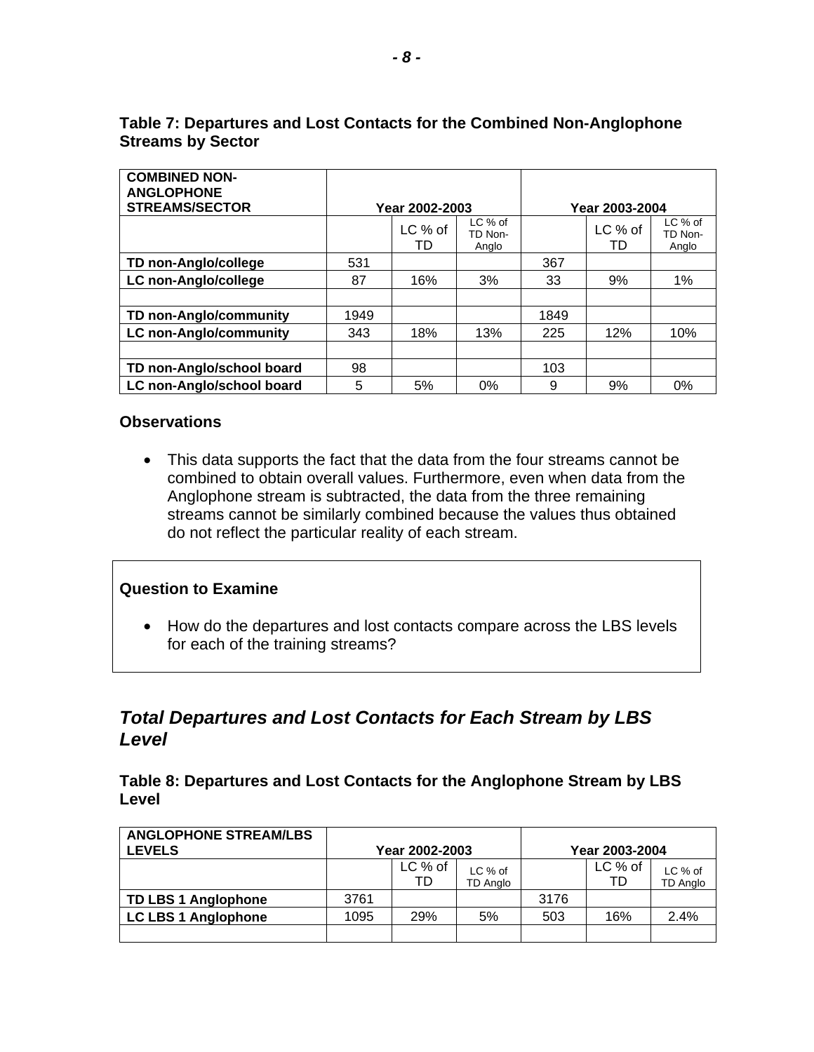| <b>COMBINED NON-</b><br><b>ANGLOPHONE</b><br><b>STREAMS/SECTOR</b> |      | Year 2002-2003  |                               |      | Year 2003-2004  |                             |
|--------------------------------------------------------------------|------|-----------------|-------------------------------|------|-----------------|-----------------------------|
|                                                                    |      | $LC%$ of<br>TD. | $LC %$ of<br>TD Non-<br>Anglo |      | $LC$ % of<br>TD | LC % of<br>TD Non-<br>Anglo |
| TD non-Anglo/college                                               | 531  |                 |                               | 367  |                 |                             |
| LC non-Anglo/college                                               | 87   | 16%             | 3%                            | 33   | 9%              | 1%                          |
|                                                                    |      |                 |                               |      |                 |                             |
| TD non-Anglo/community                                             | 1949 |                 |                               | 1849 |                 |                             |
| <b>LC non-Anglo/community</b>                                      | 343  | 18%             | 13%                           | 225  | 12%             | 10%                         |
|                                                                    |      |                 |                               |      |                 |                             |
| TD non-Anglo/school board                                          | 98   |                 |                               | 103  |                 |                             |
| LC non-Anglo/school board                                          | 5    | 5%              | 0%                            | 9    | 9%              | 0%                          |

#### <span id="page-9-0"></span>**Table 7: Departures and Lost Contacts for the Combined Non-Anglophone Streams by Sector**

#### **Observations**

• This data supports the fact that the data from the four streams cannot be combined to obtain overall values. Furthermore, even when data from the Anglophone stream is subtracted, the data from the three remaining streams cannot be similarly combined because the values thus obtained do not reflect the particular reality of each stream.

#### **Question to Examine**

• How do the departures and lost contacts compare across the LBS levels for each of the training streams?

### *Total Departures and Lost Contacts for Each Stream by LBS Level*

#### **Table 8: Departures and Lost Contacts for the Anglophone Stream by LBS Level**

| <b>ANGLOPHONE STREAM/LBS</b><br><b>LEVELS</b> |      | Year 2002-2003 |                     |      | Year 2003-2004  |                     |
|-----------------------------------------------|------|----------------|---------------------|------|-----------------|---------------------|
|                                               |      | LC % of<br>TD  | LC % of<br>TD Anglo |      | $LC$ % of<br>TD | LC % of<br>TD Anglo |
| <b>TD LBS 1 Anglophone</b>                    | 3761 |                |                     | 3176 |                 |                     |
| <b>LC LBS 1 Anglophone</b>                    | 1095 | 29%            | 5%                  | 503  | 16%             | 2.4%                |
|                                               |      |                |                     |      |                 |                     |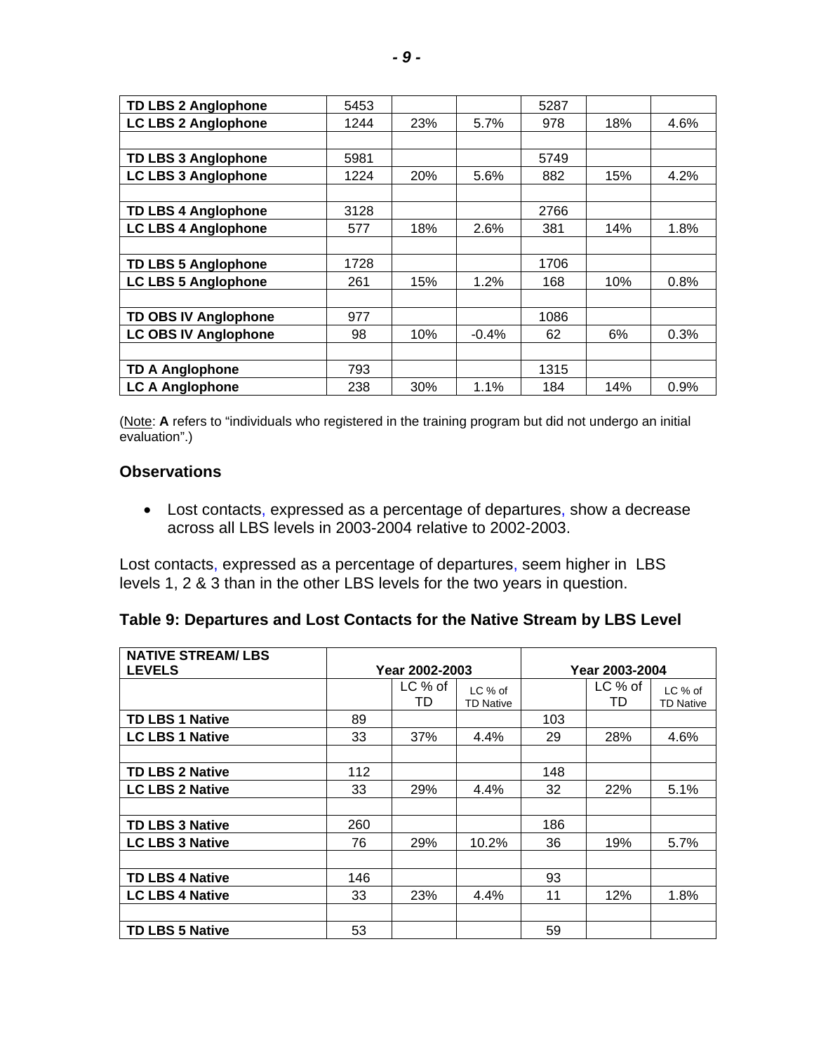| <b>TD LBS 2 Anglophone</b>  | 5453 |     |         | 5287 |     |      |
|-----------------------------|------|-----|---------|------|-----|------|
| <b>LC LBS 2 Anglophone</b>  | 1244 | 23% | 5.7%    | 978  | 18% | 4.6% |
|                             |      |     |         |      |     |      |
| <b>TD LBS 3 Anglophone</b>  | 5981 |     |         | 5749 |     |      |
| <b>LC LBS 3 Anglophone</b>  | 1224 | 20% | 5.6%    | 882  | 15% | 4.2% |
|                             |      |     |         |      |     |      |
| <b>TD LBS 4 Anglophone</b>  | 3128 |     |         | 2766 |     |      |
| <b>LC LBS 4 Anglophone</b>  | 577  | 18% | 2.6%    | 381  | 14% | 1.8% |
|                             |      |     |         |      |     |      |
| <b>TD LBS 5 Anglophone</b>  | 1728 |     |         | 1706 |     |      |
| <b>LC LBS 5 Anglophone</b>  | 261  | 15% | 1.2%    | 168  | 10% | 0.8% |
|                             |      |     |         |      |     |      |
| <b>TD OBS IV Anglophone</b> | 977  |     |         | 1086 |     |      |
| <b>LC OBS IV Anglophone</b> | 98   | 10% | $-0.4%$ | 62   | 6%  | 0.3% |
|                             |      |     |         |      |     |      |
| <b>TD A Anglophone</b>      | 793  |     |         | 1315 |     |      |
| <b>LC A Anglophone</b>      | 238  | 30% | 1.1%    | 184  | 14% | 0.9% |

(Note: **A** refers to "individuals who registered in the training program but did not undergo an initial evaluation".)

#### **Observations**

• Lost contacts, expressed as a percentage of departures, show a decrease across all LBS levels in 2003-2004 relative to 2002-2003.

Lost contacts, expressed as a percentage of departures, seem higher in LBS levels 1, 2 & 3 than in the other LBS levels for the two years in question.

|  |  |  | Table 9: Departures and Lost Contacts for the Native Stream by LBS Level |
|--|--|--|--------------------------------------------------------------------------|
|--|--|--|--------------------------------------------------------------------------|

| <b>NATIVE STREAM/LBS</b><br><b>LEVELS</b> | Year 2002-2003 |               |                             | Year 2003-2004 |               |                             |
|-------------------------------------------|----------------|---------------|-----------------------------|----------------|---------------|-----------------------------|
|                                           |                | LC % of<br>TD | LC % of<br><b>TD Native</b> |                | LC % of<br>TD | LC % of<br><b>TD Native</b> |
| <b>TD LBS 1 Native</b>                    | 89             |               |                             | 103            |               |                             |
| <b>LC LBS 1 Native</b>                    | 33             | 37%           | 4.4%                        | 29             | 28%           | 4.6%                        |
|                                           |                |               |                             |                |               |                             |
| <b>TD LBS 2 Native</b>                    | 112            |               |                             | 148            |               |                             |
| <b>LC LBS 2 Native</b>                    | 33             | 29%           | 4.4%                        | 32             | <b>22%</b>    | 5.1%                        |
|                                           |                |               |                             |                |               |                             |
| <b>TD LBS 3 Native</b>                    | 260            |               |                             | 186            |               |                             |
| <b>LC LBS 3 Native</b>                    | 76             | 29%           | 10.2%                       | 36             | 19%           | 5.7%                        |
|                                           |                |               |                             |                |               |                             |
| <b>TD LBS 4 Native</b>                    | 146            |               |                             | 93             |               |                             |
| <b>LC LBS 4 Native</b>                    | 33             | 23%           | 4.4%                        | 11             | 12%           | 1.8%                        |
|                                           |                |               |                             |                |               |                             |
| <b>TD LBS 5 Native</b>                    | 53             |               |                             | 59             |               |                             |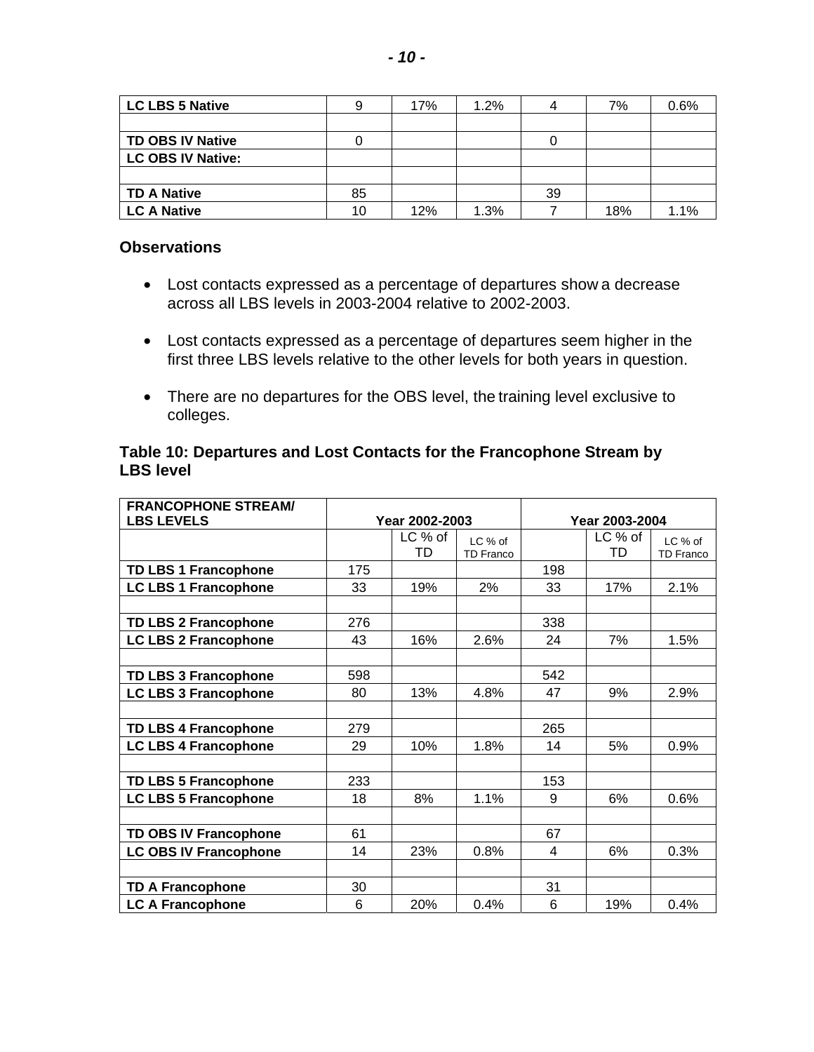| <b>LC LBS 5 Native</b>   |    | 17% | 1.2% |    | 7%  | 0.6% |
|--------------------------|----|-----|------|----|-----|------|
|                          |    |     |      |    |     |      |
| <b>TD OBS IV Native</b>  |    |     |      |    |     |      |
| <b>LC OBS IV Native:</b> |    |     |      |    |     |      |
|                          |    |     |      |    |     |      |
| <b>TD A Native</b>       | 85 |     |      | 39 |     |      |
| <b>LC A Native</b>       | 10 | 12% | 1.3% |    | 18% | 1.1% |

- Lost contacts expressed as a percentage of departures show a decrease across all LBS levels in 2003-2004 relative to 2002-2003.
- Lost contacts expressed as a percentage of departures seem higher in the first three LBS levels relative to the other levels for both years in question.
- There are no departures for the OBS level, the training level exclusive to colleges.

#### **Table 10: Departures and Lost Contacts for the Francophone Stream by LBS level**

| <b>FRANCOPHONE STREAM/</b>   |                |         |                  |                |         |                  |  |
|------------------------------|----------------|---------|------------------|----------------|---------|------------------|--|
| <b>LBS LEVELS</b>            | Year 2002-2003 |         |                  | Year 2003-2004 |         |                  |  |
|                              |                | LC % of | LC % of          |                | LC % of | $LC$ % of        |  |
|                              |                | TD      | <b>TD Franco</b> |                | TD      | <b>TD Franco</b> |  |
| <b>TD LBS 1 Francophone</b>  | 175            |         |                  | 198            |         |                  |  |
| <b>LC LBS 1 Francophone</b>  | 33             | 19%     | 2%               | 33             | 17%     | 2.1%             |  |
|                              |                |         |                  |                |         |                  |  |
| <b>TD LBS 2 Francophone</b>  | 276            |         |                  | 338            |         |                  |  |
| <b>LC LBS 2 Francophone</b>  | 43             | 16%     | 2.6%             | 24             | 7%      | 1.5%             |  |
|                              |                |         |                  |                |         |                  |  |
| <b>TD LBS 3 Francophone</b>  | 598            |         |                  | 542            |         |                  |  |
| <b>LC LBS 3 Francophone</b>  | 80             | 13%     | 4.8%             | 47             | 9%      | 2.9%             |  |
|                              |                |         |                  |                |         |                  |  |
| <b>TD LBS 4 Francophone</b>  | 279            |         |                  | 265            |         |                  |  |
| <b>LC LBS 4 Francophone</b>  | 29             | 10%     | 1.8%             | 14             | 5%      | 0.9%             |  |
|                              |                |         |                  |                |         |                  |  |
| <b>TD LBS 5 Francophone</b>  | 233            |         |                  | 153            |         |                  |  |
| <b>LC LBS 5 Francophone</b>  | 18             | 8%      | 1.1%             | 9              | 6%      | 0.6%             |  |
|                              |                |         |                  |                |         |                  |  |
| <b>TD OBS IV Francophone</b> | 61             |         |                  | 67             |         |                  |  |
| <b>LC OBS IV Francophone</b> | 14             | 23%     | 0.8%             | 4              | 6%      | 0.3%             |  |
|                              |                |         |                  |                |         |                  |  |
| <b>TD A Francophone</b>      | 30             |         |                  | 31             |         |                  |  |
| <b>LC A Francophone</b>      | $6\phantom{1}$ | 20%     | 0.4%             | 6              | 19%     | 0.4%             |  |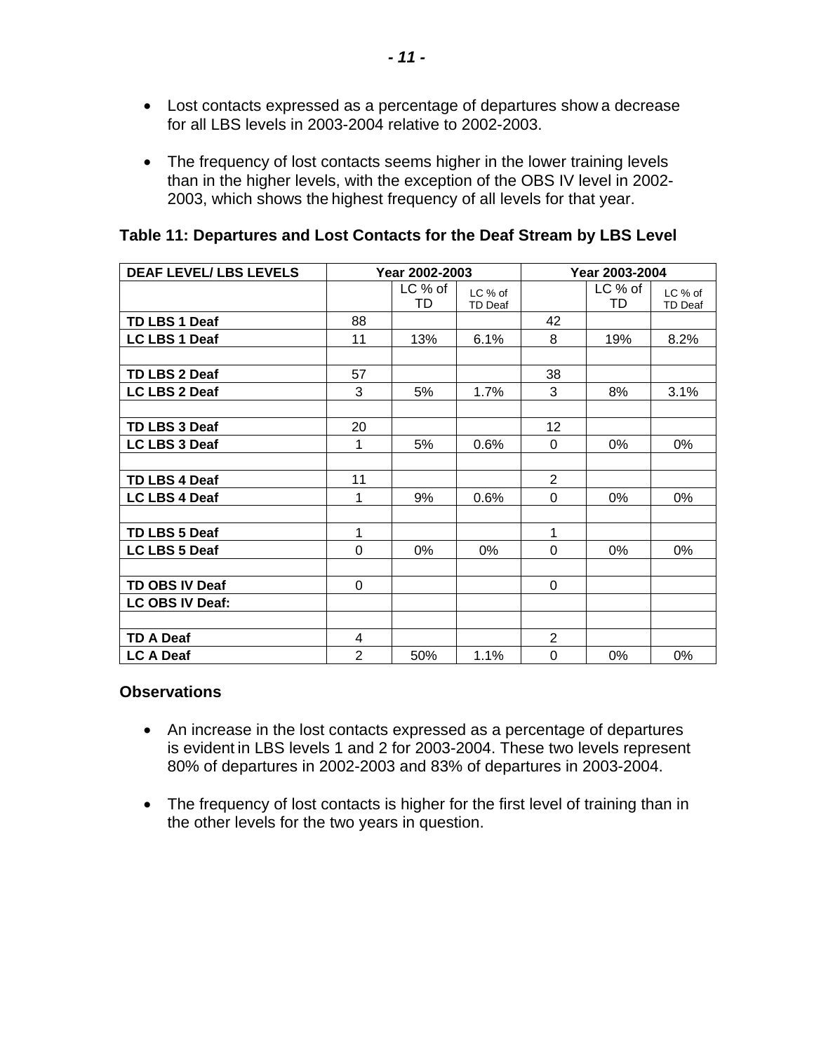- Lost contacts expressed as a percentage of departures show a decrease for all LBS levels in 2003-2004 relative to 2002-2003.
- The frequency of lost contacts seems higher in the lower training levels than in the higher levels, with the exception of the OBS IV level in 2002 2003, which shows the highest frequency of all levels for that year.

|  |  |  | Table 11: Departures and Lost Contacts for the Deaf Stream by LBS Level |  |
|--|--|--|-------------------------------------------------------------------------|--|
|--|--|--|-------------------------------------------------------------------------|--|

| <b>DEAF LEVEL/ LBS LEVELS</b> |                | Year 2002-2003 |                           | Year 2003-2004 |               |                           |  |
|-------------------------------|----------------|----------------|---------------------------|----------------|---------------|---------------------------|--|
|                               |                | LC % of<br>TD  | LC % of<br><b>TD Deaf</b> |                | LC % of<br>TD | LC % of<br><b>TD Deaf</b> |  |
| TD LBS 1 Deaf                 | 88             |                |                           | 42             |               |                           |  |
| LC LBS 1 Deaf                 | 11             | 13%            | 6.1%                      | 8              | 19%           | 8.2%                      |  |
|                               |                |                |                           |                |               |                           |  |
| TD LBS 2 Deaf                 | 57             |                |                           | 38             |               |                           |  |
| <b>LC LBS 2 Deaf</b>          | 3              | 5%             | 1.7%                      | 3              | 8%            | 3.1%                      |  |
|                               |                |                |                           |                |               |                           |  |
| TD LBS 3 Deaf                 | 20             |                |                           | 12             |               |                           |  |
| LC LBS 3 Deaf                 | 1              | 5%             | 0.6%                      | $\Omega$       | 0%            | 0%                        |  |
|                               |                |                |                           |                |               |                           |  |
| TD LBS 4 Deaf                 | 11             |                |                           | $\overline{2}$ |               |                           |  |
| <b>LC LBS 4 Deaf</b>          | 1              | 9%             | 0.6%                      | $\mathbf 0$    | 0%            | 0%                        |  |
|                               |                |                |                           |                |               |                           |  |
| TD LBS 5 Deaf                 | 1              |                |                           | 1              |               |                           |  |
| LC LBS 5 Deaf                 | 0              | 0%             | 0%                        | $\Omega$       | $0\%$         | 0%                        |  |
|                               |                |                |                           |                |               |                           |  |
| <b>TD OBS IV Deaf</b>         | $\Omega$       |                |                           | $\Omega$       |               |                           |  |
| <b>LC OBS IV Deaf:</b>        |                |                |                           |                |               |                           |  |
|                               |                |                |                           |                |               |                           |  |
| <b>TD A Deaf</b>              | 4              |                |                           | $\overline{2}$ |               |                           |  |
| <b>LC A Deaf</b>              | $\overline{2}$ | 50%            | 1.1%                      | $\mathbf 0$    | $0\%$         | 0%                        |  |

- An increase in the lost contacts expressed as a percentage of departures is evident in LBS levels 1 and 2 for 2003-2004. These two levels represent 80% of departures in 2002-2003 and 83% of departures in 2003-2004.
- The frequency of lost contacts is higher for the first level of training than in the other levels for the two years in question.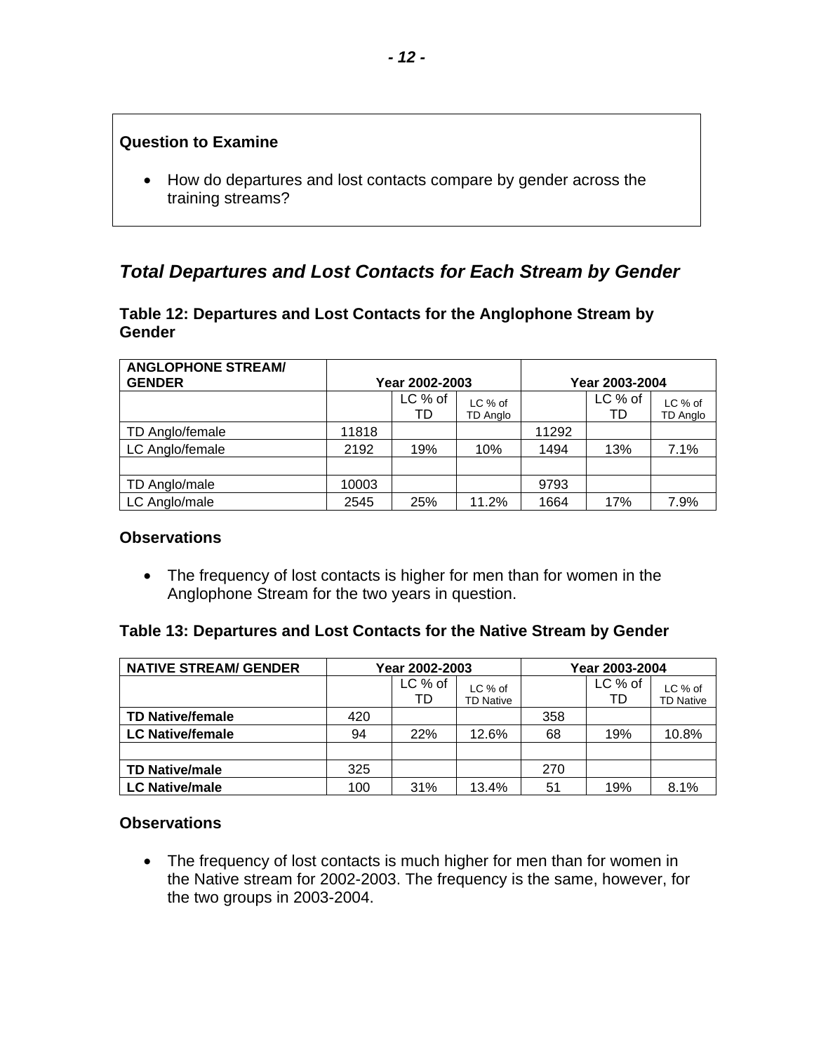#### <span id="page-13-0"></span>**Question to Examine**

• How do departures and lost contacts compare by gender across the training streams?

### *Total Departures and Lost Contacts for Each Stream by Gender*

#### **Table 12: Departures and Lost Contacts for the Anglophone Stream by Gender**

| <b>ANGLOPHONE STREAM/</b><br><b>GENDER</b> | Year 2002-2003 |               |                            | Year 2003-2004 |               |                            |  |
|--------------------------------------------|----------------|---------------|----------------------------|----------------|---------------|----------------------------|--|
|                                            |                | LC % of<br>TD | LC % of<br><b>TD Anglo</b> |                | LC % of<br>TD | LC % of<br><b>TD Anglo</b> |  |
| TD Anglo/female                            | 11818          |               |                            | 11292          |               |                            |  |
| LC Anglo/female                            | 2192           | 19%           | 10%                        | 1494           | 13%           | 7.1%                       |  |
|                                            |                |               |                            |                |               |                            |  |
| TD Anglo/male                              | 10003          |               |                            | 9793           |               |                            |  |
| LC Anglo/male                              | 2545           | 25%           | 11.2%                      | 1664           | 17%           | 7.9%                       |  |

#### **Observations**

• The frequency of lost contacts is higher for men than for women in the Anglophone Stream for the two years in question.

#### **Table 13: Departures and Lost Contacts for the Native Stream by Gender**

| <b>NATIVE STREAM/ GENDER</b> |     | Year 2002-2003 |                             | Year 2003-2004 |               |                             |
|------------------------------|-----|----------------|-----------------------------|----------------|---------------|-----------------------------|
|                              |     | LC % of<br>TD  | LC % of<br><b>TD Native</b> |                | LC % of<br>TD | LC % of<br><b>TD Native</b> |
| <b>TD Native/female</b>      | 420 |                |                             | 358            |               |                             |
| <b>LC Native/female</b>      | 94  | <b>22%</b>     | 12.6%                       | 68             | 19%           | 10.8%                       |
|                              |     |                |                             |                |               |                             |
| <b>TD Native/male</b>        | 325 |                |                             | 270            |               |                             |
| <b>LC Native/male</b>        | 100 | 31%            | 13.4%                       | 51             | 19%           | 8.1%                        |

#### **Observations**

• The frequency of lost contacts is much higher for men than for women in the Native stream for 2002-2003. The frequency is the same, however, for the two groups in 2003-2004.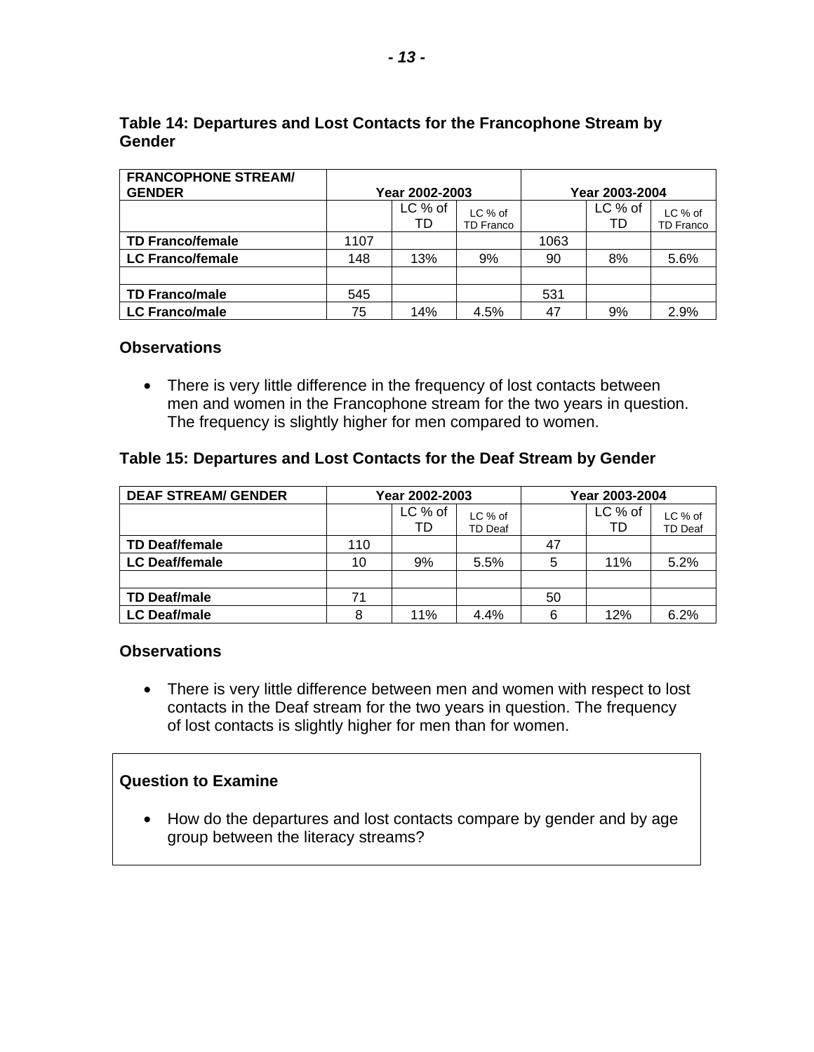| <b>FRANCOPHONE STREAM/</b><br><b>GENDER</b> | Year 2002-2003 |               |                             | Year 2003-2004 |               |                             |  |
|---------------------------------------------|----------------|---------------|-----------------------------|----------------|---------------|-----------------------------|--|
|                                             |                | LC % of<br>TD | LC % of<br><b>TD Franco</b> |                | LC % of<br>TD | LC % of<br><b>TD Franco</b> |  |
| <b>TD Franco/female</b>                     | 1107           |               |                             | 1063           |               |                             |  |
| <b>LC Franco/female</b>                     | 148            | 13%           | 9%                          | 90             | 8%            | 5.6%                        |  |
|                                             |                |               |                             |                |               |                             |  |
| <b>TD Franco/male</b>                       | 545            |               |                             | 531            |               |                             |  |
| <b>LC Franco/male</b>                       | 75             | 14%           | 4.5%                        | 47             | 9%            | 2.9%                        |  |

#### **Table 14: Departures and Lost Contacts for the Francophone Stream by Gender**

#### **Observations**

• There is very little difference in the frequency of lost contacts between men and women in the Francophone stream for the two years in question. The frequency is slightly higher for men compared to women.

#### **Table 15: Departures and Lost Contacts for the Deaf Stream by Gender**

| <b>DEAF STREAM/ GENDER</b> | Year 2002-2003 |               |                    | Year 2003-2004 |               |                    |
|----------------------------|----------------|---------------|--------------------|----------------|---------------|--------------------|
|                            |                | LC % of<br>TD | LC % of<br>TD Deaf |                | LC % of<br>TD | LC % of<br>TD Deaf |
| <b>TD Deaf/female</b>      | 110            |               |                    | 47             |               |                    |
| <b>LC Deaf/female</b>      | 10             | 9%            | 5.5%               | 5              | 11%           | 5.2%               |
|                            |                |               |                    |                |               |                    |
| <b>TD Deaf/male</b>        | 71             |               |                    | 50             |               |                    |
| <b>LC Deaf/male</b>        | 8              | 11%           | 4.4%               | 6              | 12%           | 6.2%               |

#### **Observations**

• There is very little difference between men and women with respect to lost contacts in the Deaf stream for the two years in question. The frequency of lost contacts is slightly higher for men than for women.

#### **Question to Examine**

• How do the departures and lost contacts compare by gender and by age group between the literacy streams?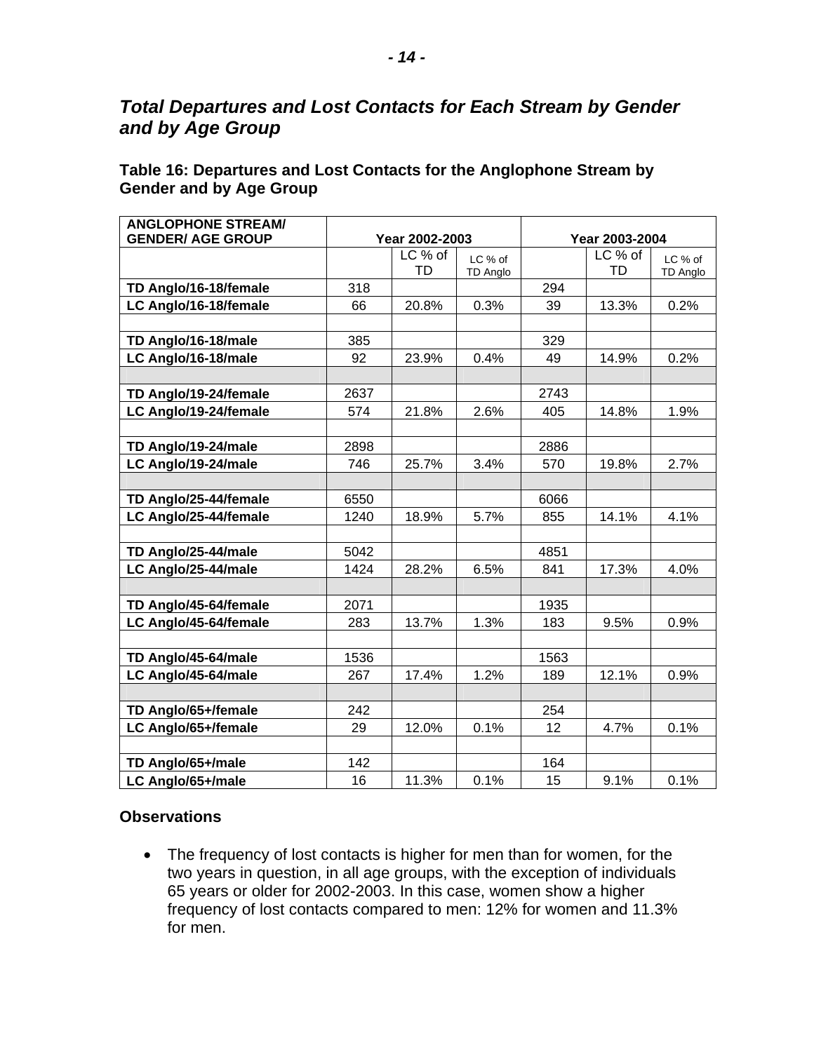### <span id="page-15-0"></span>*Total Departures and Lost Contacts for Each Stream by Gender and by Age Group*

### **Table 16: Departures and Lost Contacts for the Anglophone Stream by Gender and by Age Group**

| <b>ANGLOPHONE STREAM/</b> |      |                |                     |                |               |                     |
|---------------------------|------|----------------|---------------------|----------------|---------------|---------------------|
| <b>GENDER/ AGE GROUP</b>  |      | Year 2002-2003 |                     | Year 2003-2004 |               |                     |
|                           |      | LC % of<br>TD  | LC % of<br>TD Anglo |                | LC % of<br>TD | LC % of<br>TD Anglo |
| TD Anglo/16-18/female     | 318  |                |                     | 294            |               |                     |
| LC Anglo/16-18/female     | 66   | 20.8%          | 0.3%                | 39             | 13.3%         | 0.2%                |
|                           |      |                |                     |                |               |                     |
| TD Anglo/16-18/male       | 385  |                |                     | 329            |               |                     |
| LC Anglo/16-18/male       | 92   | 23.9%          | 0.4%                | 49             | 14.9%         | 0.2%                |
|                           |      |                |                     |                |               |                     |
| TD Anglo/19-24/female     | 2637 |                |                     | 2743           |               |                     |
| LC Anglo/19-24/female     | 574  | 21.8%          | 2.6%                | 405            | 14.8%         | 1.9%                |
|                           |      |                |                     |                |               |                     |
| TD Anglo/19-24/male       | 2898 |                |                     | 2886           |               |                     |
| LC Anglo/19-24/male       | 746  | 25.7%          | 3.4%                | 570            | 19.8%         | 2.7%                |
|                           |      |                |                     |                |               |                     |
| TD Anglo/25-44/female     | 6550 |                |                     | 6066           |               |                     |
| LC Anglo/25-44/female     | 1240 | 18.9%          | 5.7%                | 855            | 14.1%         | 4.1%                |
|                           |      |                |                     |                |               |                     |
| TD Anglo/25-44/male       | 5042 |                |                     | 4851           |               |                     |
| LC Anglo/25-44/male       | 1424 | 28.2%          | 6.5%                | 841            | 17.3%         | 4.0%                |
|                           |      |                |                     |                |               |                     |
| TD Anglo/45-64/female     | 2071 |                |                     | 1935           |               |                     |
| LC Anglo/45-64/female     | 283  | 13.7%          | 1.3%                | 183            | 9.5%          | 0.9%                |
|                           |      |                |                     |                |               |                     |
| TD Anglo/45-64/male       | 1536 |                |                     | 1563           |               |                     |
| LC Anglo/45-64/male       | 267  | 17.4%          | 1.2%                | 189            | 12.1%         | 0.9%                |
|                           |      |                |                     |                |               |                     |
| TD Anglo/65+/female       | 242  |                |                     | 254            |               |                     |
| LC Anglo/65+/female       | 29   | 12.0%          | 0.1%                | 12             | 4.7%          | 0.1%                |
|                           |      |                |                     |                |               |                     |
| TD Anglo/65+/male         | 142  |                |                     | 164            |               |                     |
| LC Anglo/65+/male         | 16   | 11.3%          | 0.1%                | 15             | 9.1%          | 0.1%                |

#### **Observations**

• The frequency of lost contacts is higher for men than for women, for the two years in question, in all age groups, with the exception of individuals 65 years or older for 2002-2003. In this case, women show a higher frequency of lost contacts compared to men: 12% for women and 11.3% for men.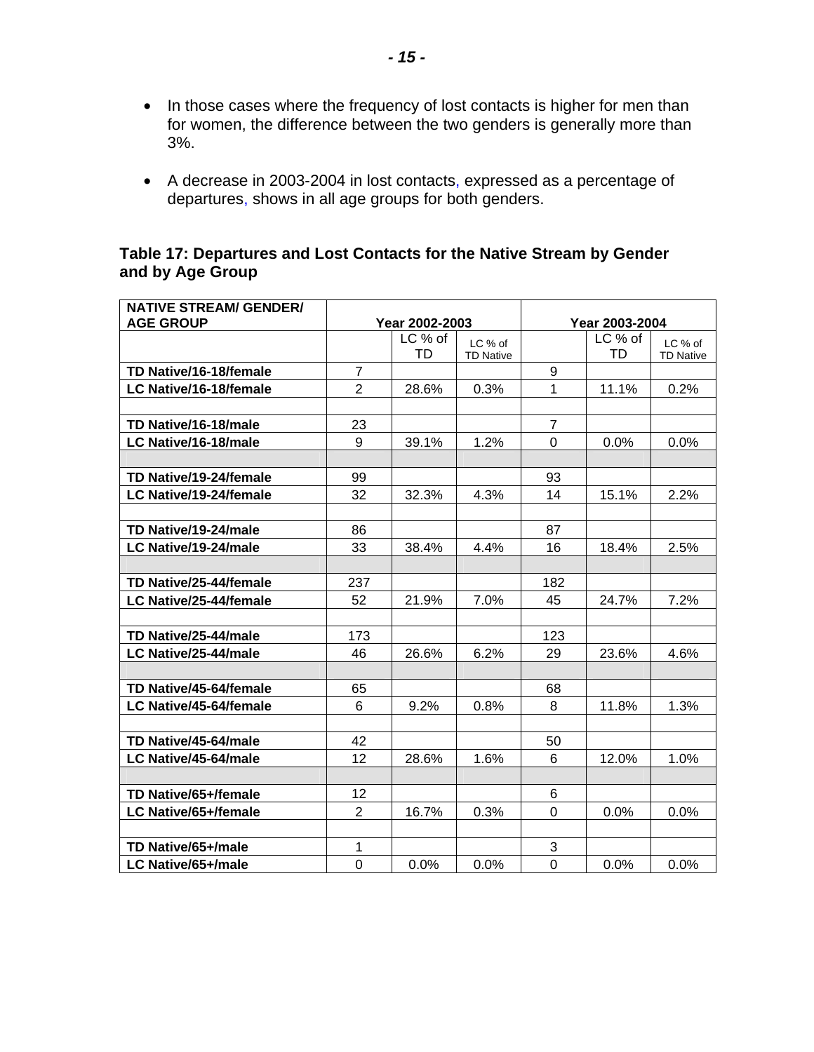- In those cases where the frequency of lost contacts is higher for men than for women, the difference between the two genders is generally more than 3%.
- A decrease in 2003-2004 in lost contacts, expressed as a percentage of departures, shows in all age groups for both genders.

#### **Table 17: Departures and Lost Contacts for the Native Stream by Gender and by Age Group**

| <b>NATIVE STREAM/ GENDER/</b> |                |                |                             |              |                |                             |  |
|-------------------------------|----------------|----------------|-----------------------------|--------------|----------------|-----------------------------|--|
| <b>AGE GROUP</b>              |                | Year 2002-2003 |                             |              | Year 2003-2004 |                             |  |
|                               |                | LC % of<br>TD  | LC % of<br><b>TD Native</b> |              | LC % of<br>TD  | LC % of<br><b>TD Native</b> |  |
| TD Native/16-18/female        | 7              |                |                             | 9            |                |                             |  |
| LC Native/16-18/female        | $\overline{2}$ | 28.6%          | 0.3%                        | $\mathbf{1}$ | 11.1%          | 0.2%                        |  |
|                               |                |                |                             |              |                |                             |  |
| TD Native/16-18/male          | 23             |                |                             | 7            |                |                             |  |
| LC Native/16-18/male          | 9              | 39.1%          | 1.2%                        | 0            | 0.0%           | 0.0%                        |  |
|                               |                |                |                             |              |                |                             |  |
| TD Native/19-24/female        | 99             |                |                             | 93           |                |                             |  |
| LC Native/19-24/female        | 32             | 32.3%          | 4.3%                        | 14           | 15.1%          | 2.2%                        |  |
|                               |                |                |                             |              |                |                             |  |
| TD Native/19-24/male          | 86             |                |                             | 87           |                |                             |  |
| LC Native/19-24/male          | 33             | 38.4%          | 4.4%                        | 16           | 18.4%          | 2.5%                        |  |
|                               |                |                |                             |              |                |                             |  |
| TD Native/25-44/female        | 237            |                |                             | 182          |                |                             |  |
| LC Native/25-44/female        | 52             | 21.9%          | 7.0%                        | 45           | 24.7%          | 7.2%                        |  |
|                               |                |                |                             |              |                |                             |  |
| TD Native/25-44/male          | 173            |                |                             | 123          |                |                             |  |
| LC Native/25-44/male          | 46             | 26.6%          | 6.2%                        | 29           | 23.6%          | 4.6%                        |  |
|                               |                |                |                             |              |                |                             |  |
| TD Native/45-64/female        | 65             |                |                             | 68           |                |                             |  |
| LC Native/45-64/female        | 6              | 9.2%           | 0.8%                        | 8            | 11.8%          | 1.3%                        |  |
|                               |                |                |                             |              |                |                             |  |
| TD Native/45-64/male          | 42             |                |                             | 50           |                |                             |  |
| LC Native/45-64/male          | 12             | 28.6%          | 1.6%                        | 6            | 12.0%          | 1.0%                        |  |
|                               |                |                |                             |              |                |                             |  |
| TD Native/65+/female          | 12             |                |                             | 6            |                |                             |  |
| LC Native/65+/female          | $\overline{2}$ | 16.7%          | 0.3%                        | $\Omega$     | 0.0%           | 0.0%                        |  |
|                               |                |                |                             |              |                |                             |  |
| TD Native/65+/male            | 1              |                |                             | 3            |                |                             |  |
| LC Native/65+/male            | 0              | 0.0%           | 0.0%                        | 0            | 0.0%           | 0.0%                        |  |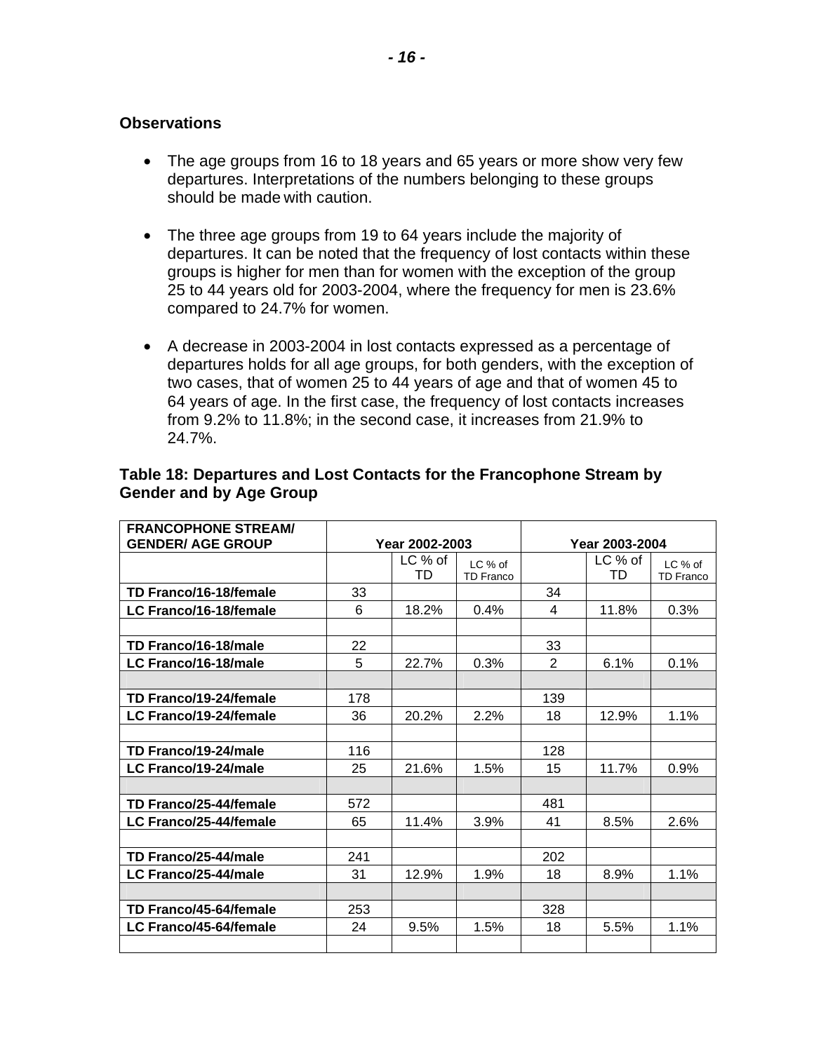- The age groups from 16 to 18 years and 65 years or more show very few departures. Interpretations of the numbers belonging to these groups should be made with caution.
- The three age groups from 19 to 64 years include the majority of departures. It can be noted that the frequency of lost contacts within these groups is higher for men than for women with the exception of the group 25 to 44 years old for 2003-2004, where the frequency for men is 23.6% compared to 24.7% for women.
- A decrease in 2003-2004 in lost contacts expressed as a percentage of departures holds for all age groups, for both genders, with the exception of two cases, that of women 25 to 44 years of age and that of women 45 to 64 years of age. In the first case, the frequency of lost contacts increases from 9.2% to 11.8%; in the second case, it increases from 21.9% to 24.7%.

| <b>FRANCOPHONE STREAM/</b> |     |                |                  |                |         |                  |  |
|----------------------------|-----|----------------|------------------|----------------|---------|------------------|--|
| <b>GENDER/ AGE GROUP</b>   |     | Year 2002-2003 |                  | Year 2003-2004 |         |                  |  |
|                            |     | $LC$ % of      | LC % of          |                | LC % of | $LC$ % of        |  |
|                            |     | TD             | <b>TD Franco</b> |                | TD      | <b>TD Franco</b> |  |
| TD Franco/16-18/female     | 33  |                |                  | 34             |         |                  |  |
| LC Franco/16-18/female     | 6   | 18.2%          | 0.4%             | 4              | 11.8%   | 0.3%             |  |
|                            |     |                |                  |                |         |                  |  |
| TD Franco/16-18/male       | 22  |                |                  | 33             |         |                  |  |
| LC Franco/16-18/male       | 5   | 22.7%          | 0.3%             | $\overline{2}$ | 6.1%    | 0.1%             |  |
|                            |     |                |                  |                |         |                  |  |
| TD Franco/19-24/female     | 178 |                |                  | 139            |         |                  |  |
| LC Franco/19-24/female     | 36  | 20.2%          | 2.2%             | 18             | 12.9%   | 1.1%             |  |
|                            |     |                |                  |                |         |                  |  |
| TD Franco/19-24/male       | 116 |                |                  | 128            |         |                  |  |
| LC Franco/19-24/male       | 25  | 21.6%          | 1.5%             | 15             | 11.7%   | 0.9%             |  |
|                            |     |                |                  |                |         |                  |  |
| TD Franco/25-44/female     | 572 |                |                  | 481            |         |                  |  |
| LC Franco/25-44/female     | 65  | 11.4%          | 3.9%             | 41             | 8.5%    | 2.6%             |  |
|                            |     |                |                  |                |         |                  |  |
| TD Franco/25-44/male       | 241 |                |                  | 202            |         |                  |  |
| LC Franco/25-44/male       | 31  | 12.9%          | 1.9%             | 18             | 8.9%    | 1.1%             |  |
|                            |     |                |                  |                |         |                  |  |
| TD Franco/45-64/female     | 253 |                |                  | 328            |         |                  |  |
| LC Franco/45-64/female     | 24  | 9.5%           | 1.5%             | 18             | 5.5%    | 1.1%             |  |
|                            |     |                |                  |                |         |                  |  |

#### **Table 18: Departures and Lost Contacts for the Francophone Stream by Gender and by Age Group**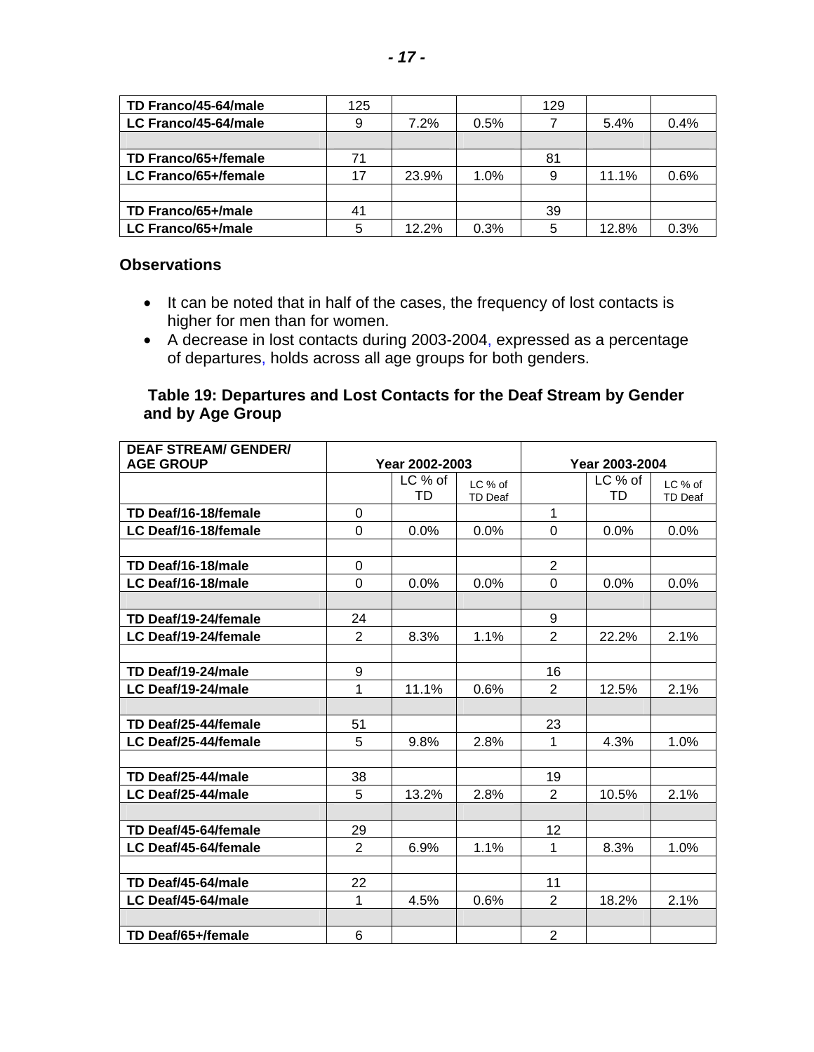| TD Franco/45-64/male | 125 |       |      | 129 |       |      |
|----------------------|-----|-------|------|-----|-------|------|
| LC Franco/45-64/male | 9   | 7.2%  | 0.5% |     | 5.4%  | 0.4% |
|                      |     |       |      |     |       |      |
| TD Franco/65+/female | 71  |       |      | 81  |       |      |
| LC Franco/65+/female | 17  | 23.9% | 1.0% |     | 11.1% | 0.6% |
|                      |     |       |      |     |       |      |
| TD Franco/65+/male   | 41  |       |      | 39  |       |      |
| LC Franco/65+/male   | 5   | 12.2% | 0.3% | 5   | 12.8% | 0.3% |

- It can be noted that in half of the cases, the frequency of lost contacts is higher for men than for women.
- A decrease in lost contacts during 2003-2004, expressed as a percentage of departures, holds across all age groups for both genders.

#### **Table 19: Departures and Lost Contacts for the Deaf Stream by Gender and by Age Group**

| <b>DEAF STREAM/ GENDER/</b> |                |                |                |                |                |                |
|-----------------------------|----------------|----------------|----------------|----------------|----------------|----------------|
| <b>AGE GROUP</b>            |                | Year 2002-2003 |                |                | Year 2003-2004 |                |
|                             |                | LC % of        | LC % of        |                | LC % of        | LC % of        |
|                             |                | TD             | <b>TD Deaf</b> |                | TD             | <b>TD Deaf</b> |
| TD Deaf/16-18/female        | 0              |                |                | 1              |                |                |
| LC Deaf/16-18/female        | 0              | 0.0%           | 0.0%           | $\Omega$       | 0.0%           | 0.0%           |
|                             |                |                |                |                |                |                |
| TD Deaf/16-18/male          | 0              |                |                | $\overline{2}$ |                |                |
| LC Deaf/16-18/male          | $\Omega$       | 0.0%           | 0.0%           | $\Omega$       | 0.0%           | 0.0%           |
|                             |                |                |                |                |                |                |
| TD Deaf/19-24/female        | 24             |                |                | 9              |                |                |
| LC Deaf/19-24/female        | $\overline{2}$ | 8.3%           | 1.1%           | 2              | 22.2%          | 2.1%           |
|                             |                |                |                |                |                |                |
| TD Deaf/19-24/male          | 9              |                |                | 16             |                |                |
| LC Deaf/19-24/male          | $\mathbf{1}$   | 11.1%          | 0.6%           | 2              | 12.5%          | 2.1%           |
|                             |                |                |                |                |                |                |
| TD Deaf/25-44/female        | 51             |                |                | 23             |                |                |
| LC Deaf/25-44/female        | 5              | 9.8%           | 2.8%           | $\mathbf{1}$   | 4.3%           | 1.0%           |
|                             |                |                |                |                |                |                |
| TD Deaf/25-44/male          | 38             |                |                | 19             |                |                |
| LC Deaf/25-44/male          | 5              | 13.2%          | 2.8%           | $\overline{2}$ | 10.5%          | 2.1%           |
|                             |                |                |                |                |                |                |
| TD Deaf/45-64/female        | 29             |                |                | 12             |                |                |
| LC Deaf/45-64/female        | $\overline{2}$ | 6.9%           | 1.1%           | 1              | 8.3%           | 1.0%           |
|                             |                |                |                |                |                |                |
| TD Deaf/45-64/male          | 22             |                |                | 11             |                |                |
| LC Deaf/45-64/male          | 1              | 4.5%           | 0.6%           | $\overline{2}$ | 18.2%          | 2.1%           |
|                             |                |                |                |                |                |                |
| TD Deaf/65+/female          | 6              |                |                | $\overline{2}$ |                |                |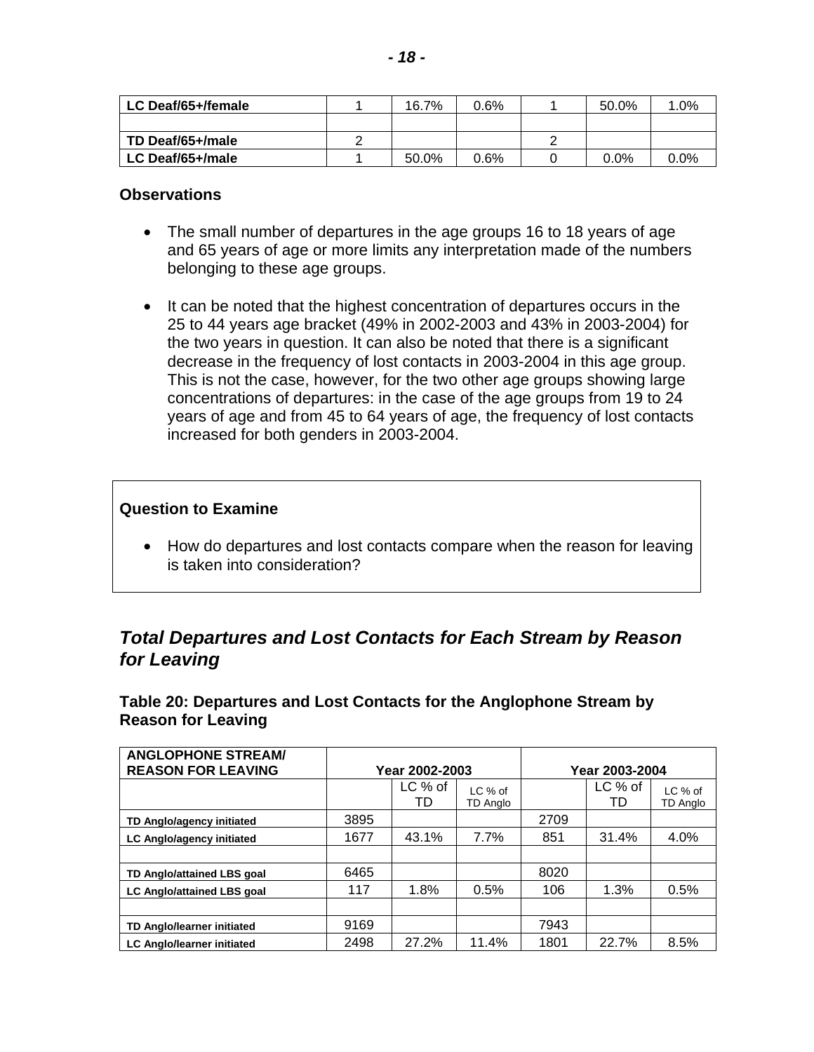<span id="page-19-0"></span>

| LC Deaf/65+/female | 16.7% | 0.6% | 50.0%   | $.0\%$  |
|--------------------|-------|------|---------|---------|
|                    |       |      |         |         |
| TD Deaf/65+/male   |       |      |         |         |
| LC Deaf/65+/male   | 50.0% | 0.6% | $0.0\%$ | $0.0\%$ |

- The small number of departures in the age groups 16 to 18 years of age and 65 years of age or more limits any interpretation made of the numbers belonging to these age groups.
- It can be noted that the highest concentration of departures occurs in the 25 to 44 years age bracket (49% in 2002-2003 and 43% in 2003-2004) for the two years in question. It can also be noted that there is a significant decrease in the frequency of lost contacts in 2003-2004 in this age group. This is not the case, however, for the two other age groups showing large concentrations of departures: in the case of the age groups from 19 to 24 years of age and from 45 to 64 years of age, the frequency of lost contacts increased for both genders in 2003-2004.

#### **Question to Examine**

• How do departures and lost contacts compare when the reason for leaving is taken into consideration?

### *Total Departures and Lost Contacts for Each Stream by Reason for Leaving*

**Table 20: Departures and Lost Contacts for the Anglophone Stream by Reason for Leaving** 

| <b>ANGLOPHONE STREAM/</b>         |      |                |                       |                |               |                       |
|-----------------------------------|------|----------------|-----------------------|----------------|---------------|-----------------------|
| <b>REASON FOR LEAVING</b>         |      | Year 2002-2003 |                       | Year 2003-2004 |               |                       |
|                                   |      | LC % of<br>TD  | $LC$ % of<br>TD Analo |                | LC % of<br>TD | $LC$ % of<br>TD Anglo |
| TD Anglo/agency initiated         | 3895 |                |                       | 2709           |               |                       |
| LC Anglo/agency initiated         | 1677 | 43.1%          | 7.7%                  | 851            | 31.4%         | 4.0%                  |
|                                   |      |                |                       |                |               |                       |
| TD Anglo/attained LBS goal        | 6465 |                |                       | 8020           |               |                       |
| <b>LC Anglo/attained LBS goal</b> | 117  | 1.8%           | 0.5%                  | 106            | 1.3%          | 0.5%                  |
|                                   |      |                |                       |                |               |                       |
| <b>TD Anglo/learner initiated</b> | 9169 |                |                       | 7943           |               |                       |
| <b>LC Anglo/learner initiated</b> | 2498 | 27.2%          | 11.4%                 | 1801           | 22.7%         | 8.5%                  |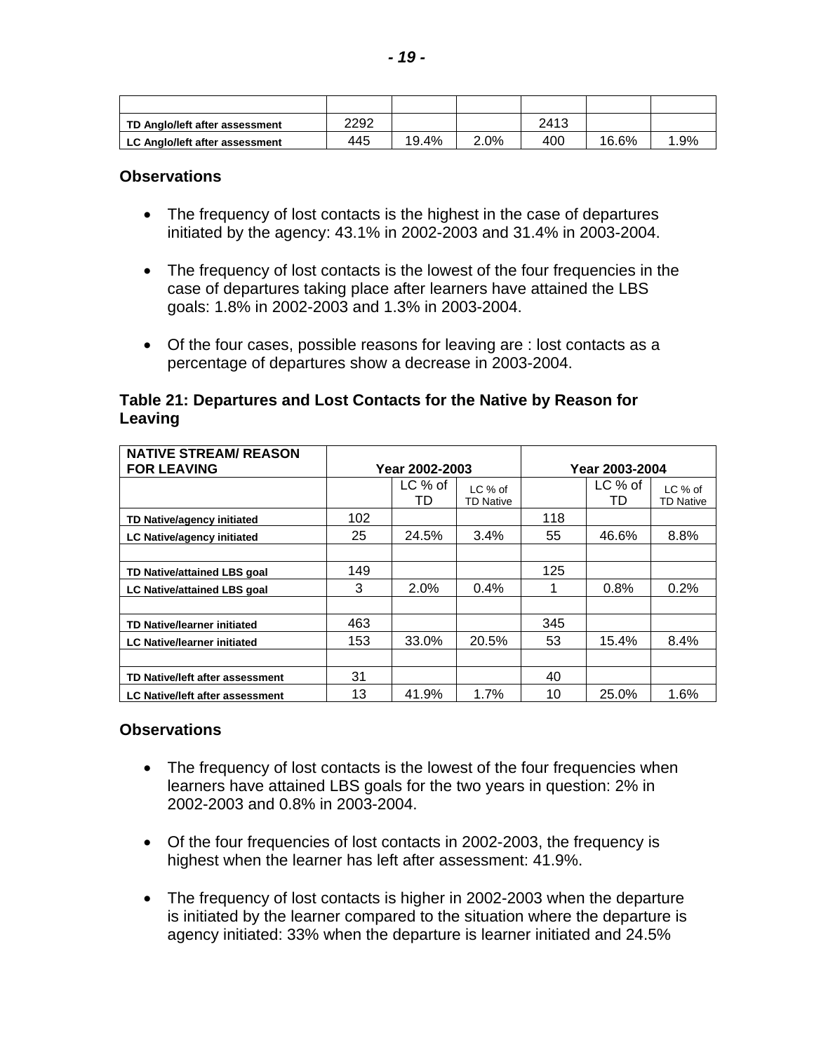| TD Anglo/left after assessment | 2292 |       |      | 2413 |       |     |
|--------------------------------|------|-------|------|------|-------|-----|
| LC Anglo/left after assessment | 445  | 19.4% | 2.0% | 400  | 16.6% | .9% |

- The frequency of lost contacts is the highest in the case of departures initiated by the agency: 43.1% in 2002-2003 and 31.4% in 2003-2004.
- The frequency of lost contacts is the lowest of the four frequencies in the case of departures taking place after learners have attained the LBS goals: 1.8% in 2002-2003 and 1.3% in 2003-2004.
- Of the four cases, possible reasons for leaving are : lost contacts as a percentage of departures show a decrease in 2003-2004.

#### **Table 21: Departures and Lost Contacts for the Native by Reason for Leaving**

| <b>NATIVE STREAM/ REASON</b>           |                |                 |                             |                |               |                             |
|----------------------------------------|----------------|-----------------|-----------------------------|----------------|---------------|-----------------------------|
| <b>FOR LEAVING</b>                     | Year 2002-2003 |                 |                             | Year 2003-2004 |               |                             |
|                                        |                | $LC$ % of<br>TD | LC % of<br><b>TD Native</b> |                | LC % of<br>TD | LC % of<br><b>TD Native</b> |
| TD Native/agency initiated             | 102            |                 |                             | 118            |               |                             |
| LC Native/agency initiated             | 25             | 24.5%           | 3.4%                        | 55             | 46.6%         | 8.8%                        |
|                                        |                |                 |                             |                |               |                             |
| TD Native/attained LBS goal            | 149            |                 |                             | 125            |               |                             |
| <b>LC Native/attained LBS goal</b>     | 3              | $2.0\%$         | 0.4%                        |                | 0.8%          | 0.2%                        |
|                                        |                |                 |                             |                |               |                             |
| <b>TD Native/learner initiated</b>     | 463            |                 |                             | 345            |               |                             |
| <b>LC Native/learner initiated</b>     | 153            | 33.0%           | 20.5%                       | 53             | 15.4%         | 8.4%                        |
|                                        |                |                 |                             |                |               |                             |
| TD Native/left after assessment        | 31             |                 |                             | 40             |               |                             |
| <b>LC Native/left after assessment</b> | 13             | 41.9%           | 1.7%                        | 10             | 25.0%         | 1.6%                        |

#### **Observations**

- The frequency of lost contacts is the lowest of the four frequencies when learners have attained LBS goals for the two years in question: 2% in 2002-2003 and 0.8% in 2003-2004.
- Of the four frequencies of lost contacts in 2002-2003, the frequency is highest when the learner has left after assessment: 41.9%.
- The frequency of lost contacts is higher in 2002-2003 when the departure is initiated by the learner compared to the situation where the departure is agency initiated: 33% when the departure is learner initiated and 24.5%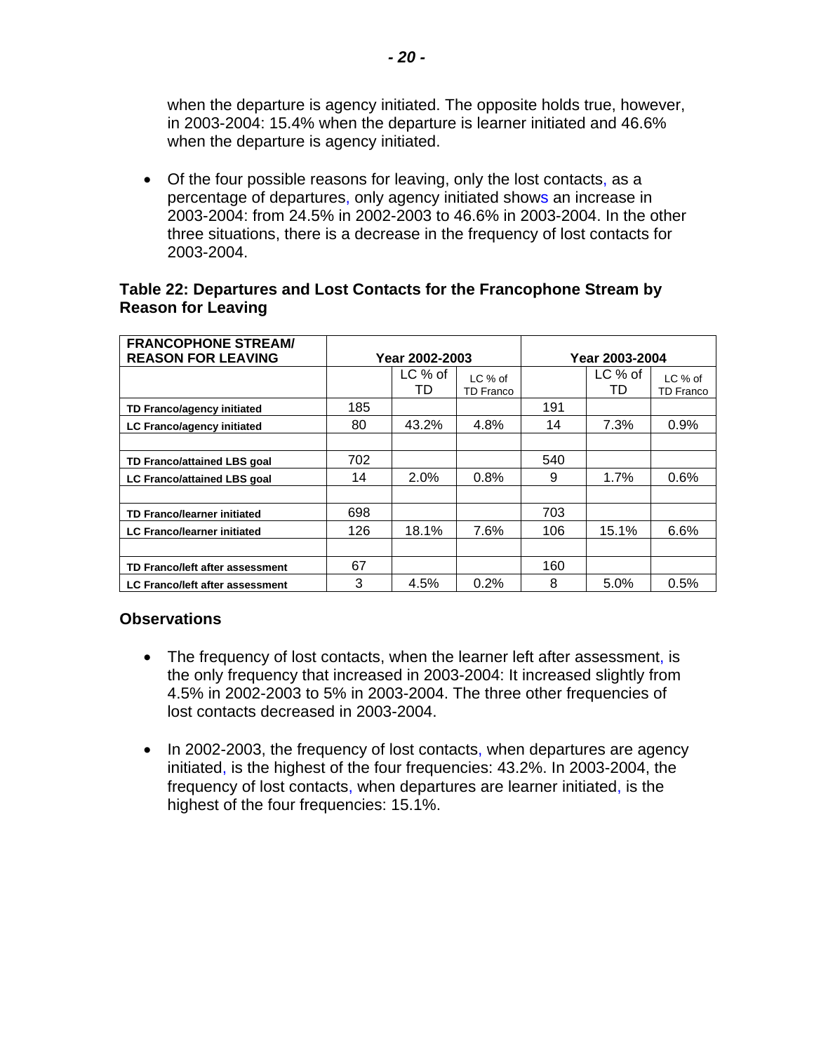when the departure is agency initiated. The opposite holds true, however, in 2003-2004: 15.4% when the departure is learner initiated and 46.6% when the departure is agency initiated.

• Of the four possible reasons for leaving, only the lost contacts, as a percentage of departures, only agency initiated shows an increase in 2003-2004: from 24.5% in 2002-2003 to 46.6% in 2003-2004. In the other three situations, there is a decrease in the frequency of lost contacts for 2003-2004.

#### **Table 22: Departures and Lost Contacts for the Francophone Stream by Reason for Leaving**

| <b>FRANCOPHONE STREAM/</b>             |                |                 |                             |                |                 |                             |
|----------------------------------------|----------------|-----------------|-----------------------------|----------------|-----------------|-----------------------------|
| <b>REASON FOR LEAVING</b>              | Year 2002-2003 |                 |                             | Year 2003-2004 |                 |                             |
|                                        |                | $LC$ % of<br>TD | LC % of<br><b>TD Franco</b> |                | $LC$ % of<br>TD | LC % of<br><b>TD Franco</b> |
| TD Franco/agency initiated             | 185            |                 |                             | 191            |                 |                             |
| <b>LC Franco/agency initiated</b>      | 80             | 43.2%           | 4.8%                        | 14             | 7.3%            | 0.9%                        |
|                                        |                |                 |                             |                |                 |                             |
| TD Franco/attained LBS goal            | 702            |                 |                             | 540            |                 |                             |
| <b>LC Franco/attained LBS goal</b>     | 14             | $2.0\%$         | 0.8%                        | 9              | 1.7%            | 0.6%                        |
|                                        |                |                 |                             |                |                 |                             |
| <b>TD Franco/learner initiated</b>     | 698            |                 |                             | 703            |                 |                             |
| <b>LC Franco/learner initiated</b>     | 126            | 18.1%           | 7.6%                        | 106            | 15.1%           | 6.6%                        |
|                                        |                |                 |                             |                |                 |                             |
| TD Franco/left after assessment        | 67             |                 |                             | 160            |                 |                             |
| <b>LC Franco/left after assessment</b> | 3              | 4.5%            | 0.2%                        | 8              | 5.0%            | 0.5%                        |

#### **Observations**

- The frequency of lost contacts, when the learner left after assessment, is the only frequency that increased in 2003-2004: It increased slightly from 4.5% in 2002-2003 to 5% in 2003-2004. The three other frequencies of lost contacts decreased in 2003-2004.
- In 2002-2003, the frequency of lost contacts, when departures are agency initiated, is the highest of the four frequencies: 43.2%. In 2003-2004, the frequency of lost contacts, when departures are learner initiated, is the highest of the four frequencies: 15.1%.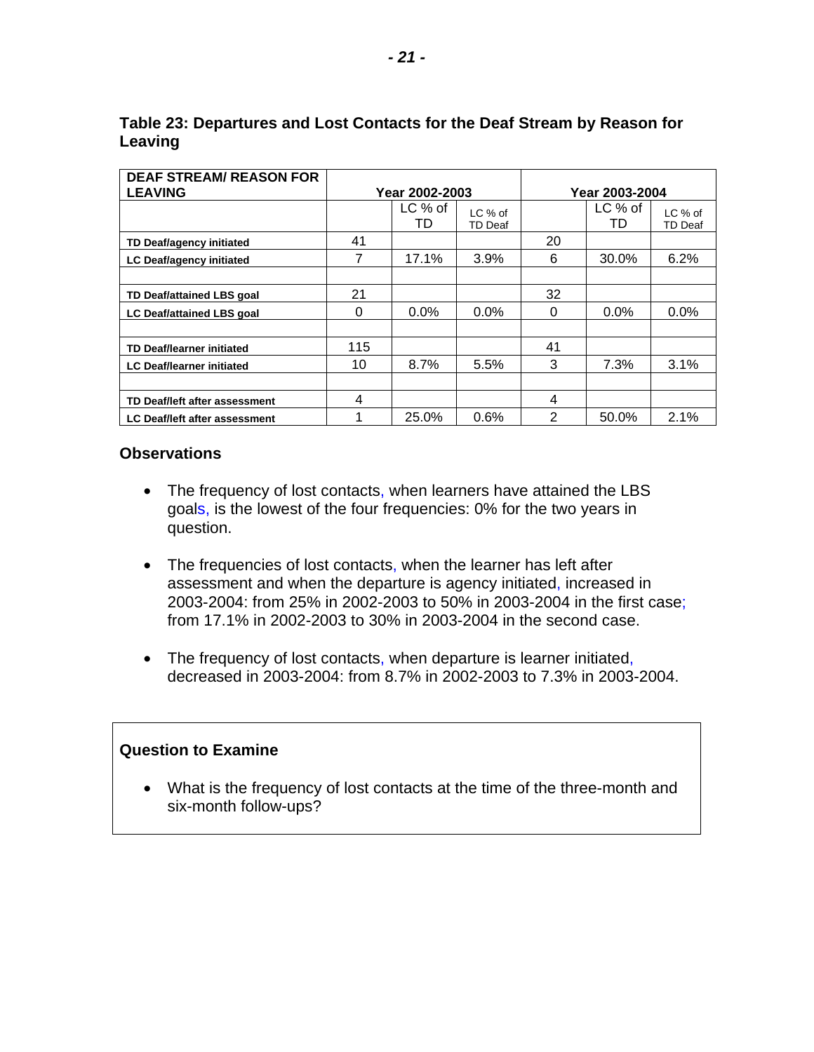| <b>DEAF STREAM/ REASON FOR</b>   |                |           |                |                |           |                |
|----------------------------------|----------------|-----------|----------------|----------------|-----------|----------------|
| <b>LEAVING</b>                   | Year 2002-2003 |           |                | Year 2003-2004 |           |                |
|                                  |                | $LC$ % of | LC % of        |                | $LC$ % of | LC % of        |
|                                  |                | TD        | <b>TD Deaf</b> |                | TD        | <b>TD Deaf</b> |
| TD Deaf/agency initiated         | 41             |           |                | 20             |           |                |
| LC Deaf/agency initiated         | 7              | 17.1%     | 3.9%           | 6              | 30.0%     | 6.2%           |
|                                  |                |           |                |                |           |                |
| TD Deaf/attained LBS goal        | 21             |           |                | 32             |           |                |
| <b>LC Deaf/attained LBS goal</b> | 0              | $0.0\%$   | $0.0\%$        | 0              | $0.0\%$   | 0.0%           |
|                                  |                |           |                |                |           |                |
| <b>TD Deaf/learner initiated</b> | 115            |           |                | 41             |           |                |
| <b>LC Deaf/learner initiated</b> | 10             | 8.7%      | 5.5%           | 3              | 7.3%      | 3.1%           |
|                                  |                |           |                |                |           |                |
| TD Deaf/left after assessment    | 4              |           |                | 4              |           |                |
| LC Deaf/left after assessment    | 1              | 25.0%     | 0.6%           | 2              | 50.0%     | 2.1%           |

#### **Table 23: Departures and Lost Contacts for the Deaf Stream by Reason for Leaving**

#### **Observations**

- The frequency of lost contacts, when learners have attained the LBS goals, is the lowest of the four frequencies: 0% for the two years in question.
- The frequencies of lost contacts, when the learner has left after assessment and when the departure is agency initiated, increased in 2003-2004: from 25% in 2002-2003 to 50% in 2003-2004 in the first case; from 17.1% in 2002-2003 to 30% in 2003-2004 in the second case.
- The frequency of lost contacts, when departure is learner initiated, decreased in 2003-2004: from 8.7% in 2002-2003 to 7.3% in 2003-2004.

#### **Question to Examine**

• What is the frequency of lost contacts at the time of the three-month and six-month follow-ups?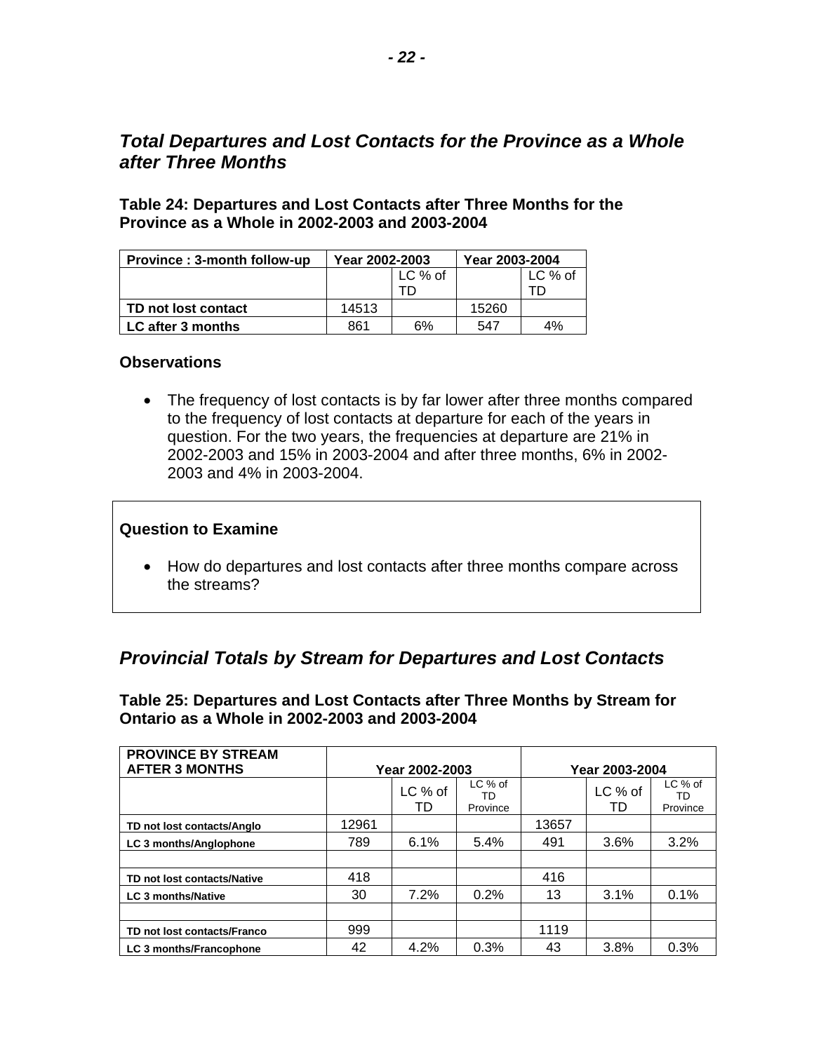### <span id="page-23-0"></span>*Total Departures and Lost Contacts for the Province as a Whole after Three Months*

**Table 24: Departures and Lost Contacts after Three Months for the Province as a Whole in 2002-2003 and 2003-2004** 

| <b>Province: 3-month follow-up</b> | Year 2002-2003 |           | Year 2003-2004 |           |  |
|------------------------------------|----------------|-----------|----------------|-----------|--|
|                                    |                | $LC$ % of |                | $LC$ % of |  |
|                                    |                |           |                |           |  |
| TD not lost contact                | 14513          |           | 15260          |           |  |
| LC after 3 months                  | 861            | 6%        | 547            | 4%        |  |

#### **Observations**

• The frequency of lost contacts is by far lower after three months compared to the frequency of lost contacts at departure for each of the years in question. For the two years, the frequencies at departure are 21% in 2002-2003 and 15% in 2003-2004 and after three months, 6% in 2002 2003 and 4% in 2003-2004.

#### **Question to Examine**

• How do departures and lost contacts after three months compare across the streams?

### *Provincial Totals by Stream for Departures and Lost Contacts*

**Table 25: Departures and Lost Contacts after Three Months by Stream for Ontario as a Whole in 2002-2003 and 2003-2004** 

| <b>PROVINCE BY STREAM</b><br><b>AFTER 3 MONTHS</b> | Year 2002-2003 |               |                           | Year 2003-2004 |               |                           |
|----------------------------------------------------|----------------|---------------|---------------------------|----------------|---------------|---------------------------|
|                                                    |                | LC % of<br>TD | LC % of<br>TD<br>Province |                | LC % of<br>TD | LC % of<br>TD<br>Province |
| TD not lost contacts/Anglo                         | 12961          |               |                           | 13657          |               |                           |
| LC 3 months/Anglophone                             | 789            | 6.1%          | 5.4%                      | 491            | 3.6%          | 3.2%                      |
|                                                    |                |               |                           |                |               |                           |
| TD not lost contacts/Native                        | 418            |               |                           | 416            |               |                           |
| <b>LC 3 months/Native</b>                          | 30             | 7.2%          | 0.2%                      | 13             | 3.1%          | 0.1%                      |
|                                                    |                |               |                           |                |               |                           |
| TD not lost contacts/Franco                        | 999            |               |                           | 1119           |               |                           |
| <b>LC 3 months/Francophone</b>                     | 42             | 4.2%          | 0.3%                      | 43             | 3.8%          | 0.3%                      |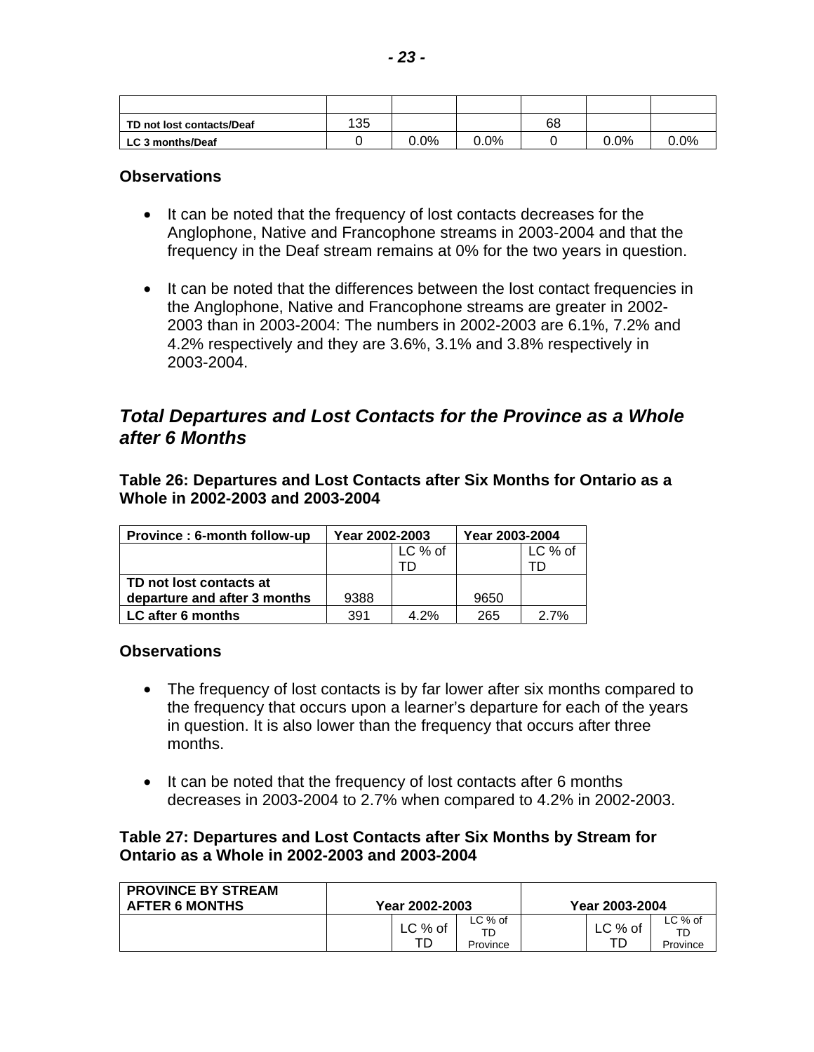<span id="page-24-0"></span>

| TD not lost contacts/Deaf | 135 |         |         | 68 |         |      |
|---------------------------|-----|---------|---------|----|---------|------|
| LC 3 months/Deaf          |     | $0.0\%$ | $0.0\%$ |    | $0.0\%$ | 0.0% |

- It can be noted that the frequency of lost contacts decreases for the Anglophone, Native and Francophone streams in 2003-2004 and that the frequency in the Deaf stream remains at 0% for the two years in question.
- It can be noted that the differences between the lost contact frequencies in the Anglophone, Native and Francophone streams are greater in 2002 2003 than in 2003-2004: The numbers in 2002-2003 are 6.1%, 7.2% and 4.2% respectively and they are 3.6%, 3.1% and 3.8% respectively in 2003-2004.

### *Total Departures and Lost Contacts for the Province as a Whole after 6 Months*

**Table 26: Departures and Lost Contacts after Six Months for Ontario as a Whole in 2002-2003 and 2003-2004** 

| Province: 6-month follow-up  | Year 2002-2003 |         | Year 2003-2004 |           |  |
|------------------------------|----------------|---------|----------------|-----------|--|
|                              |                | LC % of |                | $LC$ % of |  |
|                              |                |         |                |           |  |
| TD not lost contacts at      |                |         |                |           |  |
| departure and after 3 months | 9388           |         | 9650           |           |  |
| LC after 6 months            | 391            | 4.2%    | 265            | 2.7%      |  |

#### **Observations**

- The frequency of lost contacts is by far lower after six months compared to the frequency that occurs upon a learner's departure for each of the years in question. It is also lower than the frequency that occurs after three months.
- It can be noted that the frequency of lost contacts after 6 months decreases in 2003-2004 to 2.7% when compared to 4.2% in 2002-2003.

#### **Table 27: Departures and Lost Contacts after Six Months by Stream for Ontario as a Whole in 2002-2003 and 2003-2004**

| <b>PROVINCE BY STREAM</b><br><b>AFTER 6 MONTHS</b> | Year 2002-2003 |         |                           | Year 2003-2004 |           |                           |
|----------------------------------------------------|----------------|---------|---------------------------|----------------|-----------|---------------------------|
|                                                    |                | LC % of | LC % of<br>TD<br>Province |                | $LC$ % of | LC % of<br>TD<br>Province |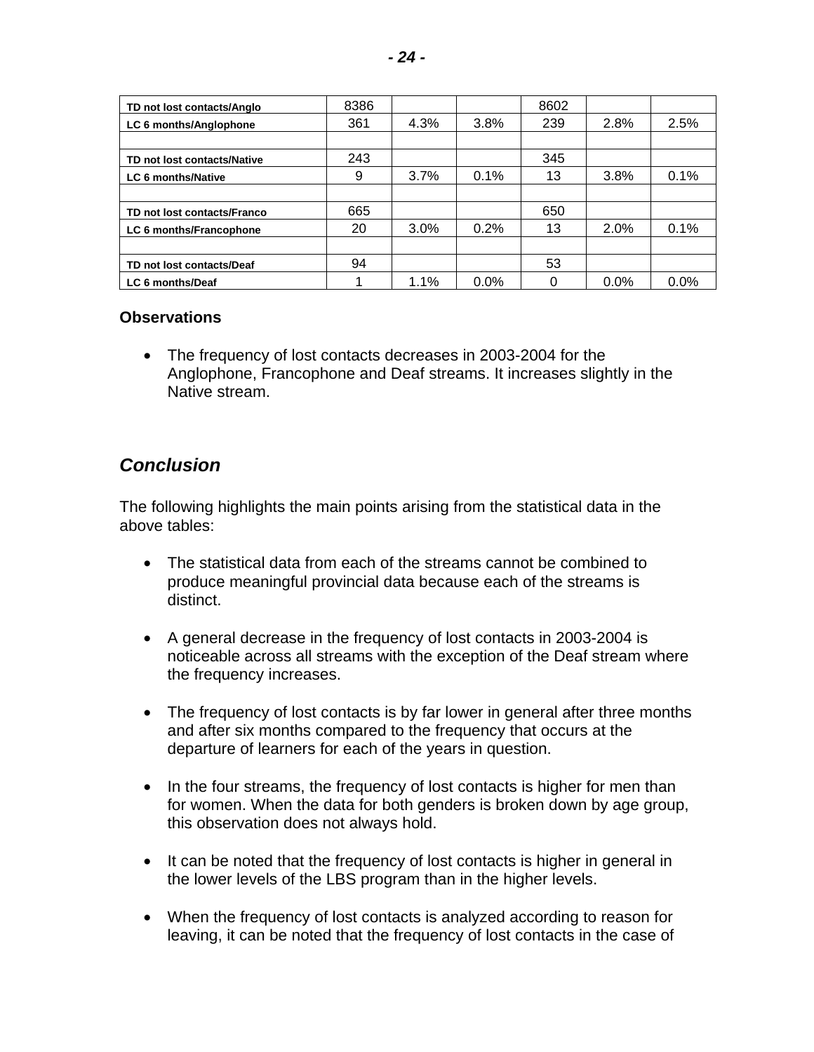<span id="page-25-0"></span>

| TD not lost contacts/Anglo  | 8386 |      |      | 8602 |         |      |
|-----------------------------|------|------|------|------|---------|------|
| LC 6 months/Anglophone      | 361  | 4.3% | 3.8% | 239  | 2.8%    | 2.5% |
|                             |      |      |      |      |         |      |
| TD not lost contacts/Native | 243  |      |      | 345  |         |      |
| LC 6 months/Native          | 9    | 3.7% | 0.1% | 13   | 3.8%    | 0.1% |
|                             |      |      |      |      |         |      |
| TD not lost contacts/Franco | 665  |      |      | 650  |         |      |
| LC 6 months/Francophone     | 20   | 3.0% | 0.2% | 13   | 2.0%    | 0.1% |
|                             |      |      |      |      |         |      |
| TD not lost contacts/Deaf   | 94   |      |      | 53   |         |      |
| LC 6 months/Deaf            |      | 1.1% | 0.0% |      | $0.0\%$ | 0.0% |

• The frequency of lost contacts decreases in 2003-2004 for the Anglophone, Francophone and Deaf streams. It increases slightly in the Native stream.

### *Conclusion*

The following highlights the main points arising from the statistical data in the above tables:

- The statistical data from each of the streams cannot be combined to produce meaningful provincial data because each of the streams is distinct.
- A general decrease in the frequency of lost contacts in 2003-2004 is noticeable across all streams with the exception of the Deaf stream where the frequency increases.
- The frequency of lost contacts is by far lower in general after three months and after six months compared to the frequency that occurs at the departure of learners for each of the years in question.
- In the four streams, the frequency of lost contacts is higher for men than for women. When the data for both genders is broken down by age group, this observation does not always hold.
- It can be noted that the frequency of lost contacts is higher in general in the lower levels of the LBS program than in the higher levels.
- When the frequency of lost contacts is analyzed according to reason for leaving, it can be noted that the frequency of lost contacts in the case of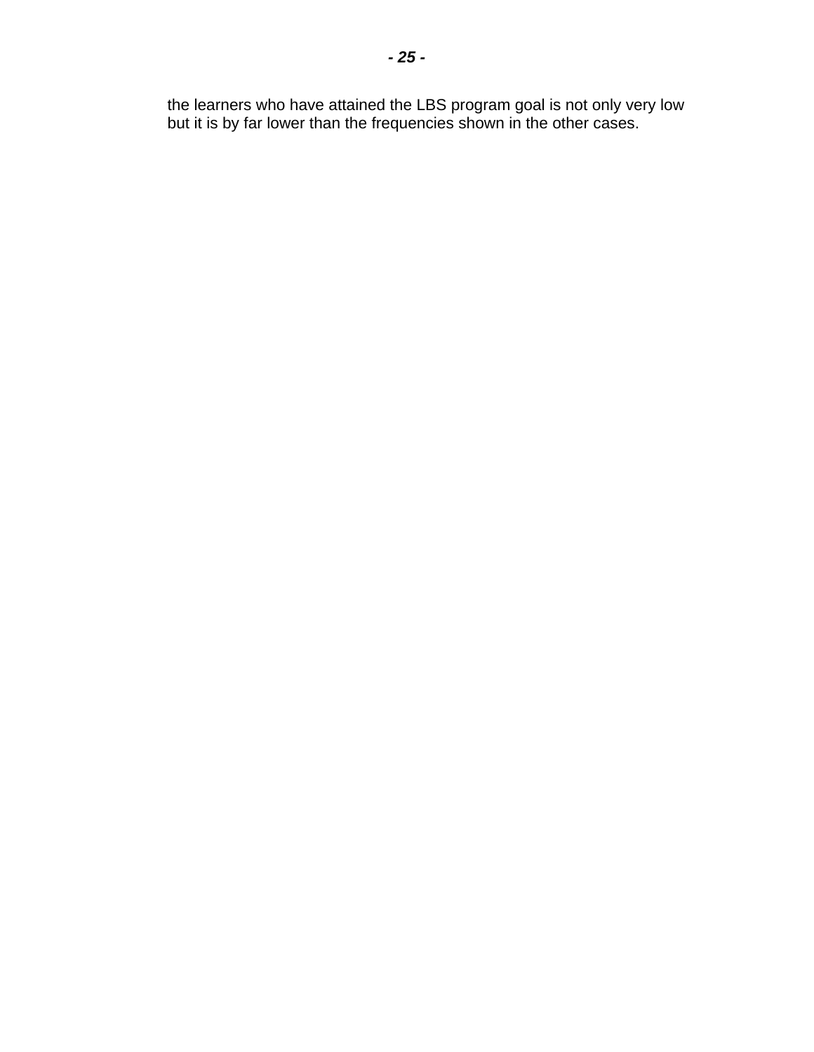the learners who have attained the LBS program goal is not only very low but it is by far lower than the frequencies shown in the other cases.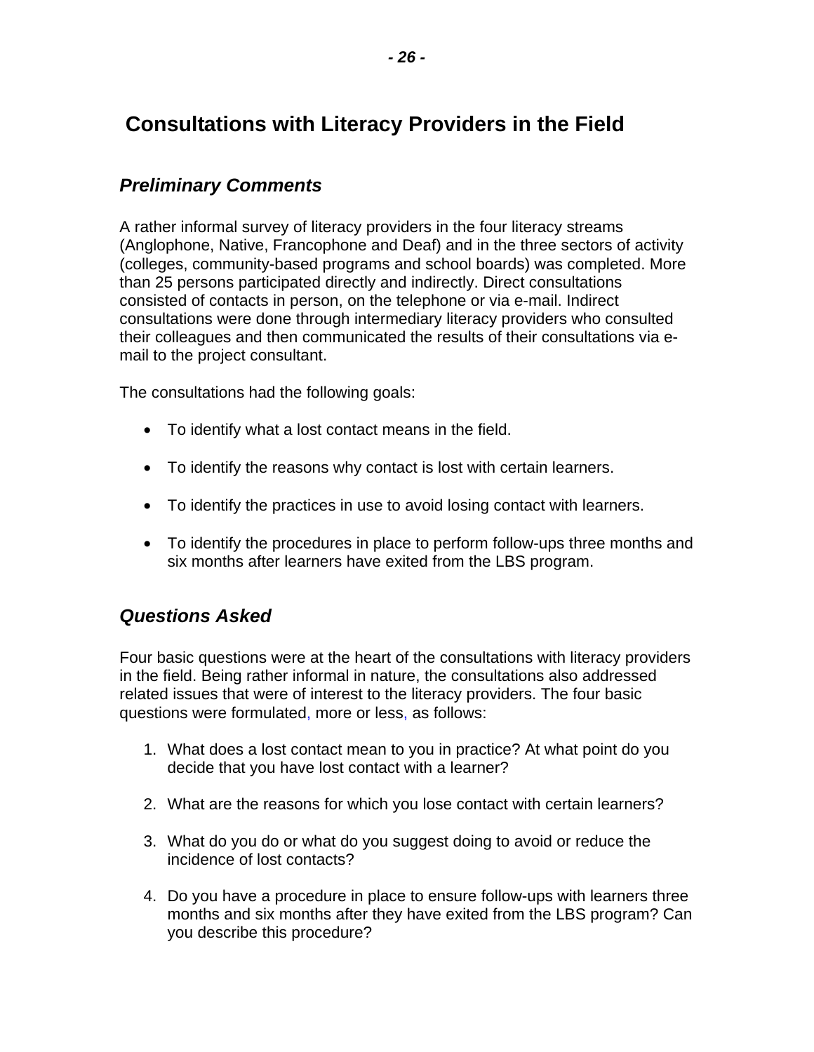# <span id="page-27-0"></span> **Consultations with Literacy Providers in the Field**

### *Preliminary Comments*

A rather informal survey of literacy providers in the four literacy streams (Anglophone, Native, Francophone and Deaf) and in the three sectors of activity (colleges, community-based programs and school boards) was completed. More than 25 persons participated directly and indirectly. Direct consultations consisted of contacts in person, on the telephone or via e-mail. Indirect consultations were done through intermediary literacy providers who consulted their colleagues and then communicated the results of their consultations via email to the project consultant.

The consultations had the following goals:

- To identify what a lost contact means in the field.
- To identify the reasons why contact is lost with certain learners.
- To identify the practices in use to avoid losing contact with learners.
- To identify the procedures in place to perform follow-ups three months and six months after learners have exited from the LBS program.

### *Questions Asked*

Four basic questions were at the heart of the consultations with literacy providers in the field. Being rather informal in nature, the consultations also addressed related issues that were of interest to the literacy providers. The four basic questions were formulated, more or less, as follows:

- 1. What does a lost contact mean to you in practice? At what point do you decide that you have lost contact with a learner?
- 2. What are the reasons for which you lose contact with certain learners?
- 3. What do you do or what do you suggest doing to avoid or reduce the incidence of lost contacts?
- 4. Do you have a procedure in place to ensure follow-ups with learners three months and six months after they have exited from the LBS program? Can you describe this procedure?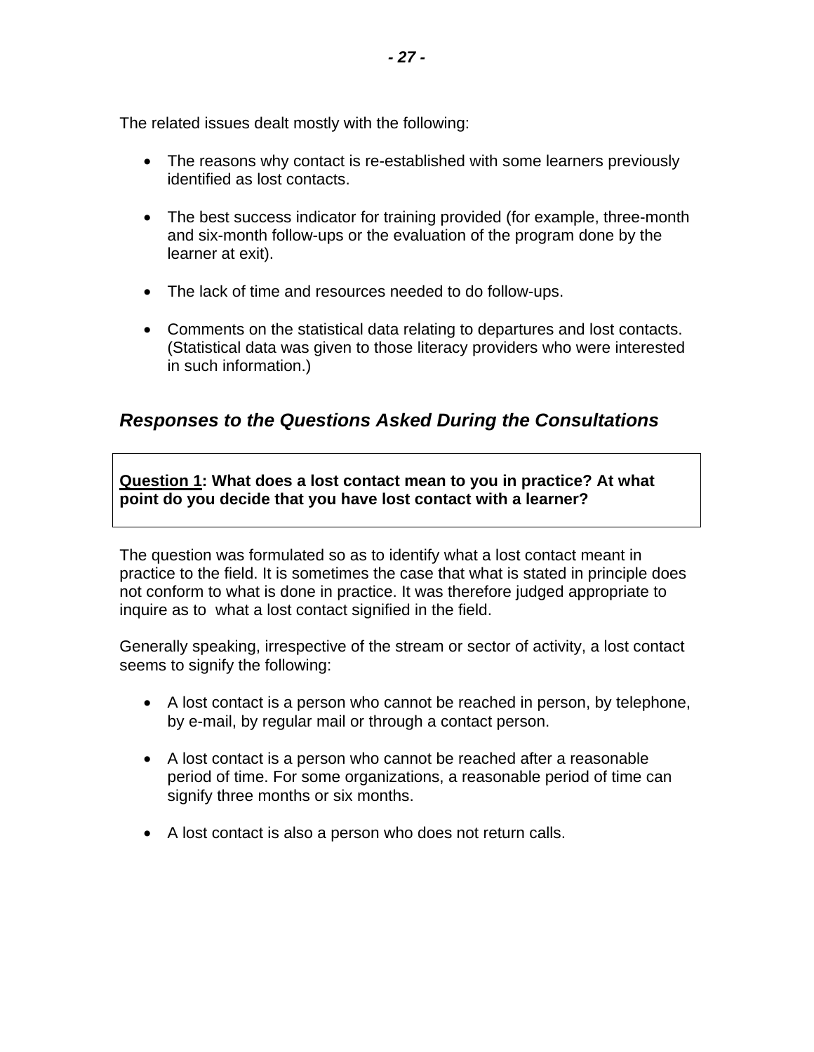<span id="page-28-0"></span>The related issues dealt mostly with the following:

- The reasons why contact is re-established with some learners previously identified as lost contacts.
- The best success indicator for training provided (for example, three-month and six-month follow-ups or the evaluation of the program done by the learner at exit).
- The lack of time and resources needed to do follow-ups.
- Comments on the statistical data relating to departures and lost contacts. (Statistical data was given to those literacy providers who were interested in such information.)

### *Responses to the Questions Asked During the Consultations*

**Question 1: What does a lost contact mean to you in practice? At what point do you decide that you have lost contact with a learner?** 

The question was formulated so as to identify what a lost contact meant in practice to the field. It is sometimes the case that what is stated in principle does not conform to what is done in practice. It was therefore judged appropriate to inquire as to what a lost contact signified in the field.

Generally speaking, irrespective of the stream or sector of activity, a lost contact seems to signify the following:

- A lost contact is a person who cannot be reached in person, by telephone, by e-mail, by regular mail or through a contact person.
- A lost contact is a person who cannot be reached after a reasonable period of time. For some organizations, a reasonable period of time can signify three months or six months.
- A lost contact is also a person who does not return calls.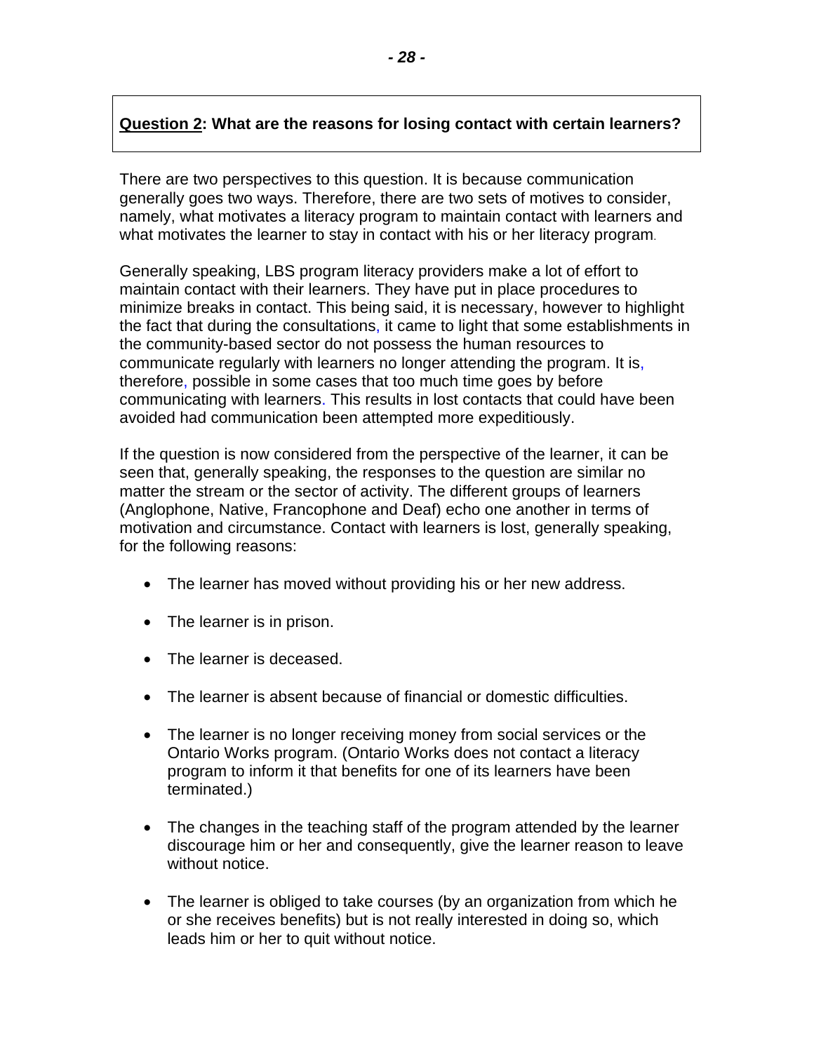#### **Question 2: What are the reasons for losing contact with certain learners?**

There are two perspectives to this question. It is because communication generally goes two ways. Therefore, there are two sets of motives to consider, namely, what motivates a literacy program to maintain contact with learners and what motivates the learner to stay in contact with his or her literacy program.

Generally speaking, LBS program literacy providers make a lot of effort to maintain contact with their learners. They have put in place procedures to minimize breaks in contact. This being said, it is necessary, however to highlight the fact that during the consultations, it came to light that some establishments in the community-based sector do not possess the human resources to communicate regularly with learners no longer attending the program. It is, therefore, possible in some cases that too much time goes by before communicating with learners. This results in lost contacts that could have been avoided had communication been attempted more expeditiously.

If the question is now considered from the perspective of the learner, it can be seen that, generally speaking, the responses to the question are similar no matter the stream or the sector of activity. The different groups of learners (Anglophone, Native, Francophone and Deaf) echo one another in terms of motivation and circumstance. Contact with learners is lost, generally speaking, for the following reasons:

- The learner has moved without providing his or her new address.
- The learner is in prison.
- The learner is deceased.
- The learner is absent because of financial or domestic difficulties.
- The learner is no longer receiving money from social services or the Ontario Works program. (Ontario Works does not contact a literacy program to inform it that benefits for one of its learners have been terminated.)
- The changes in the teaching staff of the program attended by the learner discourage him or her and consequently, give the learner reason to leave without notice.
- The learner is obliged to take courses (by an organization from which he or she receives benefits) but is not really interested in doing so, which leads him or her to quit without notice.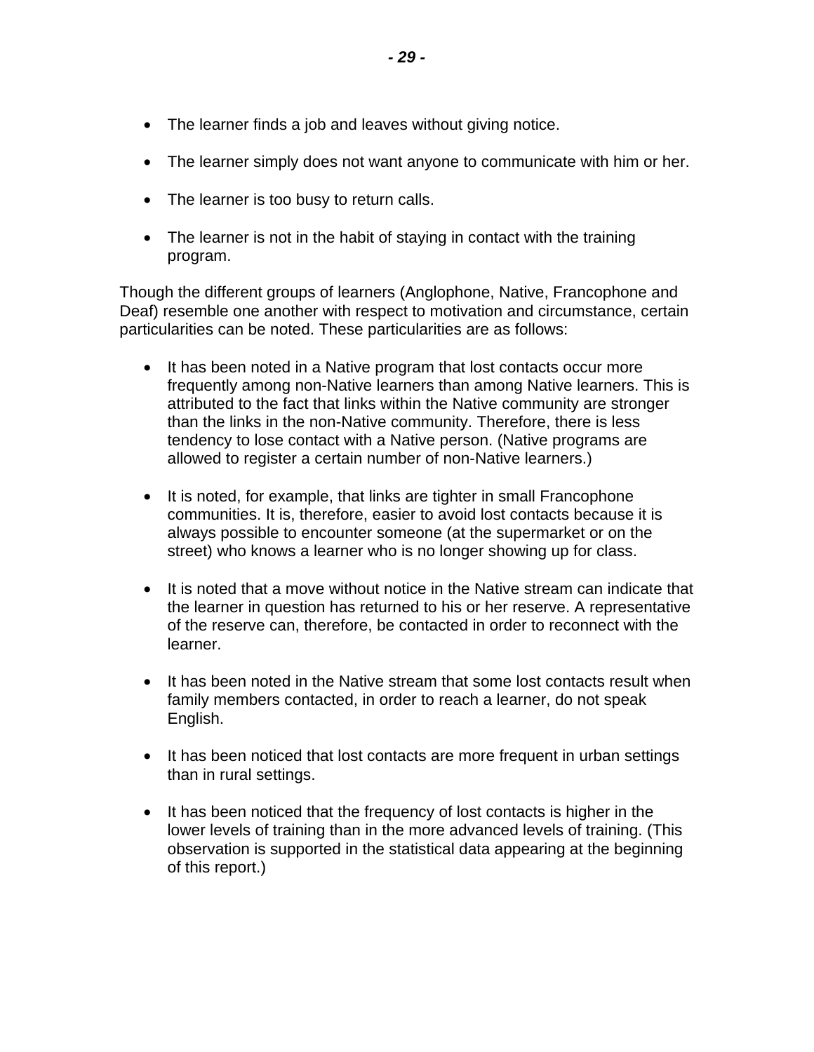- The learner finds a job and leaves without giving notice.
- The learner simply does not want anyone to communicate with him or her.
- The learner is too busy to return calls.
- The learner is not in the habit of staying in contact with the training program.

Though the different groups of learners (Anglophone, Native, Francophone and Deaf) resemble one another with respect to motivation and circumstance, certain particularities can be noted. These particularities are as follows:

- It has been noted in a Native program that lost contacts occur more frequently among non-Native learners than among Native learners. This is attributed to the fact that links within the Native community are stronger than the links in the non-Native community. Therefore, there is less tendency to lose contact with a Native person. (Native programs are allowed to register a certain number of non-Native learners.)
- It is noted, for example, that links are tighter in small Francophone communities. It is, therefore, easier to avoid lost contacts because it is always possible to encounter someone (at the supermarket or on the street) who knows a learner who is no longer showing up for class.
- It is noted that a move without notice in the Native stream can indicate that the learner in question has returned to his or her reserve. A representative of the reserve can, therefore, be contacted in order to reconnect with the learner.
- It has been noted in the Native stream that some lost contacts result when family members contacted, in order to reach a learner, do not speak English.
- It has been noticed that lost contacts are more frequent in urban settings than in rural settings.
- It has been noticed that the frequency of lost contacts is higher in the lower levels of training than in the more advanced levels of training. (This observation is supported in the statistical data appearing at the beginning of this report.)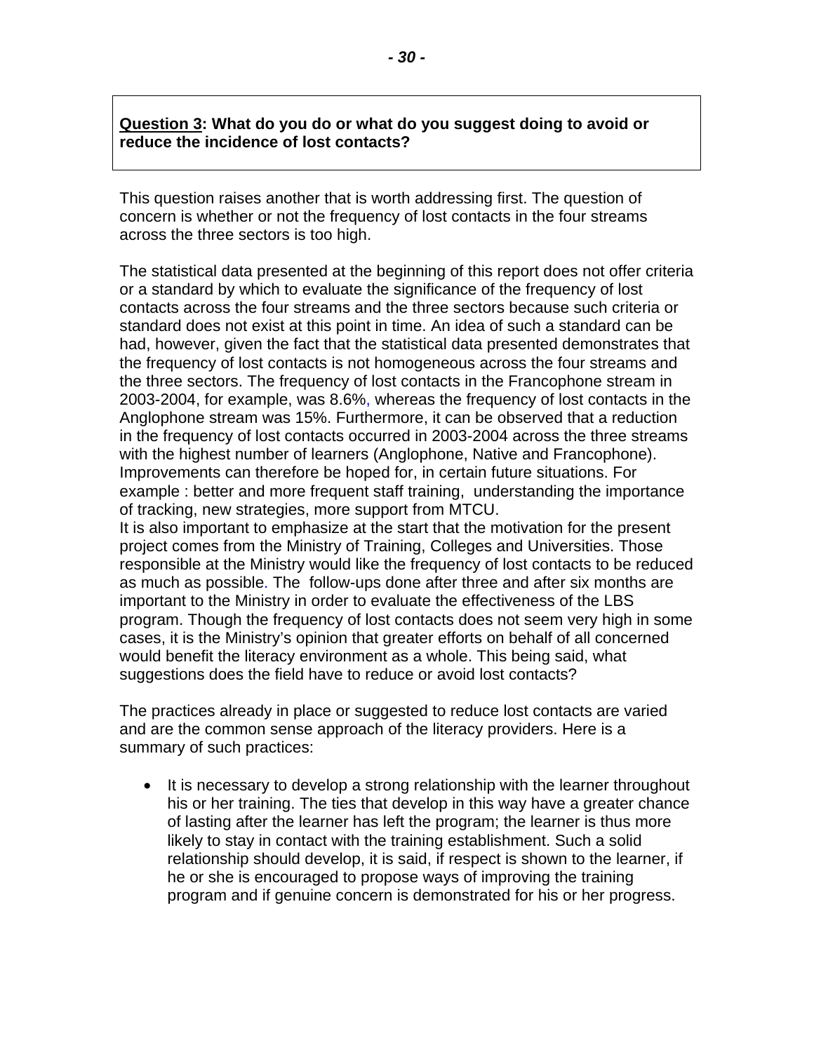#### **Question 3: What do you do or what do you suggest doing to avoid or reduce the incidence of lost contacts?**

This question raises another that is worth addressing first. The question of concern is whether or not the frequency of lost contacts in the four streams across the three sectors is too high.

The statistical data presented at the beginning of this report does not offer criteria or a standard by which to evaluate the significance of the frequency of lost contacts across the four streams and the three sectors because such criteria or standard does not exist at this point in time. An idea of such a standard can be had, however, given the fact that the statistical data presented demonstrates that the frequency of lost contacts is not homogeneous across the four streams and the three sectors. The frequency of lost contacts in the Francophone stream in 2003-2004, for example, was 8.6%, whereas the frequency of lost contacts in the Anglophone stream was 15%. Furthermore, it can be observed that a reduction in the frequency of lost contacts occurred in 2003-2004 across the three streams with the highest number of learners (Anglophone, Native and Francophone). Improvements can therefore be hoped for, in certain future situations. For example : better and more frequent staff training, understanding the importance of tracking, new strategies, more support from MTCU.

It is also important to emphasize at the start that the motivation for the present project comes from the Ministry of Training, Colleges and Universities. Those responsible at the Ministry would like the frequency of lost contacts to be reduced as much as possible. The follow-ups done after three and after six months are important to the Ministry in order to evaluate the effectiveness of the LBS program. Though the frequency of lost contacts does not seem very high in some cases, it is the Ministry's opinion that greater efforts on behalf of all concerned would benefit the literacy environment as a whole. This being said, what suggestions does the field have to reduce or avoid lost contacts?

The practices already in place or suggested to reduce lost contacts are varied and are the common sense approach of the literacy providers. Here is a summary of such practices:

• It is necessary to develop a strong relationship with the learner throughout his or her training. The ties that develop in this way have a greater chance of lasting after the learner has left the program; the learner is thus more likely to stay in contact with the training establishment. Such a solid relationship should develop, it is said, if respect is shown to the learner, if he or she is encouraged to propose ways of improving the training program and if genuine concern is demonstrated for his or her progress.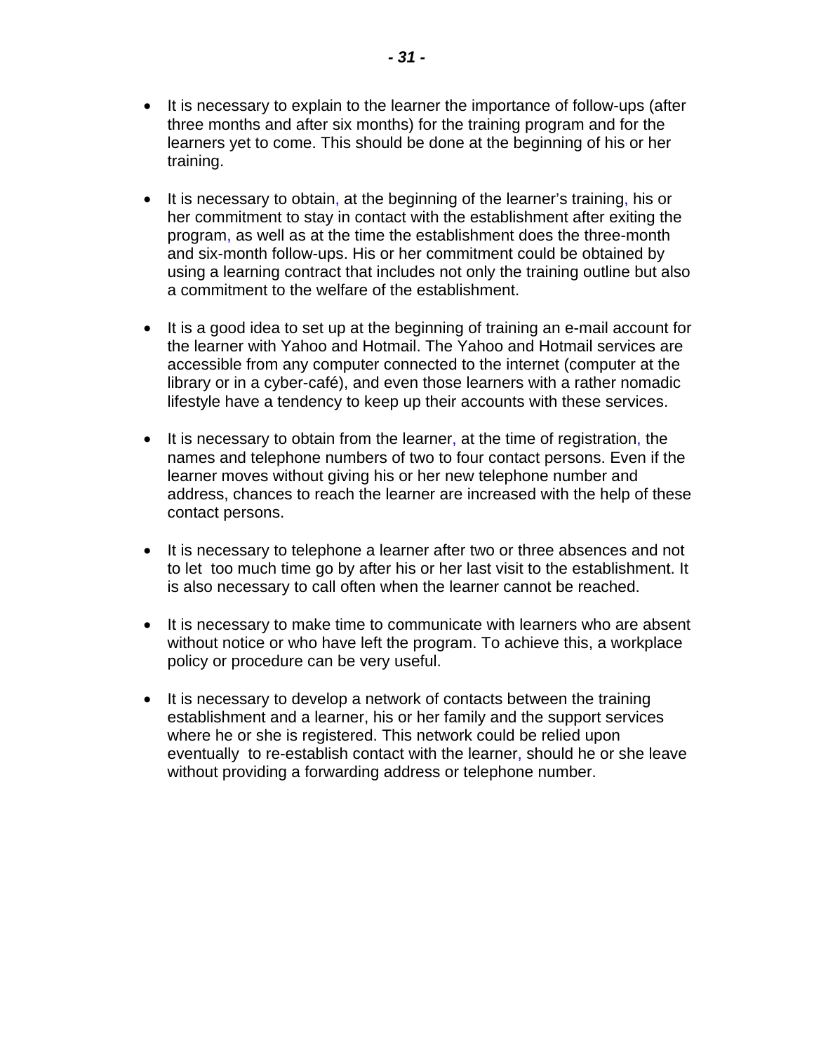- It is necessary to explain to the learner the importance of follow-ups (after three months and after six months) for the training program and for the learners yet to come. This should be done at the beginning of his or her training.
- It is necessary to obtain, at the beginning of the learner's training, his or her commitment to stay in contact with the establishment after exiting the program, as well as at the time the establishment does the three-month and six-month follow-ups. His or her commitment could be obtained by using a learning contract that includes not only the training outline but also a commitment to the welfare of the establishment.
- It is a good idea to set up at the beginning of training an e-mail account for the learner with Yahoo and Hotmail. The Yahoo and Hotmail services are accessible from any computer connected to the internet (computer at the library or in a cyber-café), and even those learners with a rather nomadic lifestyle have a tendency to keep up their accounts with these services.
- It is necessary to obtain from the learner, at the time of registration, the names and telephone numbers of two to four contact persons. Even if the learner moves without giving his or her new telephone number and address, chances to reach the learner are increased with the help of these contact persons.
- It is necessary to telephone a learner after two or three absences and not to let too much time go by after his or her last visit to the establishment. It is also necessary to call often when the learner cannot be reached.
- It is necessary to make time to communicate with learners who are absent without notice or who have left the program. To achieve this, a workplace policy or procedure can be very useful.
- It is necessary to develop a network of contacts between the training establishment and a learner, his or her family and the support services where he or she is registered. This network could be relied upon eventually to re-establish contact with the learner, should he or she leave without providing a forwarding address or telephone number.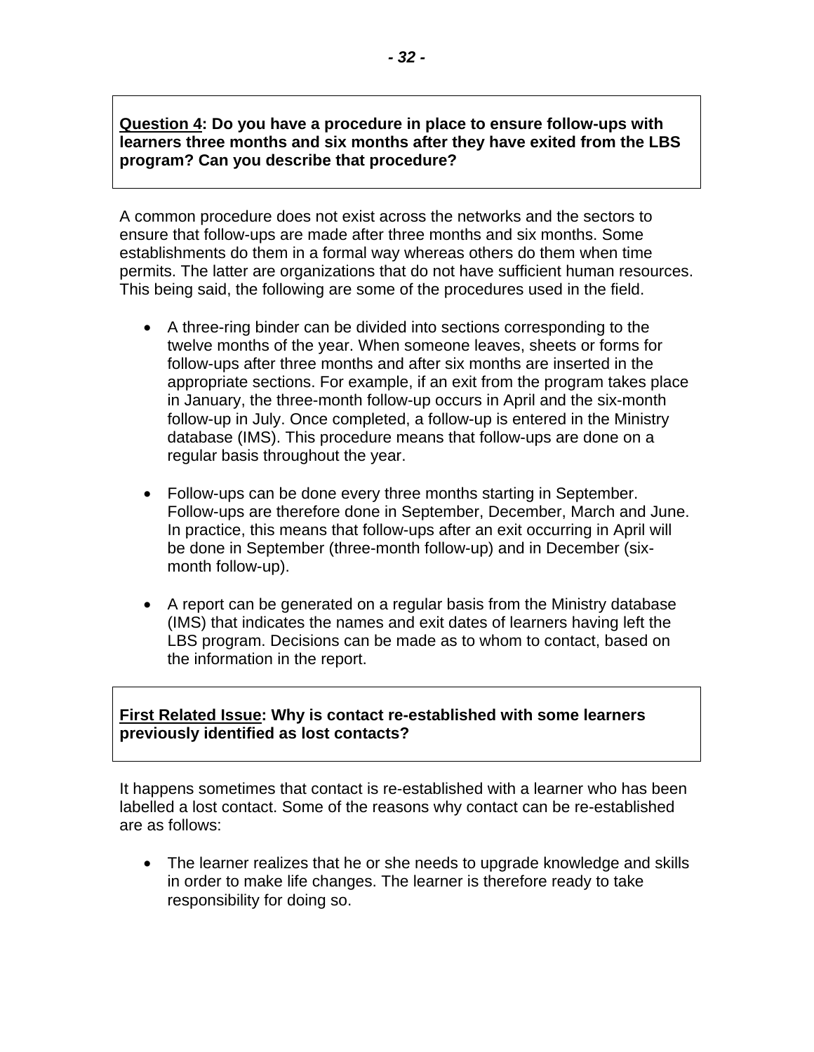#### **Question 4: Do you have a procedure in place to ensure follow-ups with learners three months and six months after they have exited from the LBS program? Can you describe that procedure?**

A common procedure does not exist across the networks and the sectors to ensure that follow-ups are made after three months and six months. Some establishments do them in a formal way whereas others do them when time permits. The latter are organizations that do not have sufficient human resources. This being said, the following are some of the procedures used in the field.

- A three-ring binder can be divided into sections corresponding to the twelve months of the year. When someone leaves, sheets or forms for follow-ups after three months and after six months are inserted in the appropriate sections. For example, if an exit from the program takes place in January, the three-month follow-up occurs in April and the six-month follow-up in July. Once completed, a follow-up is entered in the Ministry database (IMS). This procedure means that follow-ups are done on a regular basis throughout the year.
- Follow-ups can be done every three months starting in September. Follow-ups are therefore done in September, December, March and June. In practice, this means that follow-ups after an exit occurring in April will be done in September (three-month follow-up) and in December (sixmonth follow-up).
- A report can be generated on a regular basis from the Ministry database (IMS) that indicates the names and exit dates of learners having left the LBS program. Decisions can be made as to whom to contact, based on the information in the report.

#### **First Related Issue: Why is contact re-established with some learners previously identified as lost contacts?**

It happens sometimes that contact is re-established with a learner who has been labelled a lost contact. Some of the reasons why contact can be re-established are as follows:

• The learner realizes that he or she needs to upgrade knowledge and skills in order to make life changes. The learner is therefore ready to take responsibility for doing so.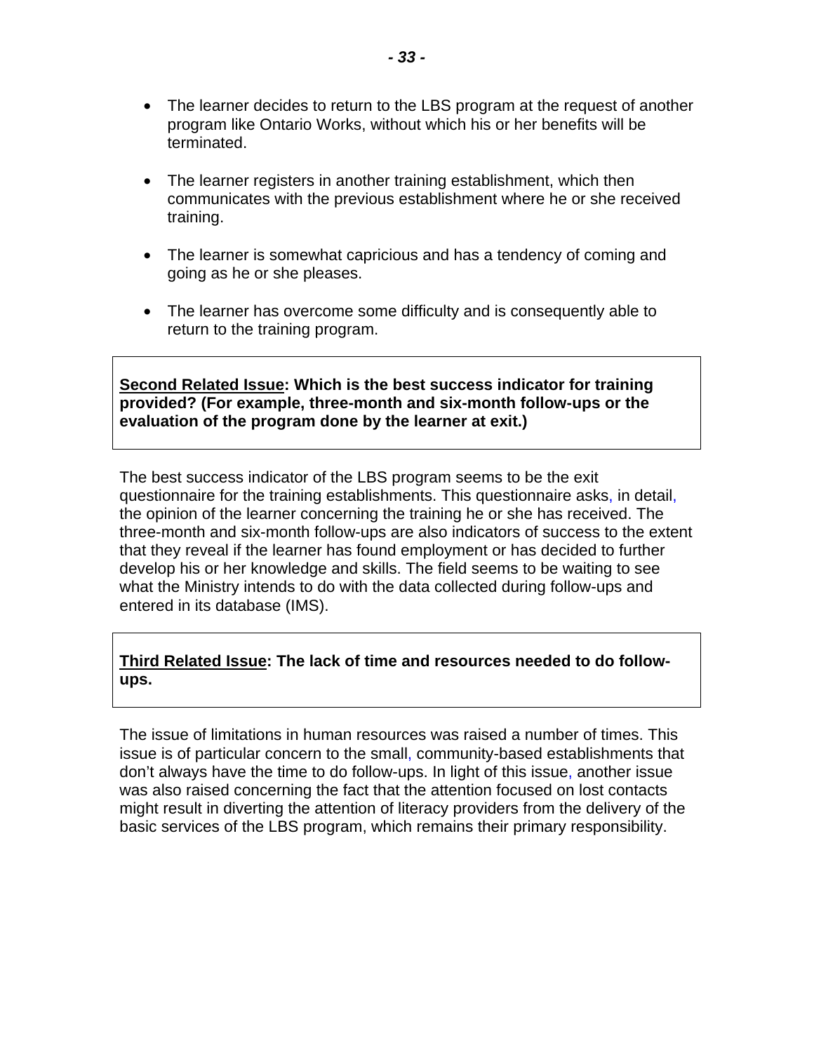- The learner decides to return to the LBS program at the request of another program like Ontario Works, without which his or her benefits will be terminated.
- The learner registers in another training establishment, which then communicates with the previous establishment where he or she received training.
- The learner is somewhat capricious and has a tendency of coming and going as he or she pleases.
- The learner has overcome some difficulty and is consequently able to return to the training program.

**Second Related Issue: Which is the best success indicator for training provided? (For example, three-month and six-month follow-ups or the evaluation of the program done by the learner at exit.)** 

The best success indicator of the LBS program seems to be the exit questionnaire for the training establishments. This questionnaire asks, in detail, the opinion of the learner concerning the training he or she has received. The three-month and six-month follow-ups are also indicators of success to the extent that they reveal if the learner has found employment or has decided to further develop his or her knowledge and skills. The field seems to be waiting to see what the Ministry intends to do with the data collected during follow-ups and entered in its database (IMS).

#### **Third Related Issue: The lack of time and resources needed to do followups.**

The issue of limitations in human resources was raised a number of times. This issue is of particular concern to the small, community-based establishments that don't always have the time to do follow-ups. In light of this issue, another issue was also raised concerning the fact that the attention focused on lost contacts might result in diverting the attention of literacy providers from the delivery of the basic services of the LBS program, which remains their primary responsibility.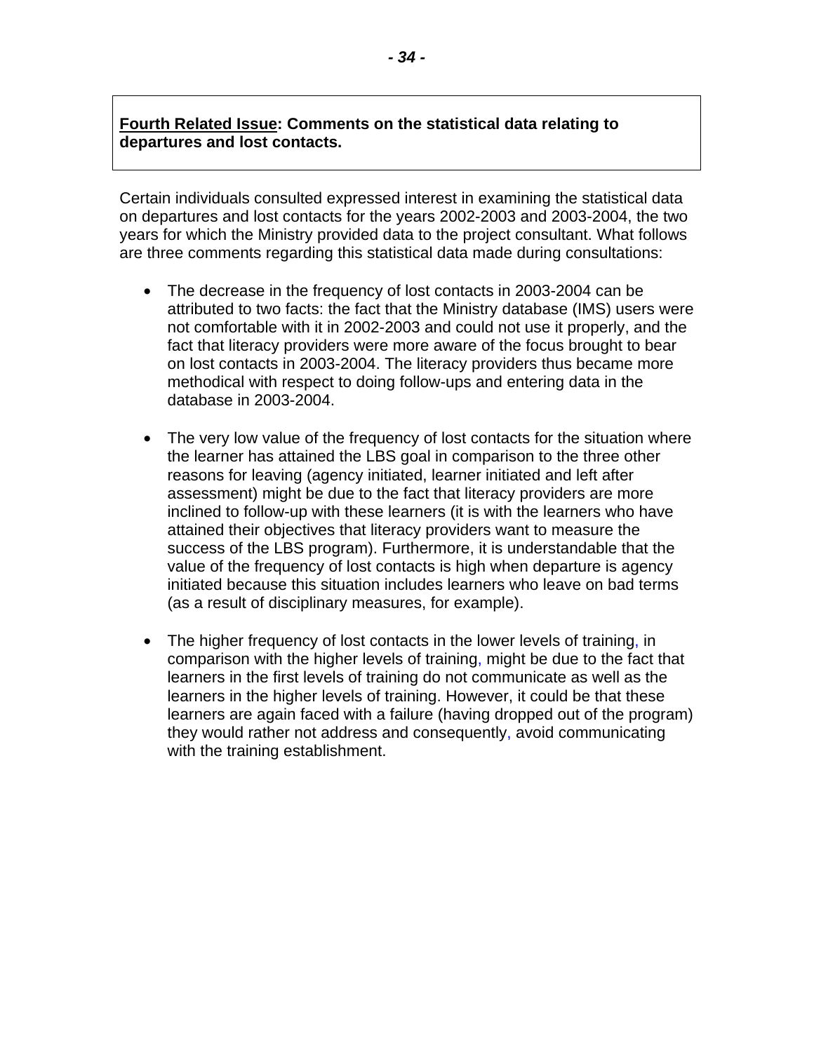#### **Fourth Related Issue: Comments on the statistical data relating to departures and lost contacts.**

Certain individuals consulted expressed interest in examining the statistical data on departures and lost contacts for the years 2002-2003 and 2003-2004, the two years for which the Ministry provided data to the project consultant. What follows are three comments regarding this statistical data made during consultations:

- The decrease in the frequency of lost contacts in 2003-2004 can be attributed to two facts: the fact that the Ministry database (IMS) users were not comfortable with it in 2002-2003 and could not use it properly, and the fact that literacy providers were more aware of the focus brought to bear on lost contacts in 2003-2004. The literacy providers thus became more methodical with respect to doing follow-ups and entering data in the database in 2003-2004.
- The very low value of the frequency of lost contacts for the situation where the learner has attained the LBS goal in comparison to the three other reasons for leaving (agency initiated, learner initiated and left after assessment) might be due to the fact that literacy providers are more inclined to follow-up with these learners (it is with the learners who have attained their objectives that literacy providers want to measure the success of the LBS program). Furthermore, it is understandable that the value of the frequency of lost contacts is high when departure is agency initiated because this situation includes learners who leave on bad terms (as a result of disciplinary measures, for example).
- The higher frequency of lost contacts in the lower levels of training, in comparison with the higher levels of training, might be due to the fact that learners in the first levels of training do not communicate as well as the learners in the higher levels of training. However, it could be that these learners are again faced with a failure (having dropped out of the program) they would rather not address and consequently, avoid communicating with the training establishment.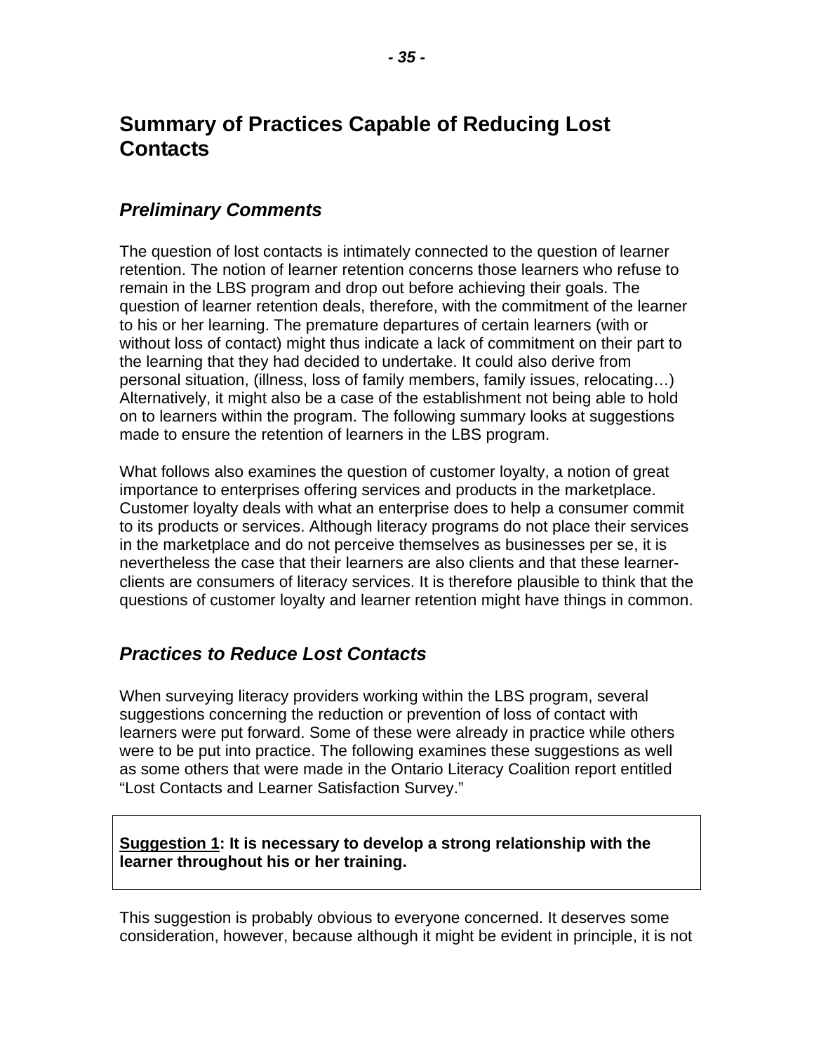## <span id="page-36-0"></span>**Summary of Practices Capable of Reducing Lost Contacts**

### *Preliminary Comments*

The question of lost contacts is intimately connected to the question of learner retention. The notion of learner retention concerns those learners who refuse to remain in the LBS program and drop out before achieving their goals. The question of learner retention deals, therefore, with the commitment of the learner to his or her learning. The premature departures of certain learners (with or without loss of contact) might thus indicate a lack of commitment on their part to the learning that they had decided to undertake. It could also derive from personal situation, (illness, loss of family members, family issues, relocating…) Alternatively, it might also be a case of the establishment not being able to hold on to learners within the program. The following summary looks at suggestions made to ensure the retention of learners in the LBS program.

What follows also examines the question of customer loyalty, a notion of great importance to enterprises offering services and products in the marketplace. Customer loyalty deals with what an enterprise does to help a consumer commit to its products or services. Although literacy programs do not place their services in the marketplace and do not perceive themselves as businesses per se, it is nevertheless the case that their learners are also clients and that these learnerclients are consumers of literacy services. It is therefore plausible to think that the questions of customer loyalty and learner retention might have things in common.

### *Practices to Reduce Lost Contacts*

When surveying literacy providers working within the LBS program, several suggestions concerning the reduction or prevention of loss of contact with learners were put forward. Some of these were already in practice while others were to be put into practice. The following examines these suggestions as well as some others that were made in the Ontario Literacy Coalition report entitled "Lost Contacts and Learner Satisfaction Survey."

#### **Suggestion 1: It is necessary to develop a strong relationship with the learner throughout his or her training.**

This suggestion is probably obvious to everyone concerned. It deserves some consideration, however, because although it might be evident in principle, it is not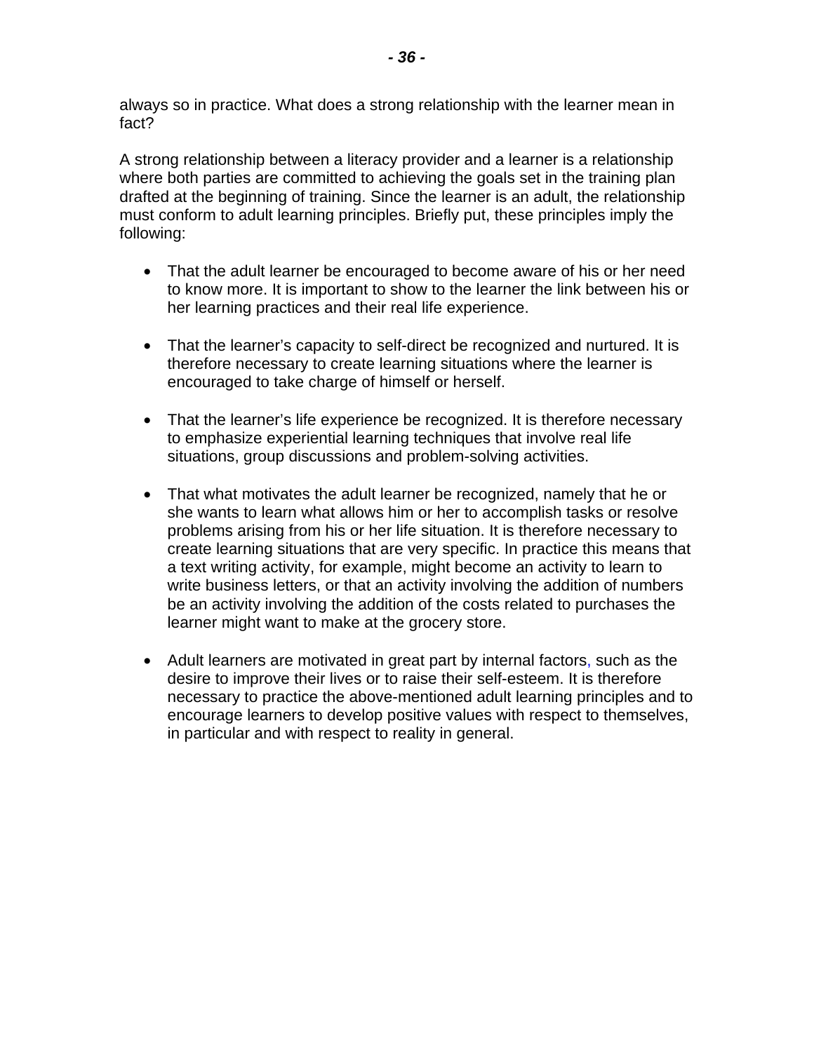always so in practice. What does a strong relationship with the learner mean in fact?

A strong relationship between a literacy provider and a learner is a relationship where both parties are committed to achieving the goals set in the training plan drafted at the beginning of training. Since the learner is an adult, the relationship must conform to adult learning principles. Briefly put, these principles imply the following:

- That the adult learner be encouraged to become aware of his or her need to know more. It is important to show to the learner the link between his or her learning practices and their real life experience.
- That the learner's capacity to self-direct be recognized and nurtured. It is therefore necessary to create learning situations where the learner is encouraged to take charge of himself or herself.
- That the learner's life experience be recognized. It is therefore necessary to emphasize experiential learning techniques that involve real life situations, group discussions and problem-solving activities.
- That what motivates the adult learner be recognized, namely that he or she wants to learn what allows him or her to accomplish tasks or resolve problems arising from his or her life situation. It is therefore necessary to create learning situations that are very specific. In practice this means that a text writing activity, for example, might become an activity to learn to write business letters, or that an activity involving the addition of numbers be an activity involving the addition of the costs related to purchases the learner might want to make at the grocery store.
- Adult learners are motivated in great part by internal factors, such as the desire to improve their lives or to raise their self-esteem. It is therefore necessary to practice the above-mentioned adult learning principles and to encourage learners to develop positive values with respect to themselves, in particular and with respect to reality in general.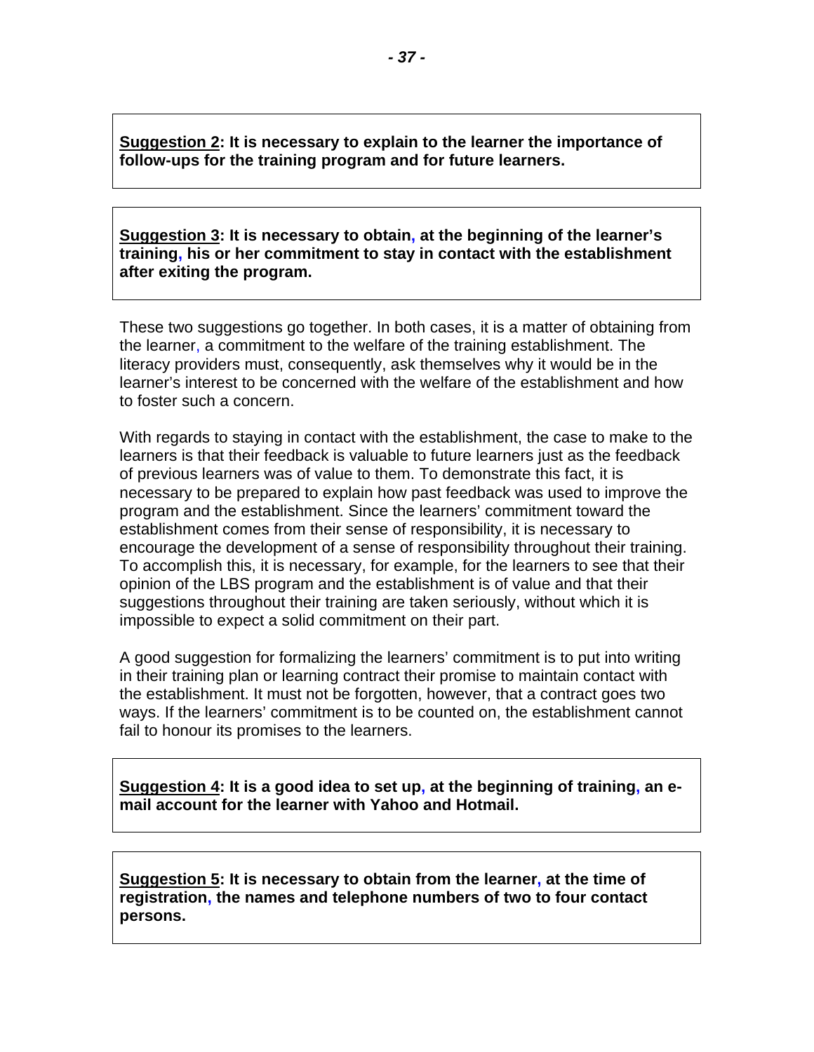**Suggestion 2: It is necessary to explain to the learner the importance of follow-ups for the training program and for future learners.** 

**Suggestion 3: It is necessary to obtain, at the beginning of the learner's training, his or her commitment to stay in contact with the establishment after exiting the program.** 

These two suggestions go together. In both cases, it is a matter of obtaining from the learner, a commitment to the welfare of the training establishment. The literacy providers must, consequently, ask themselves why it would be in the learner's interest to be concerned with the welfare of the establishment and how to foster such a concern.

With regards to staying in contact with the establishment, the case to make to the learners is that their feedback is valuable to future learners just as the feedback of previous learners was of value to them. To demonstrate this fact, it is necessary to be prepared to explain how past feedback was used to improve the program and the establishment. Since the learners' commitment toward the establishment comes from their sense of responsibility, it is necessary to encourage the development of a sense of responsibility throughout their training. To accomplish this, it is necessary, for example, for the learners to see that their opinion of the LBS program and the establishment is of value and that their suggestions throughout their training are taken seriously, without which it is impossible to expect a solid commitment on their part.

A good suggestion for formalizing the learners' commitment is to put into writing in their training plan or learning contract their promise to maintain contact with the establishment. It must not be forgotten, however, that a contract goes two ways. If the learners' commitment is to be counted on, the establishment cannot fail to honour its promises to the learners.

**Suggestion 4: It is a good idea to set up, at the beginning of training, an email account for the learner with Yahoo and Hotmail.** 

**Suggestion 5: It is necessary to obtain from the learner, at the time of registration, the names and telephone numbers of two to four contact persons.**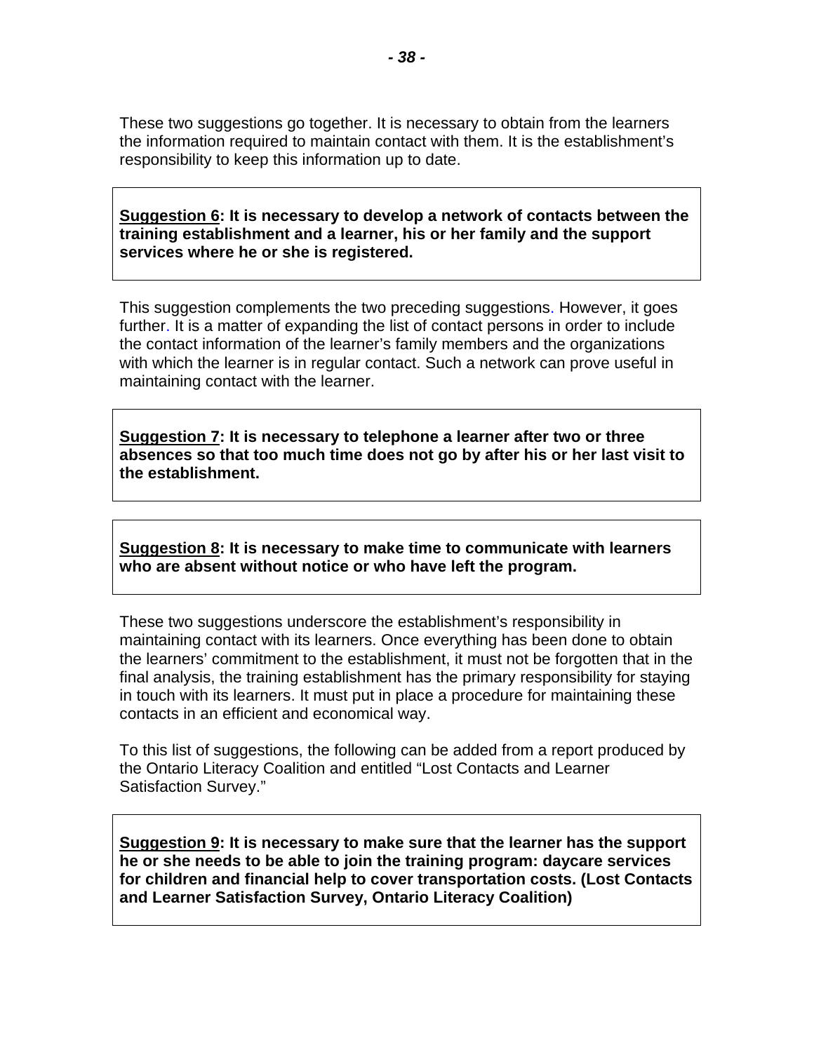These two suggestions go together. It is necessary to obtain from the learners the information required to maintain contact with them. It is the establishment's responsibility to keep this information up to date.

**Suggestion 6: It is necessary to develop a network of contacts between the training establishment and a learner, his or her family and the support services where he or she is registered.** 

This suggestion complements the two preceding suggestions. However, it goes further. It is a matter of expanding the list of contact persons in order to include the contact information of the learner's family members and the organizations with which the learner is in regular contact. Such a network can prove useful in maintaining contact with the learner.

**Suggestion 7: It is necessary to telephone a learner after two or three absences so that too much time does not go by after his or her last visit to the establishment.** 

**Suggestion 8: It is necessary to make time to communicate with learners who are absent without notice or who have left the program.** 

These two suggestions underscore the establishment's responsibility in maintaining contact with its learners. Once everything has been done to obtain the learners' commitment to the establishment, it must not be forgotten that in the final analysis, the training establishment has the primary responsibility for staying in touch with its learners. It must put in place a procedure for maintaining these contacts in an efficient and economical way.

To this list of suggestions, the following can be added from a report produced by the Ontario Literacy Coalition and entitled "Lost Contacts and Learner Satisfaction Survey."

**Suggestion 9: It is necessary to make sure that the learner has the support he or she needs to be able to join the training program: daycare services for children and financial help to cover transportation costs. (Lost Contacts and Learner Satisfaction Survey, Ontario Literacy Coalition)**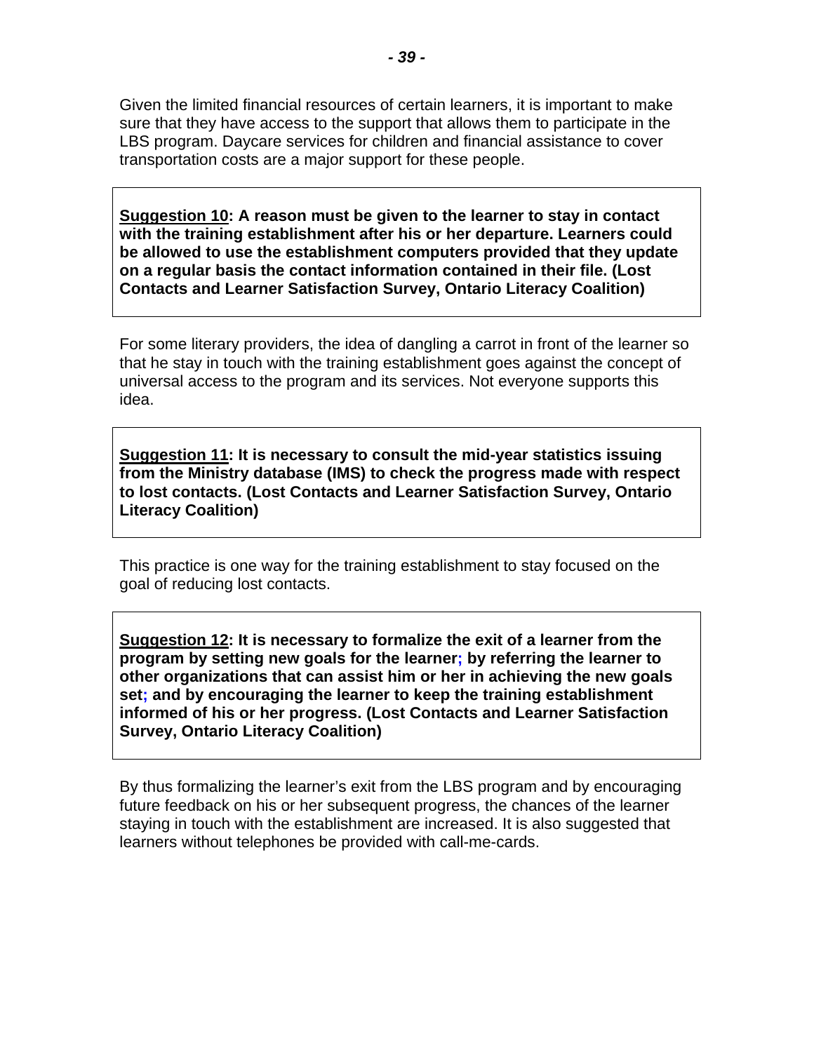Given the limited financial resources of certain learners, it is important to make sure that they have access to the support that allows them to participate in the LBS program. Daycare services for children and financial assistance to cover transportation costs are a major support for these people.

**Suggestion 10: A reason must be given to the learner to stay in contact with the training establishment after his or her departure. Learners could be allowed to use the establishment computers provided that they update on a regular basis the contact information contained in their file. (Lost Contacts and Learner Satisfaction Survey, Ontario Literacy Coalition)** 

For some literary providers, the idea of dangling a carrot in front of the learner so that he stay in touch with the training establishment goes against the concept of universal access to the program and its services. Not everyone supports this idea.

**Suggestion 11: It is necessary to consult the mid-year statistics issuing from the Ministry database (IMS) to check the progress made with respect to lost contacts. (Lost Contacts and Learner Satisfaction Survey, Ontario Literacy Coalition)** 

This practice is one way for the training establishment to stay focused on the goal of reducing lost contacts.

**Suggestion 12: It is necessary to formalize the exit of a learner from the program by setting new goals for the learner; by referring the learner to other organizations that can assist him or her in achieving the new goals set; and by encouraging the learner to keep the training establishment informed of his or her progress. (Lost Contacts and Learner Satisfaction Survey, Ontario Literacy Coalition)** 

By thus formalizing the learner's exit from the LBS program and by encouraging future feedback on his or her subsequent progress, the chances of the learner staying in touch with the establishment are increased. It is also suggested that learners without telephones be provided with call-me-cards.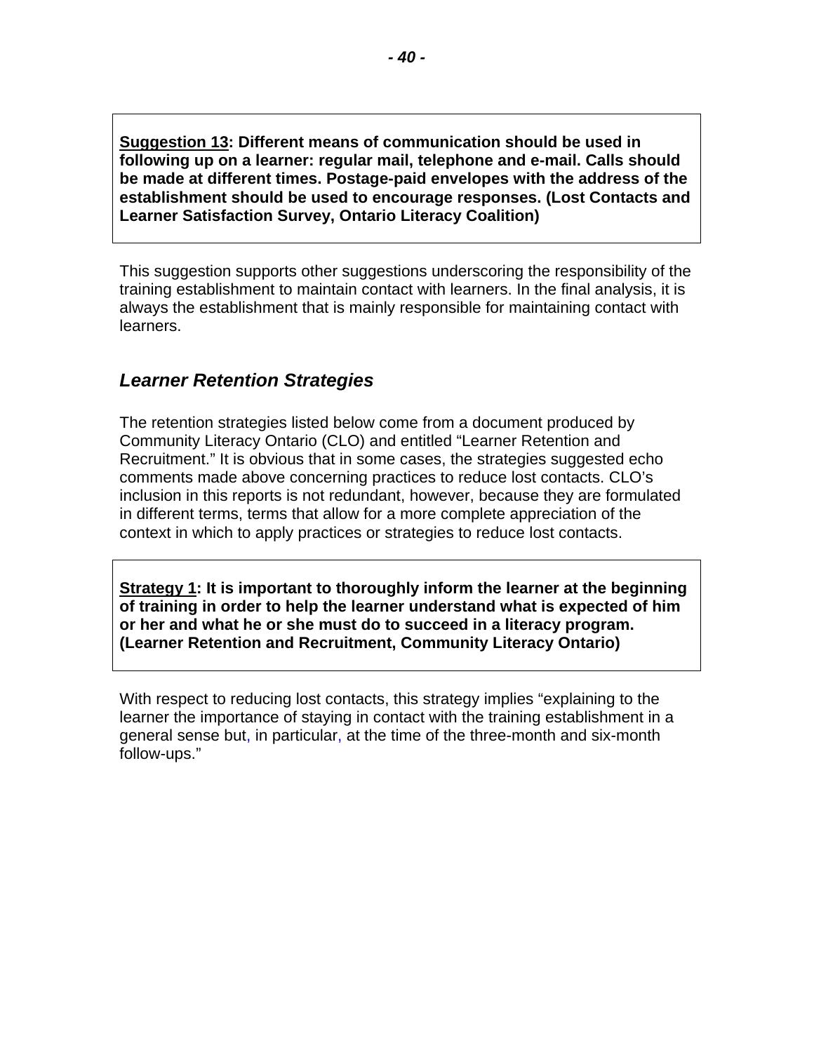<span id="page-41-0"></span>**Suggestion 13: Different means of communication should be used in following up on a learner: regular mail, telephone and e-mail. Calls should be made at different times. Postage-paid envelopes with the address of the establishment should be used to encourage responses. (Lost Contacts and Learner Satisfaction Survey, Ontario Literacy Coalition)** 

This suggestion supports other suggestions underscoring the responsibility of the training establishment to maintain contact with learners. In the final analysis, it is always the establishment that is mainly responsible for maintaining contact with learners.

### *Learner Retention Strategies*

The retention strategies listed below come from a document produced by Community Literacy Ontario (CLO) and entitled "Learner Retention and Recruitment." It is obvious that in some cases, the strategies suggested echo comments made above concerning practices to reduce lost contacts. CLO's inclusion in this reports is not redundant, however, because they are formulated in different terms, terms that allow for a more complete appreciation of the context in which to apply practices or strategies to reduce lost contacts.

**Strategy 1:** It is important to thoroughly inform the learner at the beginning **of training in order to help the learner understand what is expected of him or her and what he or she must do to succeed in a literacy program. (Learner Retention and Recruitment, Community Literacy Ontario)** 

With respect to reducing lost contacts, this strategy implies "explaining to the learner the importance of staying in contact with the training establishment in a general sense but, in particular, at the time of the three-month and six-month follow-ups."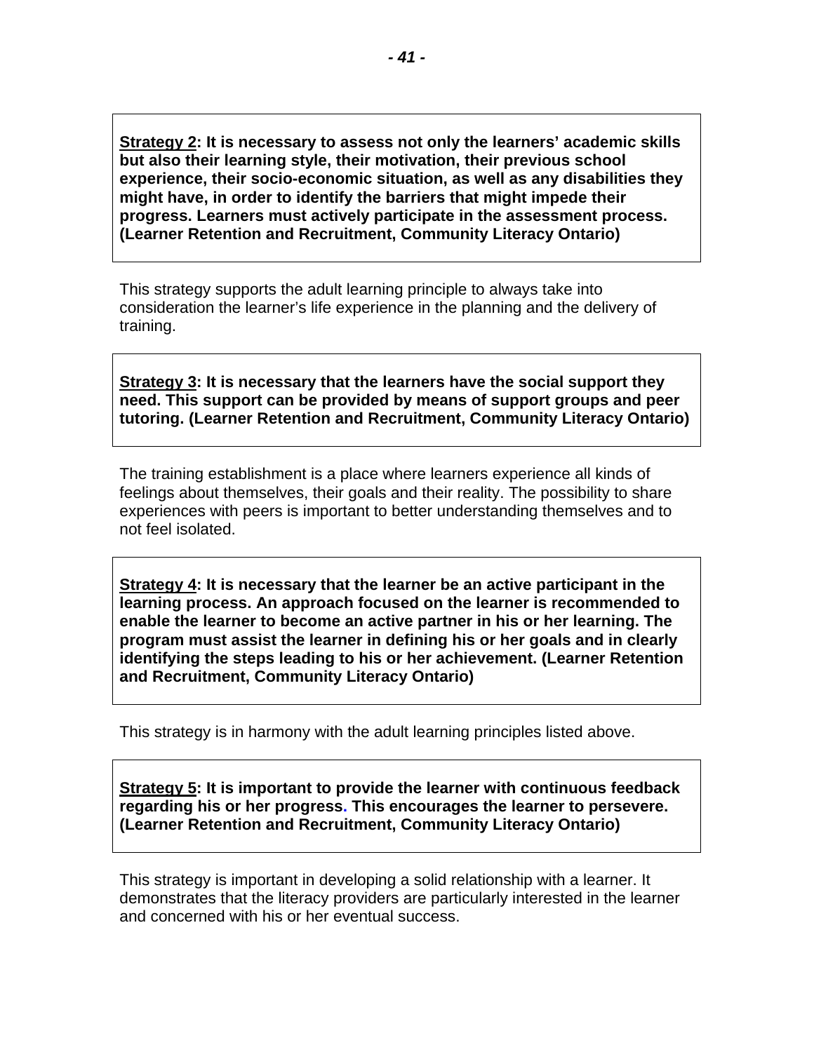**Strategy 2: It is necessary to assess not only the learners' academic skills but also their learning style, their motivation, their previous school experience, their socio-economic situation, as well as any disabilities they might have, in order to identify the barriers that might impede their progress. Learners must actively participate in the assessment process. (Learner Retention and Recruitment, Community Literacy Ontario)** 

This strategy supports the adult learning principle to always take into consideration the learner's life experience in the planning and the delivery of training.

**Strategy 3: It is necessary that the learners have the social support they need. This support can be provided by means of support groups and peer tutoring. (Learner Retention and Recruitment, Community Literacy Ontario)** 

The training establishment is a place where learners experience all kinds of feelings about themselves, their goals and their reality. The possibility to share experiences with peers is important to better understanding themselves and to not feel isolated.

**Strategy 4: It is necessary that the learner be an active participant in the learning process. An approach focused on the learner is recommended to enable the learner to become an active partner in his or her learning. The program must assist the learner in defining his or her goals and in clearly identifying the steps leading to his or her achievement. (Learner Retention and Recruitment, Community Literacy Ontario)** 

This strategy is in harmony with the adult learning principles listed above.

**Strategy 5: It is important to provide the learner with continuous feedback regarding his or her progress. This encourages the learner to persevere. (Learner Retention and Recruitment, Community Literacy Ontario)** 

This strategy is important in developing a solid relationship with a learner. It demonstrates that the literacy providers are particularly interested in the learner and concerned with his or her eventual success.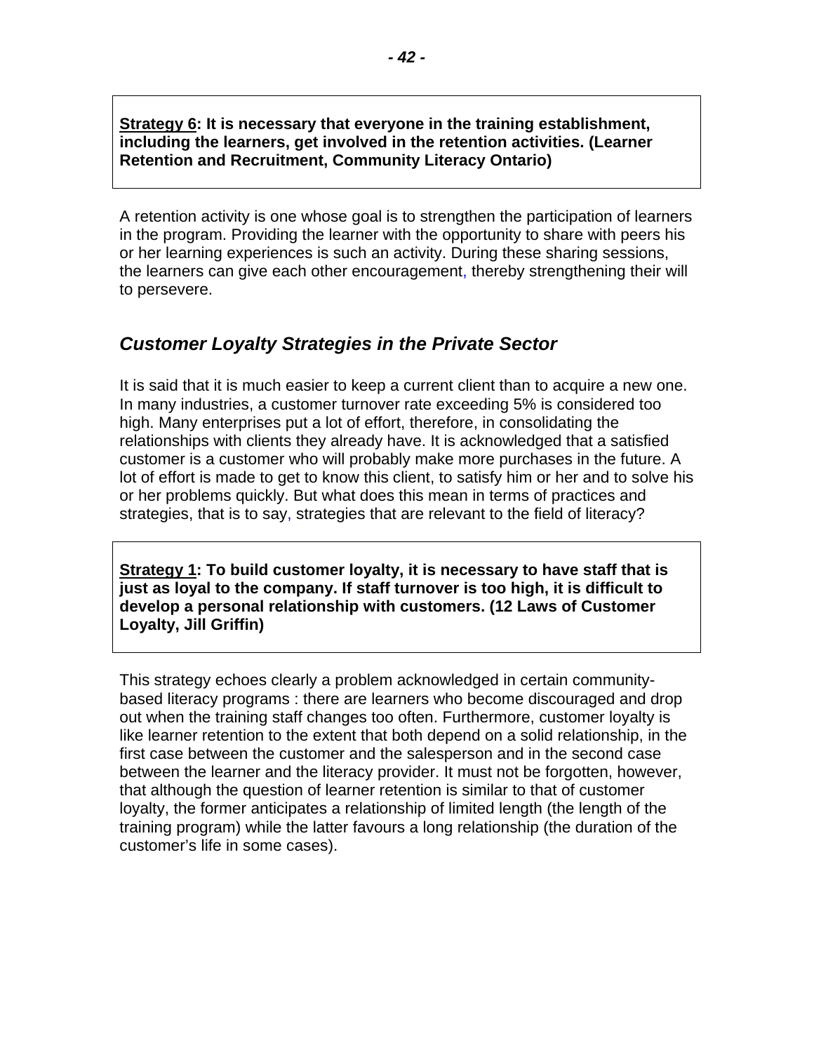<span id="page-43-0"></span>**Strategy 6: It is necessary that everyone in the training establishment, including the learners, get involved in the retention activities. (Learner Retention and Recruitment, Community Literacy Ontario)** 

A retention activity is one whose goal is to strengthen the participation of learners in the program. Providing the learner with the opportunity to share with peers his or her learning experiences is such an activity. During these sharing sessions, the learners can give each other encouragement, thereby strengthening their will to persevere.

### *Customer Loyalty Strategies in the Private Sector*

It is said that it is much easier to keep a current client than to acquire a new one. In many industries, a customer turnover rate exceeding 5% is considered too high. Many enterprises put a lot of effort, therefore, in consolidating the relationships with clients they already have. It is acknowledged that a satisfied customer is a customer who will probably make more purchases in the future. A lot of effort is made to get to know this client, to satisfy him or her and to solve his or her problems quickly. But what does this mean in terms of practices and strategies, that is to say, strategies that are relevant to the field of literacy?

**Strategy 1: To build customer loyalty, it is necessary to have staff that is just as loyal to the company. If staff turnover is too high, it is difficult to develop a personal relationship with customers. (12 Laws of Customer Loyalty, Jill Griffin)** 

This strategy echoes clearly a problem acknowledged in certain communitybased literacy programs : there are learners who become discouraged and drop out when the training staff changes too often. Furthermore, customer loyalty is like learner retention to the extent that both depend on a solid relationship, in the first case between the customer and the salesperson and in the second case between the learner and the literacy provider. It must not be forgotten, however, that although the question of learner retention is similar to that of customer loyalty, the former anticipates a relationship of limited length (the length of the training program) while the latter favours a long relationship (the duration of the customer's life in some cases).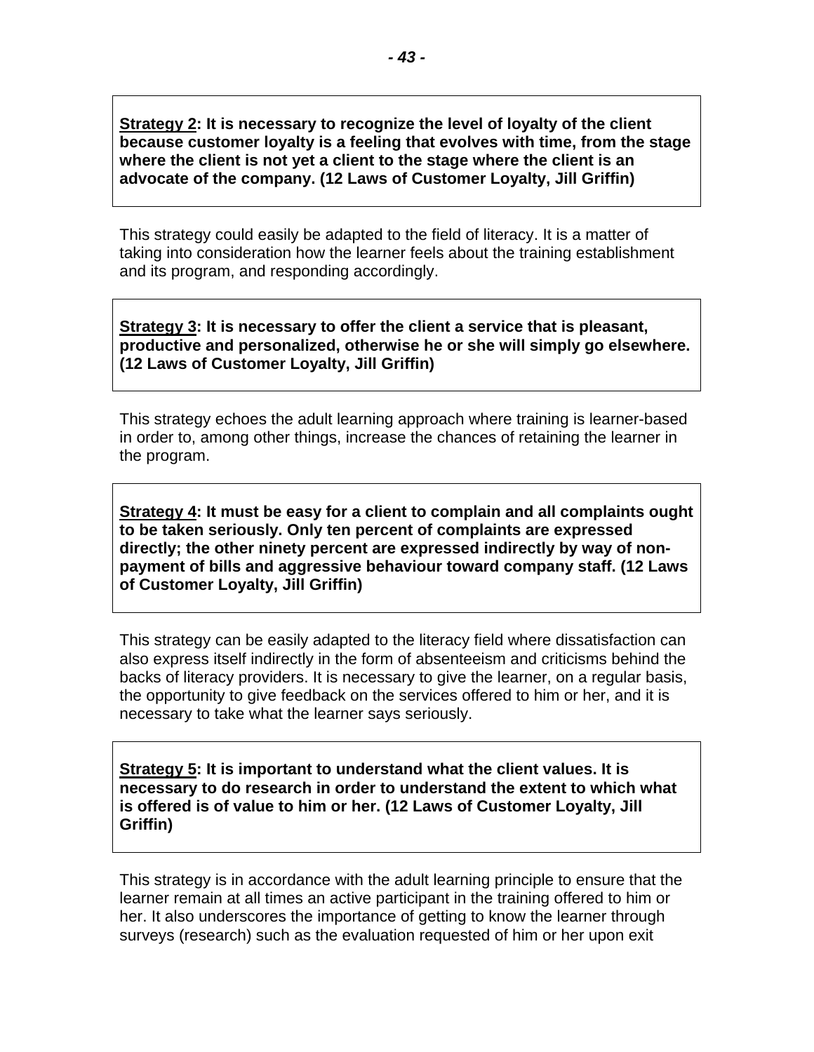**Strategy 2: It is necessary to recognize the level of loyalty of the client because customer loyalty is a feeling that evolves with time, from the stage where the client is not yet a client to the stage where the client is an advocate of the company. (12 Laws of Customer Loyalty, Jill Griffin)** 

This strategy could easily be adapted to the field of literacy. It is a matter of taking into consideration how the learner feels about the training establishment and its program, and responding accordingly.

**Strategy 3: It is necessary to offer the client a service that is pleasant, productive and personalized, otherwise he or she will simply go elsewhere. (12 Laws of Customer Loyalty, Jill Griffin)** 

This strategy echoes the adult learning approach where training is learner-based in order to, among other things, increase the chances of retaining the learner in the program.

**Strategy 4: It must be easy for a client to complain and all complaints ought to be taken seriously. Only ten percent of complaints are expressed directly; the other ninety percent are expressed indirectly by way of nonpayment of bills and aggressive behaviour toward company staff. (12 Laws of Customer Loyalty, Jill Griffin)** 

This strategy can be easily adapted to the literacy field where dissatisfaction can also express itself indirectly in the form of absenteeism and criticisms behind the backs of literacy providers. It is necessary to give the learner, on a regular basis, the opportunity to give feedback on the services offered to him or her, and it is necessary to take what the learner says seriously.

**Strategy 5: It is important to understand what the client values. It is necessary to do research in order to understand the extent to which what is offered is of value to him or her. (12 Laws of Customer Loyalty, Jill Griffin)** 

This strategy is in accordance with the adult learning principle to ensure that the learner remain at all times an active participant in the training offered to him or her. It also underscores the importance of getting to know the learner through surveys (research) such as the evaluation requested of him or her upon exit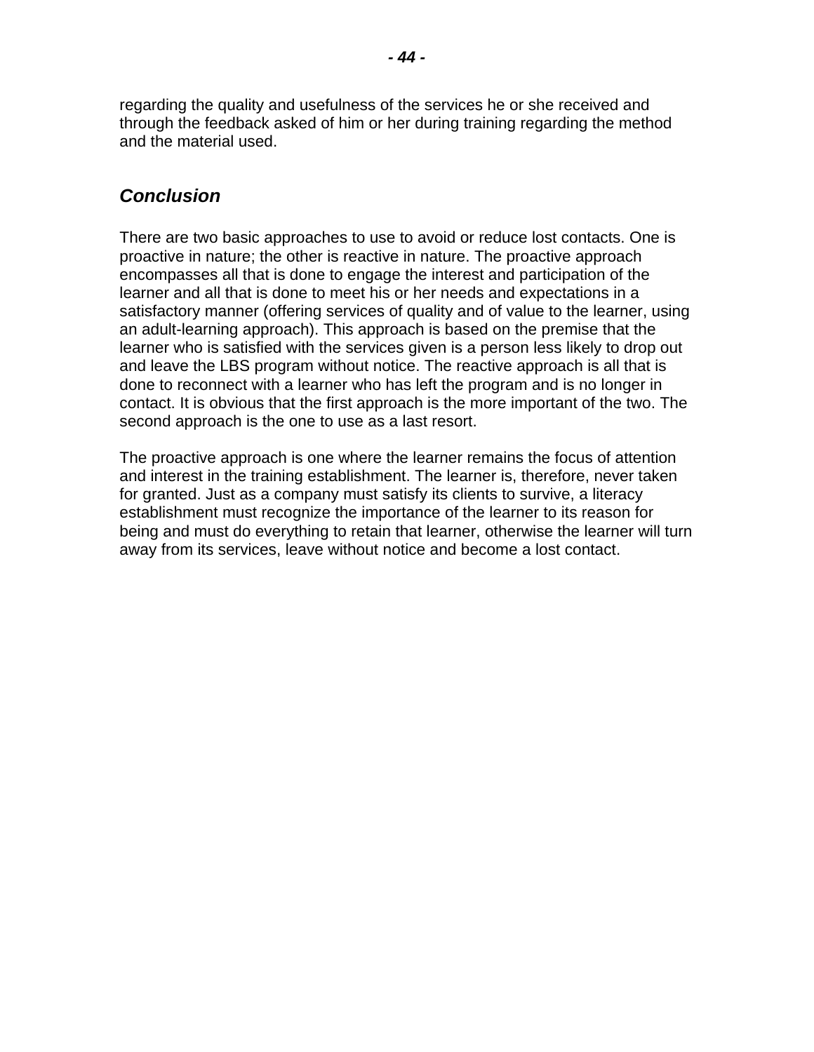<span id="page-45-0"></span>regarding the quality and usefulness of the services he or she received and through the feedback asked of him or her during training regarding the method and the material used.

### *Conclusion*

There are two basic approaches to use to avoid or reduce lost contacts. One is proactive in nature; the other is reactive in nature. The proactive approach encompasses all that is done to engage the interest and participation of the learner and all that is done to meet his or her needs and expectations in a satisfactory manner (offering services of quality and of value to the learner, using an adult-learning approach). This approach is based on the premise that the learner who is satisfied with the services given is a person less likely to drop out and leave the LBS program without notice. The reactive approach is all that is done to reconnect with a learner who has left the program and is no longer in contact. It is obvious that the first approach is the more important of the two. The second approach is the one to use as a last resort.

The proactive approach is one where the learner remains the focus of attention and interest in the training establishment. The learner is, therefore, never taken for granted. Just as a company must satisfy its clients to survive, a literacy establishment must recognize the importance of the learner to its reason for being and must do everything to retain that learner, otherwise the learner will turn away from its services, leave without notice and become a lost contact.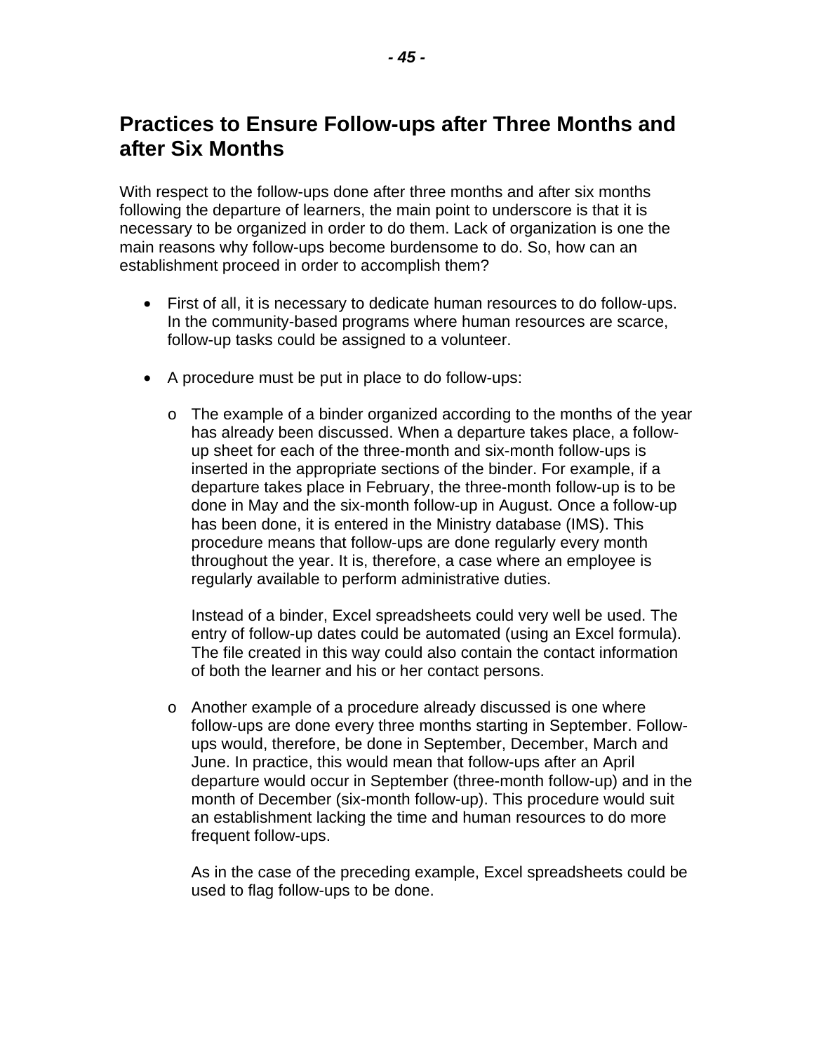# <span id="page-46-0"></span>**Practices to Ensure Follow-ups after Three Months and after Six Months**

With respect to the follow-ups done after three months and after six months following the departure of learners, the main point to underscore is that it is necessary to be organized in order to do them. Lack of organization is one the main reasons why follow-ups become burdensome to do. So, how can an establishment proceed in order to accomplish them?

- First of all, it is necessary to dedicate human resources to do follow-ups. In the community-based programs where human resources are scarce, follow-up tasks could be assigned to a volunteer.
- A procedure must be put in place to do follow-ups:
	- $\circ$  The example of a binder organized according to the months of the year has already been discussed. When a departure takes place, a followup sheet for each of the three-month and six-month follow-ups is inserted in the appropriate sections of the binder. For example, if a departure takes place in February, the three-month follow-up is to be done in May and the six-month follow-up in August. Once a follow-up has been done, it is entered in the Ministry database (IMS). This procedure means that follow-ups are done regularly every month throughout the year. It is, therefore, a case where an employee is regularly available to perform administrative duties.

Instead of a binder, Excel spreadsheets could very well be used. The entry of follow-up dates could be automated (using an Excel formula). The file created in this way could also contain the contact information of both the learner and his or her contact persons.

o Another example of a procedure already discussed is one where follow-ups are done every three months starting in September. Followups would, therefore, be done in September, December, March and June. In practice, this would mean that follow-ups after an April departure would occur in September (three-month follow-up) and in the month of December (six-month follow-up). This procedure would suit an establishment lacking the time and human resources to do more frequent follow-ups.

As in the case of the preceding example, Excel spreadsheets could be used to flag follow-ups to be done.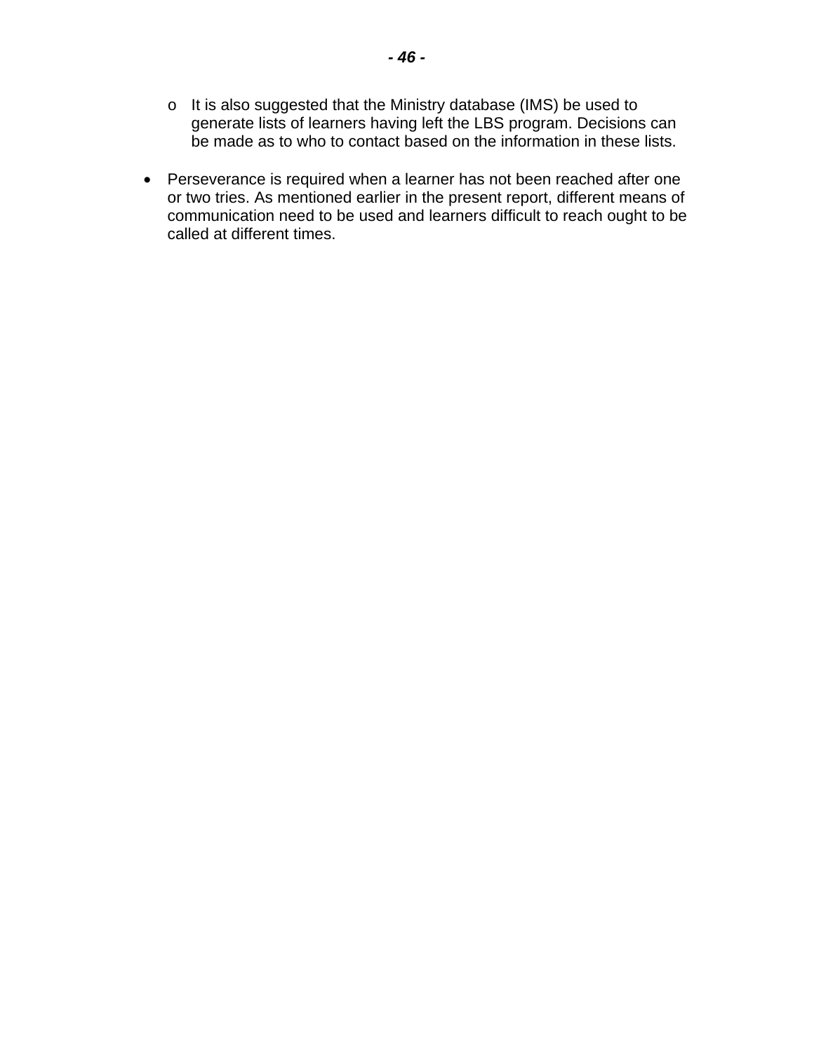- o It is also suggested that the Ministry database (IMS) be used to generate lists of learners having left the LBS program. Decisions can be made as to who to contact based on the information in these lists.
- Perseverance is required when a learner has not been reached after one or two tries. As mentioned earlier in the present report, different means of communication need to be used and learners difficult to reach ought to be called at different times.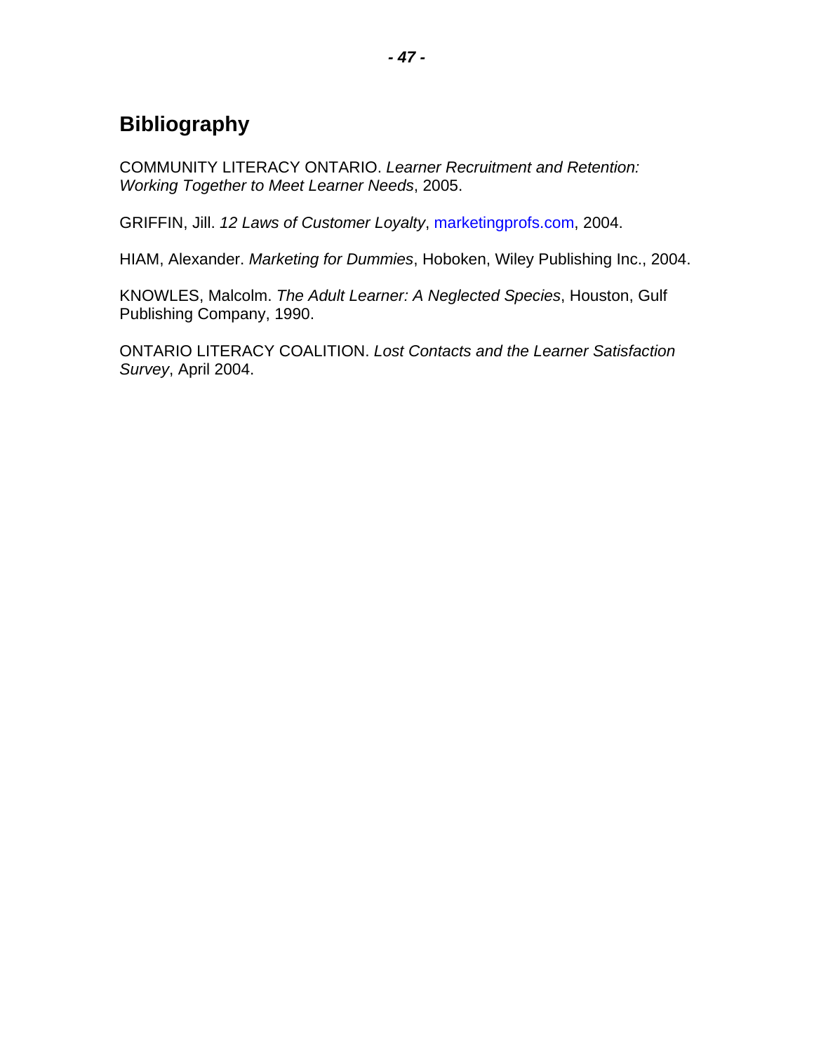# <span id="page-48-0"></span>**Bibliography**

COMMUNITY LITERACY ONTARIO. *Learner Recruitment and Retention: Working Together to Meet Learner Needs*, 2005.

GRIFFIN, Jill. *12 Laws of Customer Loyalty*, [marketingprofs.com](http://www.marketingprofs.com), 2004.

HIAM, Alexander. *Marketing for Dummies*, Hoboken, Wiley Publishing Inc., 2004.

KNOWLES, Malcolm. *The Adult Learner: A Neglected Species*, Houston, Gulf Publishing Company, 1990.

ONTARIO LITERACY COALITION. *Lost Contacts and the Learner Satisfaction Survey*, April 2004.